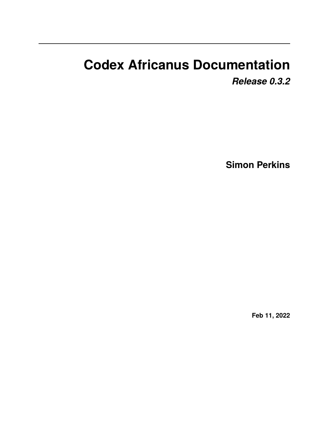# **Codex Africanus Documentation**

*Release 0.3.2*

**Simon Perkins**

**Feb 11, 2022**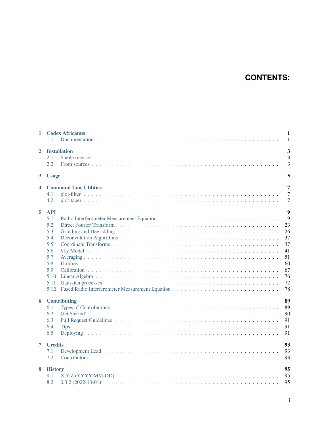# **CONTENTS:**

| $\mathbf{1}$   | <b>Codex Africanus</b><br>$\mathbf{1}$<br>$\mathbf{1}$<br>1.1                                                                                                                 |
|----------------|-------------------------------------------------------------------------------------------------------------------------------------------------------------------------------|
| $\mathbf{2}$   | 3<br><b>Installation</b><br>$\overline{3}$<br>2.1<br>3<br>2.2.                                                                                                                |
| 3 <sup>1</sup> | 5<br><b>Usage</b>                                                                                                                                                             |
| 4              | 7<br><b>Command Line Utilities</b><br>$\overline{7}$<br>4.1<br>$\overline{7}$<br>4.2                                                                                          |
| 5              | 9<br><b>API</b><br>9<br>5.1<br>23<br>5.2<br>5.3<br>26<br>37<br>5.4<br>5.5<br>37<br>41<br>5.6<br>5.7<br>51<br>60<br>5.8<br>67<br>5.9<br>76<br>5.10<br>77<br>5.11<br>78<br>5.12 |
| 6              | 89<br><b>Contributing</b><br>89<br>6.1<br>6.2<br>90<br>91<br>6.3<br>6.4<br>91<br>6.5<br>91                                                                                    |
| $\overline{7}$ | 93<br><b>Credits</b><br>93<br>7.1<br>7.2<br>93                                                                                                                                |
| 8              | 95<br><b>History</b><br>95<br>8.1<br>8.2<br>95                                                                                                                                |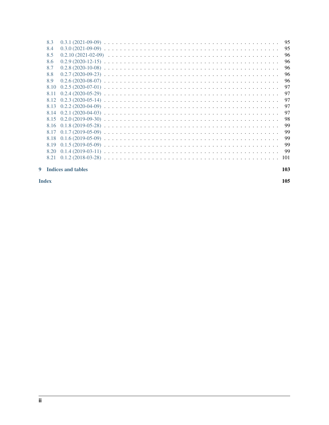| 8.3  | 95  |
|------|-----|
| 8.4  | 95  |
| 8.5  | 96  |
| 8.6  | 96  |
| 8.7  | 96  |
| 8.8  | 96  |
| 8.9  | 96  |
| 8.10 | 97  |
| 8.11 | 97  |
|      | 97  |
|      | 97  |
|      | 97  |
|      | 98  |
|      | 99  |
| 8.17 | 99  |
| 8.18 | 99  |
| 8.19 | 99  |
| 8.20 | 99  |
| 8.21 | 101 |
|      |     |

### 9 Indices and tables

**Index**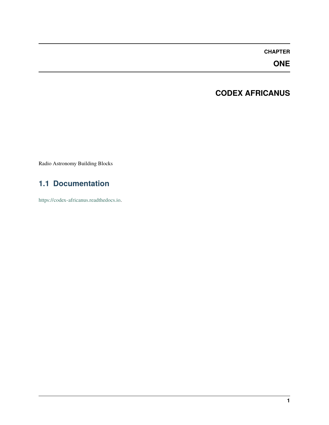# **ONE**

# **CODEX AFRICANUS**

<span id="page-4-0"></span>Radio Astronomy Building Blocks

# <span id="page-4-1"></span>**1.1 Documentation**

[https://codex-africanus.readthedocs.io.](https://codex-africanus.readthedocs.io)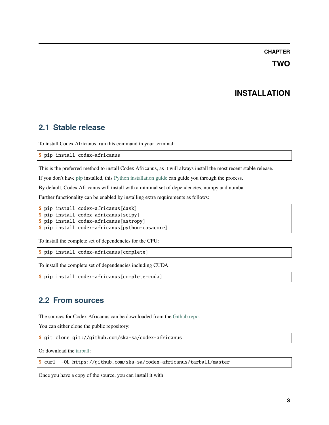**TWO**

# **INSTALLATION**

# <span id="page-6-1"></span><span id="page-6-0"></span>**2.1 Stable release**

To install Codex Africanus, run this command in your terminal:

\$ pip install codex-africanus

This is the preferred method to install Codex Africanus, as it will always install the most recent stable release.

If you don't have [pip](https://pip.pypa.io) installed, this [Python installation guide](http://docs.python-guide.org/en/latest/starting/installation/) can guide you through the process.

By default, Codex Africanus will install with a minimal set of dependencies, numpy and numba.

Further functionality can be enabled by installing extra requirements as follows:

```
$ pip install codex-africanus[dask]
$ pip install codex-africanus[scipy]
$ pip install codex-africanus[astropy]
$ pip install codex-africanus[python-casacore]
```
To install the complete set of dependencies for the CPU:

```
$ pip install codex-africanus[complete]
```
To install the complete set of dependencies including CUDA:

\$ pip install codex-africanus[complete-cuda]

# <span id="page-6-2"></span>**2.2 From sources**

The sources for Codex Africanus can be downloaded from the [Github repo.](https://github.com/ska-sa/codex-africanus)

You can either clone the public repository:

\$ git clone git://github.com/ska-sa/codex-africanus

Or download the [tarball:](https://github.com/ska-sa/codex-africanus/tarball/master)

\$ curl -OL https://github.com/ska-sa/codex-africanus/tarball/master

Once you have a copy of the source, you can install it with: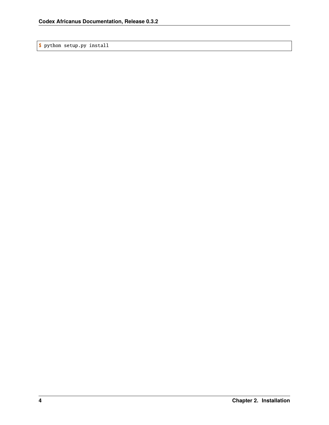\$ python setup.py install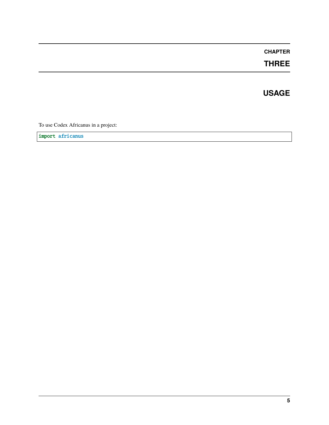**THREE**

**USAGE**

<span id="page-8-0"></span>To use Codex Africanus in a project:

import africanus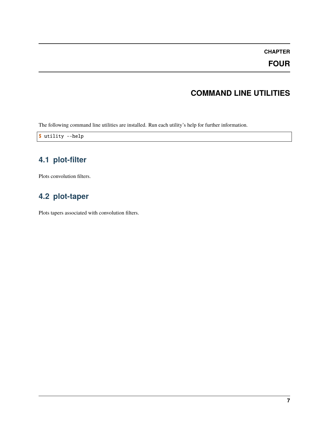**FOUR**

# **COMMAND LINE UTILITIES**

<span id="page-10-0"></span>The following command line utilities are installed. Run each utility's help for further information.

\$ utility --help

# <span id="page-10-1"></span>**4.1 plot-filter**

Plots convolution filters.

# <span id="page-10-2"></span>**4.2 plot-taper**

Plots tapers associated with convolution filters.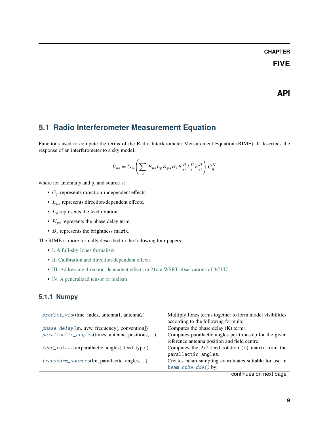# **FIVE**

**API**

# <span id="page-12-1"></span><span id="page-12-0"></span>**5.1 Radio Interferometer Measurement Equation**

Functions used to compute the terms of the Radio Interferometer Measurement Equation (RIME). It describes the response of an interferometer to a sky model.

$$
V_{pq} = G_p \left( \sum_s E_{ps} L_p K_{ps} B_s K_{qs}^H L_q^H E_{qs}^H \right) G_q^H
$$

where for antenna  $p$  and  $q$ , and source  $s$ :

- $G_p$  represents direction-independent effects.
- $E_{ps}$  represents direction-dependent effects.
- $L_p$  represents the feed rotation.
- $K_{ps}$  represents the phase delay term.
- $B_s$  represents the brightness matrix.

The RIME is more formally described in the following four papers:

- [I. A full-sky Jones formalism](https://arxiv.org/abs/1101.1764)
- [II. Calibration and direction-dependent effects](https://arxiv.org/abs/1101.1765)
- [III. Addressing direction-dependent effects in 21cm WSRT observations of 3C147](https://arxiv.org/abs/1101.1768)
- [IV. A generalized tensor formalism](https://arxiv.org/abs/1106.0579)

# **5.1.1 Numpy**

| predict_vis(time_index, antenna1, antenna2)       | Multiply Jones terms together to form model visibilities<br>according to the following formula: |
|---------------------------------------------------|-------------------------------------------------------------------------------------------------|
| $phase\_delay$ (lm, uvw, frequency[, convention]) | Computes the phase delay $(K)$ term:                                                            |
| parallactic_angles(times, antenna_positions, )    | Computes parallactic angles per timestep for the given                                          |
|                                                   | reference antenna position and field centre.                                                    |
| feed_rotation(parallactic_angles[, feed_type])    | Computes the $2x2$ feed rotation (L) matrix from the                                            |
|                                                   | parallactic_angles.                                                                             |
| transform_sources(lm, parallactic_angles, )       | Creates beam sampling coordinates suitable for use in                                           |
|                                                   | beam_cube_dde() by:                                                                             |

continues on next page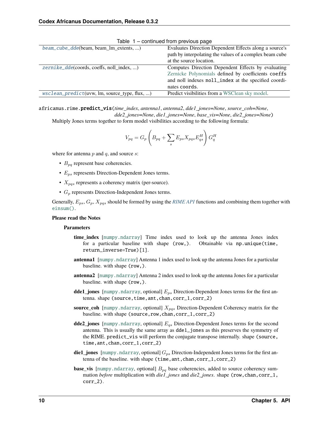| beam_cube_dde(beam, beam_lm_extents, )           | Evaluates Direction Dependent Effects along a source's                                                                                                            |
|--------------------------------------------------|-------------------------------------------------------------------------------------------------------------------------------------------------------------------|
|                                                  | path by interpolating the values of a complex beam cube                                                                                                           |
|                                                  | at the source location.                                                                                                                                           |
| zernike_dde(coords, coeffs, noll index, )        | Computes Direction Dependent Effects by evaluating<br>Zernicke Polynomials defined by coefficients coeffs<br>and noll indexes noll_index at the specified coordi- |
|                                                  | nates coords.                                                                                                                                                     |
| $wsclean\_predict(uvw, lm, source_type, flux, )$ | Predict visibilities from a WSClean sky model.                                                                                                                    |
|                                                  |                                                                                                                                                                   |

Table 1 – continued from previous page

<span id="page-13-0"></span>africanus.rime.predict\_vis(*time\_index*, *antenna1*, *antenna2*, *dde1\_jones=None*, *source\_coh=None*, *dde2\_jones=None*, *die1\_jones=None*, *base\_vis=None*, *die2\_jones=None*)

Multiply Jones terms together to form model visibilities according to the following formula:

$$
V_{pq} = G_p \left( B_{pq} + \sum_s E_{ps} X_{pqs} E_{qs}^H \right) G_q^H
$$

where for antenna  $p$  and  $q$ , and source  $s$ :

- $B_{pq}$  represent base coherencies.
- $E_{ps}$  represents Direction-Dependent Jones terms.
- $X_{pqs}$  represents a coherency matrix (per-source).
- $G_p$  represents Direction-Independent Jones terms.

Generally,  $E_{ps}$ ,  $G_p$ ,  $X_{pqs}$  should be formed by using the *[RIME API](#page-12-1)* functions and combining them together with [einsum\(\)](https://numpy.org/doc/stable/reference/generated/numpy.einsum.html#numpy.einsum).

#### **Please read the Notes**

#### **Parameters**

- **time\_index** [[numpy.ndarray](https://numpy.org/doc/stable/reference/generated/numpy.ndarray.html#numpy.ndarray)] Time index used to look up the antenna Jones index for a particular baseline with shape (row,). Obtainable via np.unique(time, return\_inverse=True)[1].
- **antenna1** [[numpy.ndarray](https://numpy.org/doc/stable/reference/generated/numpy.ndarray.html#numpy.ndarray)] Antenna 1 index used to look up the antenna Jones for a particular baseline. with shape (row,).
- **antenna2** [[numpy.ndarray](https://numpy.org/doc/stable/reference/generated/numpy.ndarray.html#numpy.ndarray)] Antenna 2 index used to look up the antenna Jones for a particular baseline. with shape (row,).
- **dde1\_jones** [[numpy.ndarray](https://numpy.org/doc/stable/reference/generated/numpy.ndarray.html#numpy.ndarray), optional]  $E_{ps}$  Direction-Dependent Jones terms for the first antenna. shape (source, time, ant, chan, corr\_1, corr\_2)
- **source\_coh** [[numpy.ndarray](https://numpy.org/doc/stable/reference/generated/numpy.ndarray.html#numpy.ndarray), optional]  $X_{pqs}$  Direction-Dependent Coherency matrix for the baseline. with shape (source, row, chan, corr\_1, corr\_2)
- **dde2\_jones** [[numpy.ndarray](https://numpy.org/doc/stable/reference/generated/numpy.ndarray.html#numpy.ndarray), optional]  $E_{qs}$  Direction-Dependent Jones terms for the second antenna. This is usually the same array as dde1\_jones as this preserves the symmetry of the RIME. predict\_vis will perform the conjugate transpose internally. shape (source, time,ant,chan,corr\_1,corr\_2)
- **die1\_jones** [[numpy.ndarray](https://numpy.org/doc/stable/reference/generated/numpy.ndarray.html#numpy.ndarray), optional]  $G_{ps}$  Direction-Independent Jones terms for the first antenna of the baseline. with shape (time, ant, chan, corr\_1, corr\_2)
- **base\_vis** [[numpy.ndarray](https://numpy.org/doc/stable/reference/generated/numpy.ndarray.html#numpy.ndarray), optional]  $B_{pq}$  base coherencies, added to source coherency summation *before* multiplication with *die1\_jones* and *die2\_jones*. shape (row,chan,corr\_1, corr\_2).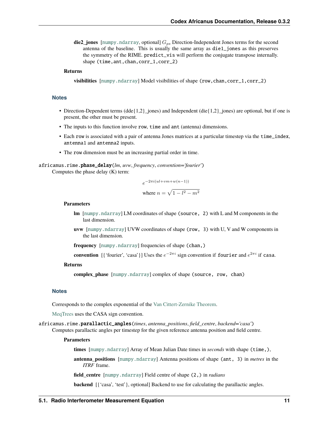**die2\_jones** [[numpy.ndarray](https://numpy.org/doc/stable/reference/generated/numpy.ndarray.html#numpy.ndarray), optional]  $G_{ps}$  Direction-Independent Jones terms for the second antenna of the baseline. This is usually the same array as die1\_jones as this preserves the symmetry of the RIME. predict\_vis will perform the conjugate transpose internally. shape (time, ant, chan, corr\_1, corr\_2)

#### **Returns**

**visibilities** [[numpy.ndarray](https://numpy.org/doc/stable/reference/generated/numpy.ndarray.html#numpy.ndarray)] Model visibilities of shape (row,chan,corr\_1,corr\_2)

#### **Notes**

- Direction-Dependent terms (dde{1,2}\_jones) and Independent (die{1,2}\_jones) are optional, but if one is present, the other must be present.
- The inputs to this function involve row, time and ant (antenna) dimensions.
- Each row is associated with a pair of antenna Jones matrices at a particular timestep via the time\_index, antenna1 and antenna2 inputs.
- The row dimension must be an increasing partial order in time.

#### <span id="page-14-0"></span>africanus.rime.phase\_delay(*lm*, *uvw*, *frequency*, *convention='fourier'*) Computes the phase delay (K) term:

 $e^{-2\pi i (ul+vm+w(n-1))}$ where  $n = \sqrt{1 - l^2 - m^2}$ 

#### **Parameters**

- **lm** [[numpy.ndarray](https://numpy.org/doc/stable/reference/generated/numpy.ndarray.html#numpy.ndarray)] LM coordinates of shape (source, 2) with L and M components in the last dimension.
- **uvw** [[numpy.ndarray](https://numpy.org/doc/stable/reference/generated/numpy.ndarray.html#numpy.ndarray)] UVW coordinates of shape (row, 3) with U, V and W components in the last dimension.

**frequency** [[numpy.ndarray](https://numpy.org/doc/stable/reference/generated/numpy.ndarray.html#numpy.ndarray)] frequencies of shape (chan,)

**convention** [{'fourier', 'casa'}] Uses the  $e^{-2\pi i}$  sign convention if fourier and  $e^{2\pi i}$  if casa.

#### **Returns**

**complex\_phase** [[numpy.ndarray](https://numpy.org/doc/stable/reference/generated/numpy.ndarray.html#numpy.ndarray)] complex of shape (source, row, chan)

#### **Notes**

Corresponds to the complex exponential of the [Van Cittert-Zernike Theorem.](https://en.wikipedia.org/wiki/Van_Cittert%E2%80%93Zernike_theorem_)

[MeqTrees](https://github.com/ska-sa/meqtrees-timba/blob/6a7e873d4d1fe538981dec5851418cbd371b8388/MeqNodes/src/PSVTensor.cc#L314_) uses the CASA sign convention.

<span id="page-14-1"></span>africanus.rime.parallactic\_angles(*times*, *antenna\_positions*, *field\_centre*, *backend='casa'*) Computes parallactic angles per timestep for the given reference antenna position and field centre.

#### **Parameters**

**times** [[numpy.ndarray](https://numpy.org/doc/stable/reference/generated/numpy.ndarray.html#numpy.ndarray)] Array of Mean Julian Date times in *seconds* with shape (time,),

**antenna\_positions** [[numpy.ndarray](https://numpy.org/doc/stable/reference/generated/numpy.ndarray.html#numpy.ndarray)] Antenna positions of shape (ant, 3) in *metres* in the *ITRF* frame.

**field\_centre** [[numpy.ndarray](https://numpy.org/doc/stable/reference/generated/numpy.ndarray.html#numpy.ndarray)] Field centre of shape (2,) in *radians*

**backend** [{'casa', 'test'}, optional] Backend to use for calculating the parallactic angles.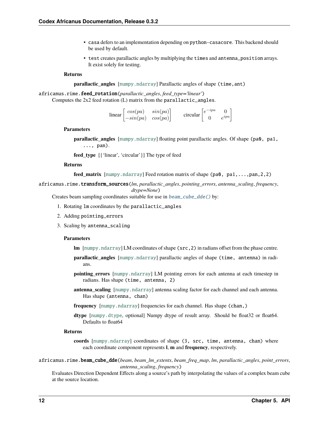- casa defers to an implementation depending on python-casacore. This backend should be used by default.
- test creates parallactic angles by multiplying the times and antenna\_position arrays. It exist solely for testing.

#### **Returns**

**parallactic angles** [[numpy.ndarray](https://numpy.org/doc/stable/reference/generated/numpy.ndarray.html#numpy.ndarray)] Parallactic angles of shape (time, ant)

<span id="page-15-0"></span>africanus.rime.feed\_rotation(*parallactic\_angles*, *feed\_type='linear'*) Computes the 2x2 feed rotation (L) matrix from the parallactic\_angles.

| linear $\vert$ | $\int cos(pa)$                                     | sin(pa) | circular | $\lceil_{\mathcal{Q}} - i \mathcal{P}^{\alpha} \rceil$ |            |
|----------------|----------------------------------------------------|---------|----------|--------------------------------------------------------|------------|
|                | $\begin{vmatrix} -sin(pa) & cos(pa) \end{vmatrix}$ |         |          |                                                        | $\partial$ |

#### **Parameters**

**parallactic\_angles** [[numpy.ndarray](https://numpy.org/doc/stable/reference/generated/numpy.ndarray.html#numpy.ndarray)] floating point parallactic angles. Of shape (pa0, pa1, ..., pan).

**feed\_type** [{'linear', 'circular'}] The type of feed

#### **Returns**

**feed\_matrix** [[numpy.ndarray](https://numpy.org/doc/stable/reference/generated/numpy.ndarray.html#numpy.ndarray)] Feed rotation matrix of shape (pa0, pa1,...,pan,2,2)

<span id="page-15-1"></span>africanus.rime.transform\_sources(*lm*, *parallactic\_angles*, *pointing\_errors*, *antenna\_scaling*, *frequency*, *dtype=None*)

Creates beam sampling coordinates suitable for use in  $beam\_cube\_dde()$  by:

- 1. Rotating lm coordinates by the parallactic\_angles
- 2. Adding pointing\_errors
- 3. Scaling by antenna\_scaling

#### **Parameters**

- **lm** [[numpy.ndarray](https://numpy.org/doc/stable/reference/generated/numpy.ndarray.html#numpy.ndarray)] LM coordinates of shape (src,2) in radians offset from the phase centre.
- **parallactic\_angles** [[numpy.ndarray](https://numpy.org/doc/stable/reference/generated/numpy.ndarray.html#numpy.ndarray)] parallactic angles of shape (time, antenna) in radians.
- **pointing\_errors** [[numpy.ndarray](https://numpy.org/doc/stable/reference/generated/numpy.ndarray.html#numpy.ndarray)] LM pointing errors for each antenna at each timestep in radians. Has shape (time, antenna, 2)
- **antenna\_scaling** [[numpy.ndarray](https://numpy.org/doc/stable/reference/generated/numpy.ndarray.html#numpy.ndarray)] antenna scaling factor for each channel and each antenna. Has shape (antenna, chan)
- **frequency** [[numpy.ndarray](https://numpy.org/doc/stable/reference/generated/numpy.ndarray.html#numpy.ndarray)] frequencies for each channel. Has shape (chan,)
- **dtype** [[numpy.dtype](https://numpy.org/doc/stable/reference/generated/numpy.dtype.html#numpy.dtype), optional] Numpy dtype of result array. Should be float32 or float64. Defaults to float64

#### **Returns**

**coords** [[numpy.ndarray](https://numpy.org/doc/stable/reference/generated/numpy.ndarray.html#numpy.ndarray)] coordinates of shape (3, src, time, antenna, chan) where each coordinate component represents **l**, **m** and **frequency**, respectively.

<span id="page-15-2"></span>africanus.rime.beam\_cube\_dde(*beam*, *beam\_lm\_extents*, *beam\_freq\_map*, *lm*, *parallactic\_angles*, *point\_errors*, *antenna\_scaling*, *frequency*)

Evaluates Direction Dependent Effects along a source's path by interpolating the values of a complex beam cube at the source location.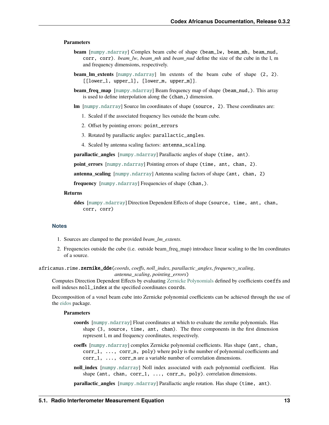#### **Parameters**

- **beam** [[numpy.ndarray](https://numpy.org/doc/stable/reference/generated/numpy.ndarray.html#numpy.ndarray)] Complex beam cube of shape (beam\_lw, beam\_mh, beam\_nud, corr, corr). *beam\_lw*, *beam\_mh* and *beam\_nud* define the size of the cube in the l, m and frequency dimensions, respectively.
- **beam Im extents** [[numpy.ndarray](https://numpy.org/doc/stable/reference/generated/numpy.ndarray.html#numpy.ndarray)] Im extents of the beam cube of shape (2, 2). [[lower\_l, upper\_l], [lower\_m, upper\_m]].
- **beam freq map** [[numpy.ndarray](https://numpy.org/doc/stable/reference/generated/numpy.ndarray.html#numpy.ndarray)] Beam frequency map of shape (beam\_nud,). This array is used to define interpolation along the (chan,) dimension.
- **lm** [[numpy.ndarray](https://numpy.org/doc/stable/reference/generated/numpy.ndarray.html#numpy.ndarray)] Source lm coordinates of shape (source, 2). These coordinates are:
	- 1. Scaled if the associated frequency lies outside the beam cube.
	- 2. Offset by pointing errors: point\_errors
	- 3. Rotated by parallactic angles: parallactic\_angles.
	- 4. Scaled by antenna scaling factors: antenna\_scaling.

**parallactic angles** [[numpy.ndarray](https://numpy.org/doc/stable/reference/generated/numpy.ndarray.html#numpy.ndarray)] Parallactic angles of shape (time, ant).

**point errors** [[numpy.ndarray](https://numpy.org/doc/stable/reference/generated/numpy.ndarray.html#numpy.ndarray)] Pointing errors of shape (time, ant, chan, 2).

**antenna\_scaling** [[numpy.ndarray](https://numpy.org/doc/stable/reference/generated/numpy.ndarray.html#numpy.ndarray)] Antenna scaling factors of shape (ant, chan, 2)

**frequency** [[numpy.ndarray](https://numpy.org/doc/stable/reference/generated/numpy.ndarray.html#numpy.ndarray)] Frequencies of shape (chan,).

#### **Returns**

**ddes** [[numpy.ndarray](https://numpy.org/doc/stable/reference/generated/numpy.ndarray.html#numpy.ndarray)] Direction Dependent Effects of shape (source, time, ant, chan, corr, corr)

#### **Notes**

- 1. Sources are clamped to the provided *beam\_lm\_extents*.
- 2. Frequencies outside the cube (i.e. outside beam\_freq\_map) introduce linear scaling to the lm coordinates of a source.

<span id="page-16-0"></span>africanus.rime.zernike\_dde(*coords*, *coeffs*, *noll\_index*, *parallactic\_angles*, *frequency\_scaling*,

*antenna\_scaling*, *pointing\_errors*)

Computes Direction Dependent Effects by evaluating [Zernicke Polynomials](https://en.wikipedia.org/wiki/Zernike_polynomials) defined by coefficients coeffs and noll indexes noll\_index at the specified coordinates coords.

Decomposition of a voxel beam cube into Zernicke polynomial coefficients can be achieved through the use of the [eidos](https://github.com/kmbasad/eidos/) package.

#### **Parameters**

- **coords** [[numpy.ndarray](https://numpy.org/doc/stable/reference/generated/numpy.ndarray.html#numpy.ndarray)] Float coordinates at which to evaluate the zernike polynomials. Has shape (3, source, time, ant, chan). The three components in the first dimension represent l, m and frequency coordinates, respectively.
- **coeffs** [[numpy.ndarray](https://numpy.org/doc/stable/reference/generated/numpy.ndarray.html#numpy.ndarray)] complex Zernicke polynomial coefficients. Has shape (ant, chan, corr\_1, ..., corr\_n, poly) where poly is the number of polynomial coefficients and corr\_1, ..., corr\_n are a variable number of correlation dimensions.
- **noll\_index** [[numpy.ndarray](https://numpy.org/doc/stable/reference/generated/numpy.ndarray.html#numpy.ndarray)] Noll index associated with each polynomial coefficient. Has shape (ant, chan,  $corr_1, \ldots, corr_n, poly$ ). correlation dimensions.

**parallactic\_angles** [[numpy.ndarray](https://numpy.org/doc/stable/reference/generated/numpy.ndarray.html#numpy.ndarray)] Parallactic angle rotation. Has shape (time, ant).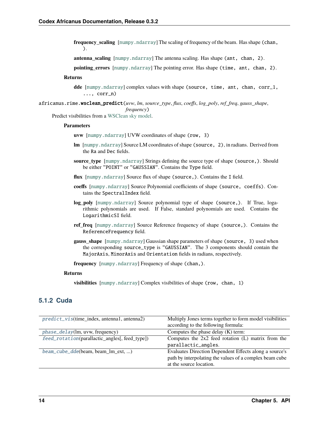**frequency** scaling [[numpy.ndarray](https://numpy.org/doc/stable/reference/generated/numpy.ndarray.html#numpy.ndarray)] The scaling of frequency of the beam. Has shape (chan, ).

**antenna scaling**  $\lceil$ [numpy.ndarray](https://numpy.org/doc/stable/reference/generated/numpy.ndarray.html#numpy.ndarray)] The antenna scaling. Has shape (ant, chan, 2).

**pointing\_errors** [[numpy.ndarray](https://numpy.org/doc/stable/reference/generated/numpy.ndarray.html#numpy.ndarray)] The pointing error. Has shape (time, ant, chan, 2).

### **Returns**

**dde** [[numpy.ndarray](https://numpy.org/doc/stable/reference/generated/numpy.ndarray.html#numpy.ndarray)] complex values with shape (source, time, ant, chan, corr\_1,  $\ldots$ , corr\_n)

<span id="page-17-0"></span>africanus.rime.wsclean\_predict(*uvw*, *lm*, *source\_type*, *flux*, *coeffs*, *log\_poly*, *ref\_freq*, *gauss\_shape*,

*frequency*)

Predict visibilities from a [WSClean sky model.](https://sourceforge.net/p/wsclean/wiki/ComponentList/)

#### **Parameters**

- **uvw** [[numpy.ndarray](https://numpy.org/doc/stable/reference/generated/numpy.ndarray.html#numpy.ndarray)] UVW coordinates of shape (row, 3)
- **lm** [[numpy.ndarray](https://numpy.org/doc/stable/reference/generated/numpy.ndarray.html#numpy.ndarray)] Source LM coordinates of shape (source, 2), in radians. Derived from the Ra and Dec fields.
- **source\_type** [[numpy.ndarray](https://numpy.org/doc/stable/reference/generated/numpy.ndarray.html#numpy.ndarray)] Strings defining the source type of shape (source,). Should be either "POINT" or "GAUSSIAN". Contains the Type field.
- **flux** [[numpy.ndarray](https://numpy.org/doc/stable/reference/generated/numpy.ndarray.html#numpy.ndarray)] Source flux of shape (source,). Contains the I field.
- **coeffs** [[numpy.ndarray](https://numpy.org/doc/stable/reference/generated/numpy.ndarray.html#numpy.ndarray)] Source Polynomial coefficients of shape (source, coeffs). Contains the SpectralIndex field.
- **log\_poly** [[numpy.ndarray](https://numpy.org/doc/stable/reference/generated/numpy.ndarray.html#numpy.ndarray)] Source polynomial type of shape (source,). If True, logarithmic polynomials are used. If False, standard polynomials are used. Contains the LogarithmicSI field.
- **ref\_freq** [[numpy.ndarray](https://numpy.org/doc/stable/reference/generated/numpy.ndarray.html#numpy.ndarray)] Source Reference frequency of shape (source,). Contains the ReferenceFrequency field.
- **gauss\_shape** [[numpy.ndarray](https://numpy.org/doc/stable/reference/generated/numpy.ndarray.html#numpy.ndarray)] Gaussian shape parameters of shape (source, 3) used when the corresponding source\_type is "GAUSSIAN". The 3 components should contain the MajorAxis, MinorAxis and Orientation fields in radians, respectively.

**frequency** [[numpy.ndarray](https://numpy.org/doc/stable/reference/generated/numpy.ndarray.html#numpy.ndarray)] Frequency of shape (chan,).

#### **Returns**

**visibilities** [[numpy.ndarray](https://numpy.org/doc/stable/reference/generated/numpy.ndarray.html#numpy.ndarray)] Complex visibilities of shape (row, chan, 1)

### **5.1.2 Cuda**

<span id="page-17-1"></span>

| $predict\_vis$ (time_index, antenna1, antenna2) | Multiply Jones terms together to form model visibilities |
|-------------------------------------------------|----------------------------------------------------------|
|                                                 | according to the following formula:                      |
| phase_delay(lm, uvw, frequency)                 | Computes the phase delay $(K)$ term:                     |
| feed_rotation(parallactic_angles[, feed_type])  | Computes the $2x2$ feed rotation $(L)$ matrix from the   |
|                                                 | parallactic_angles.                                      |
| beam_cube_dde(beam, beam_lm_ext, )              | Evaluates Direction Dependent Effects along a source's   |
|                                                 |                                                          |
|                                                 | path by interpolating the values of a complex beam cube  |
|                                                 | at the source location.                                  |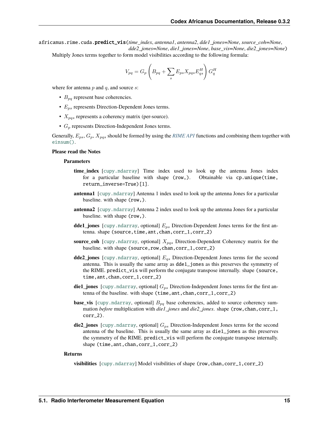africanus.rime.cuda.predict\_vis(*time\_index*, *antenna1*, *antenna2*, *dde1\_jones=None*, *source\_coh=None*, *dde2\_jones=None*, *die1\_jones=None*, *base\_vis=None*, *die2\_jones=None*)

Multiply Jones terms together to form model visibilities according to the following formula:

$$
V_{pq}=G_p\left(B_{pq}+\sum_s E_{ps}X_{pqs}E_{qs}^H\right)G_q^H
$$

where for antenna  $p$  and  $q$ , and source  $s$ :

- $B_{pq}$  represent base coherencies.
- $E_{ps}$  represents Direction-Dependent Jones terms.
- $X_{pqs}$  represents a coherency matrix (per-source).
- $G_p$  represents Direction-Independent Jones terms.

Generally,  $E_{ps}$ ,  $G_p$ ,  $X_{pqs}$  should be formed by using the *[RIME API](#page-12-1)* functions and combining them together with [einsum\(\)](https://numpy.org/doc/stable/reference/generated/numpy.einsum.html#numpy.einsum).

#### **Please read the Notes**

#### **Parameters**

- **time\_index** [[cupy.ndarray](https://docs.cupy.dev/en/latest/reference/generated/cupy.ndarray.html#cupy.ndarray)] Time index used to look up the antenna Jones index for a particular baseline with shape (row,). Obtainable via cp.unique(time, return\_inverse=True)[1].
- **antenna1** [[cupy.ndarray](https://docs.cupy.dev/en/latest/reference/generated/cupy.ndarray.html#cupy.ndarray)] Antenna 1 index used to look up the antenna Jones for a particular baseline. with shape (row,).
- **antenna2** [[cupy.ndarray](https://docs.cupy.dev/en/latest/reference/generated/cupy.ndarray.html#cupy.ndarray)] Antenna 2 index used to look up the antenna Jones for a particular baseline. with shape (row,).
- **dde1\_jones** [[cupy.ndarray](https://docs.cupy.dev/en/latest/reference/generated/cupy.ndarray.html#cupy.ndarray), optional]  $E_{ps}$  Direction-Dependent Jones terms for the first antenna. shape (source,time,ant,chan,corr\_1,corr\_2)
- **source\_coh** [[cupy.ndarray](https://docs.cupy.dev/en/latest/reference/generated/cupy.ndarray.html#cupy.ndarray), optional]  $X_{pqs}$  Direction-Dependent Coherency matrix for the baseline. with shape (source,row,chan,corr\_1,corr\_2)
- **dde2\_jones** [[cupy.ndarray](https://docs.cupy.dev/en/latest/reference/generated/cupy.ndarray.html#cupy.ndarray), optional]  $E_{qs}$  Direction-Dependent Jones terms for the second antenna. This is usually the same array as dde1\_jones as this preserves the symmetry of the RIME. predict\_vis will perform the conjugate transpose internally. shape (source, time,ant,chan,corr\_1,corr\_2)
- **die1\_jones** [[cupy.ndarray](https://docs.cupy.dev/en/latest/reference/generated/cupy.ndarray.html#cupy.ndarray), optional]  $G_{ps}$  Direction-Independent Jones terms for the first antenna of the baseline. with shape (time,ant,chan,corr\_1,corr\_2)
- **base\_vis** [[cupy.ndarray](https://docs.cupy.dev/en/latest/reference/generated/cupy.ndarray.html#cupy.ndarray), optional]  $B_{pq}$  base coherencies, added to source coherency summation *before* multiplication with *die1\_jones* and *die2\_jones*. shape (row,chan,corr\_1, corr\_2).
- **die2\_jones** [[cupy.ndarray](https://docs.cupy.dev/en/latest/reference/generated/cupy.ndarray.html#cupy.ndarray), optional]  $G_{ps}$  Direction-Independent Jones terms for the second antenna of the baseline. This is usually the same array as die1\_jones as this preserves the symmetry of the RIME. predict\_vis will perform the conjugate transpose internally. shape (time, ant, chan, corr\_1, corr\_2)

#### **Returns**

**visibilities** [[cupy.ndarray](https://docs.cupy.dev/en/latest/reference/generated/cupy.ndarray.html#cupy.ndarray)] Model visibilities of shape (row, chan, corr\_1, corr\_2)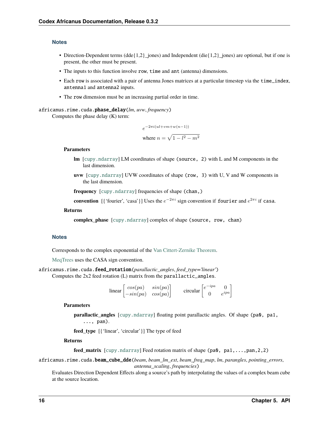#### **Notes**

- Direction-Dependent terms (dde{ $1,2$ }\_jones) and Independent (die{ $1,2$ }\_jones) are optional, but if one is present, the other must be present.
- The inputs to this function involve row, time and ant (antenna) dimensions.
- Each row is associated with a pair of antenna Jones matrices at a particular timestep via the time\_index, antenna1 and antenna2 inputs.
- The row dimension must be an increasing partial order in time.

```
africanus.rime.cuda.phase_delay(lm, uvw, frequency)
```
Computes the phase delay (K) term:

$$
e^{-2\pi i(ul+vm+w(n-1))}
$$
  
where 
$$
n = \sqrt{1 - l^2 - m^2}
$$

#### **Parameters**

- **lm** [[cupy.ndarray](https://docs.cupy.dev/en/latest/reference/generated/cupy.ndarray.html#cupy.ndarray)] LM coordinates of shape (source, 2) with L and M components in the last dimension.
- **uvw** [[cupy.ndarray](https://docs.cupy.dev/en/latest/reference/generated/cupy.ndarray.html#cupy.ndarray)] UVW coordinates of shape (row, 3) with U, V and W components in the last dimension.

**frequency** [[cupy.ndarray](https://docs.cupy.dev/en/latest/reference/generated/cupy.ndarray.html#cupy.ndarray)] frequencies of shape (chan,)

**convention** [{'fourier', 'casa'}] Uses the  $e^{-2\pi i}$  sign convention if fourier and  $e^{2\pi i}$  if casa.

#### **Returns**

**complex\_phase** [[cupy.ndarray](https://docs.cupy.dev/en/latest/reference/generated/cupy.ndarray.html#cupy.ndarray)] complex of shape (source, row, chan)

#### **Notes**

Corresponds to the complex exponential of the [Van Cittert-Zernike Theorem.](https://en.wikipedia.org/wiki/Van_Cittert%E2%80%93Zernike_theorem_)

[MeqTrees](https://github.com/ska-sa/meqtrees-timba/blob/6a7e873d4d1fe538981dec5851418cbd371b8388/MeqNodes/src/PSVTensor.cc#L314_) uses the CASA sign convention.

```
africanus.rime.cuda.feed_rotation(parallactic_angles, feed_type='linear')
     Computes the 2x2 feed rotation (L) matrix from the parallactic_angles.
```

$$
\text{linear}\begin{bmatrix} \cos(pa) & \sin(pa) \\ -\sin(pa) & \cos(pa) \end{bmatrix} \qquad \text{circular}\begin{bmatrix} e^{-ipa} & 0 \\ 0 & e^{ipa} \end{bmatrix}
$$

#### **Parameters**

**parallactic\_angles** [[cupy.ndarray](https://docs.cupy.dev/en/latest/reference/generated/cupy.ndarray.html#cupy.ndarray)] floating point parallactic angles. Of shape (pa0, pa1, ..., pan).

**feed\_type** [{'linear', 'circular'}] The type of feed

#### **Returns**

**feed\_matrix** [[cupy.ndarray](https://docs.cupy.dev/en/latest/reference/generated/cupy.ndarray.html#cupy.ndarray)] Feed rotation matrix of shape (pa0, pa1,...,pan,2,2)

<span id="page-19-2"></span>africanus.rime.cuda.beam\_cube\_dde(*beam*, *beam\_lm\_ext*, *beam\_freq\_map*, *lm*, *parangles*, *pointing\_errors*, *antenna\_scaling*, *frequencies*)

Evaluates Direction Dependent Effects along a source's path by interpolating the values of a complex beam cube at the source location.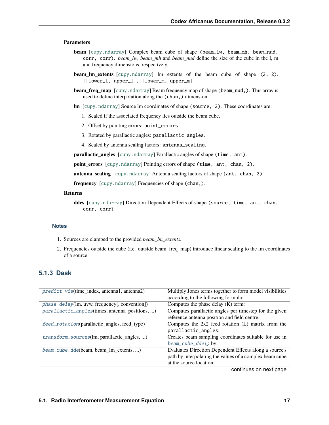#### **Parameters**

- **beam** [[cupy.ndarray](https://docs.cupy.dev/en/latest/reference/generated/cupy.ndarray.html#cupy.ndarray)] Complex beam cube of shape (beam\_lw, beam\_mh, beam\_nud, corr, corr). *beam\_lw*, *beam\_mh* and *beam\_nud* define the size of the cube in the l, m and frequency dimensions, respectively.
- **beam Im extents** [[cupy.ndarray](https://docs.cupy.dev/en/latest/reference/generated/cupy.ndarray.html#cupy.ndarray)] lm extents of the beam cube of shape (2, 2). [[lower\_l, upper\_l], [lower\_m, upper\_m]].
- **beam freq map**  $[\text{cupy}$ .ndarray] Beam frequency map of shape (beam\_nud,). This array is used to define interpolation along the (chan,) dimension.
- **lm** [[cupy.ndarray](https://docs.cupy.dev/en/latest/reference/generated/cupy.ndarray.html#cupy.ndarray)] Source lm coordinates of shape (source, 2). These coordinates are:
	- 1. Scaled if the associated frequency lies outside the beam cube.
	- 2. Offset by pointing errors: point\_errors
	- 3. Rotated by parallactic angles: parallactic\_angles.
	- 4. Scaled by antenna scaling factors: antenna\_scaling.

**parallactic angles** [[cupy.ndarray](https://docs.cupy.dev/en/latest/reference/generated/cupy.ndarray.html#cupy.ndarray)] Parallactic angles of shape (time, ant).

**point\_errors** [[cupy.ndarray](https://docs.cupy.dev/en/latest/reference/generated/cupy.ndarray.html#cupy.ndarray)] Pointing errors of shape (time, ant, chan, 2).

**antenna\_scaling** [[cupy.ndarray](https://docs.cupy.dev/en/latest/reference/generated/cupy.ndarray.html#cupy.ndarray)] Antenna scaling factors of shape (ant, chan, 2)

**frequency** [[cupy.ndarray](https://docs.cupy.dev/en/latest/reference/generated/cupy.ndarray.html#cupy.ndarray)] Frequencies of shape (chan,).

#### **Returns**

**ddes** [[cupy.ndarray](https://docs.cupy.dev/en/latest/reference/generated/cupy.ndarray.html#cupy.ndarray)] Direction Dependent Effects of shape (source, time, ant, chan, corr, corr)

#### **Notes**

- 1. Sources are clamped to the provided *beam\_lm\_extents*.
- 2. Frequencies outside the cube (i.e. outside beam\_freq\_map) introduce linear scaling to the lm coordinates of a source.

### **5.1.3 Dask**

| $predict\_vis$ (time_index, antenna1, antenna2) | Multiply Jones terms together to form model visibilities |
|-------------------------------------------------|----------------------------------------------------------|
|                                                 | according to the following formula:                      |
| phase_delay(lm, uvw, frequency[, convention])   | Computes the phase delay $(K)$ term:                     |
| parallactic_angles(times, antenna_positions, )  | Computes parallactic angles per timestep for the given   |
|                                                 | reference antenna position and field centre.             |
| feed_rotation(parallactic_angles, feed_type)    | Computes the $2x2$ feed rotation (L) matrix from the     |
|                                                 | parallactic_angles.                                      |
| transform_sources(lm, parallactic_angles, )     | Creates beam sampling coordinates suitable for use in    |
|                                                 | $beam\_cube\_dde()$ by:                                  |
| beam_cube_dde(beam, beam_lm_extents, )          | Evaluates Direction Dependent Effects along a source's   |
|                                                 | path by interpolating the values of a complex beam cube  |
|                                                 | at the source location.                                  |
|                                                 |                                                          |

continues on next page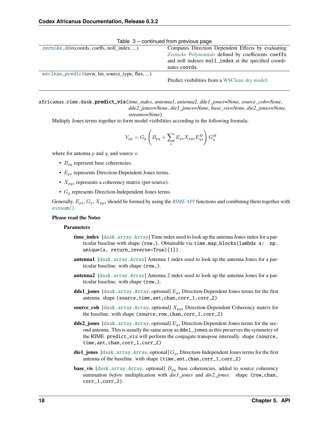| $zernike\_dde$ (coords, coeffs, noll index, ) | Computes Direction Dependent Effects by evaluating   |  |
|-----------------------------------------------|------------------------------------------------------|--|
|                                               | Zernicke Polynomials defined by coefficients coeffs  |  |
|                                               | and noll indexes noll_index at the specified coordi- |  |
|                                               | nates coords.                                        |  |
| wsclean_predict(uvw, lm, source_type, flux, ) |                                                      |  |
|                                               | Predict visibilities from a WSClean sky model.       |  |

Table 3 – continued from previous page

<span id="page-21-0"></span>africanus.rime.dask.predict\_vis(*time\_index*, *antenna1*, *antenna2*, *dde1\_jones=None*, *source\_coh=None*, *dde2\_jones=None*, *die1\_jones=None*, *base\_vis=None*, *die2\_jones=None*,

*streams=None*)

Multiply Jones terms together to form model visibilities according to the following formula:

$$
V_{pq} = G_p \left( B_{pq} + \sum_s E_{ps} X_{pqs} E_{qs}^H \right) G_q^H
$$

where for antenna  $p$  and  $q$ , and source  $s$ :

- $B_{pq}$  represent base coherencies.
- $E_{ps}$  represents Direction-Dependent Jones terms.
- $X_{pqs}$  represents a coherency matrix (per-source).
- $G_n$  represents Direction-Independent Jones terms.

Generally,  $E_{ps}$ ,  $G_p$ ,  $X_{pqs}$  should be formed by using the *[RIME API](#page-12-1)* functions and combining them together with [einsum\(\)](https://numpy.org/doc/stable/reference/generated/numpy.einsum.html#numpy.einsum).

#### **Please read the Notes**

#### **Parameters**

- **time\_index** [[dask.array.Array](https://docs.dask.org/en/latest/generated/dask.array.Array.html#dask.array.Array)] Time index used to look up the antenna Jones index for a particular baseline with shape (row,). Obtainable via time.map\_blocks(lambda a: np. unique(a, return\_inverse=True)[1]).
- **antenna1** [[dask.array.Array](https://docs.dask.org/en/latest/generated/dask.array.Array.html#dask.array.Array)] Antenna 1 index used to look up the antenna Jones for a particular baseline. with shape (row,).
- **antenna2** [[dask.array.Array](https://docs.dask.org/en/latest/generated/dask.array.Array.html#dask.array.Array)] Antenna 2 index used to look up the antenna Jones for a particular baseline. with shape (row,).
- **dde1\_jones** [[dask.array.Array](https://docs.dask.org/en/latest/generated/dask.array.Array.html#dask.array.Array), optional]  $E_{ps}$  Direction-Dependent Jones terms for the first antenna. shape (source, time, ant, chan, corr\_1, corr\_2)
- **source\_coh** [[dask.array.Array](https://docs.dask.org/en/latest/generated/dask.array.Array.html#dask.array.Array), optional]  $X_{pqs}$  Direction-Dependent Coherency matrix for the baseline. with shape (source,row,chan,corr\_1,corr\_2)
- **dde2\_jones** [[dask.array.Array](https://docs.dask.org/en/latest/generated/dask.array.Array.html#dask.array.Array), optional]  $E_{qs}$  Direction-Dependent Jones terms for the second antenna. This is usually the same array as dde1\_jones as this preserves the symmetry of the RIME. predict\_vis will perform the conjugate transpose internally. shape (source, time,ant,chan,corr\_1,corr\_2)
- **die1\_jones** [[dask.array.Array](https://docs.dask.org/en/latest/generated/dask.array.Array.html#dask.array.Array), optional]  $G_{ps}$  Direction-Independent Jones terms for the first antenna of the baseline. with shape (time, ant, chan, corr\_1, corr\_2)
- **base\_vis** [[dask.array.Array](https://docs.dask.org/en/latest/generated/dask.array.Array.html#dask.array.Array), optional]  $B_{pq}$  base coherencies, added to source coherency summation *before* multiplication with *die1\_jones* and *die2\_jones*. shape (row,chan, corr\_1,corr\_2).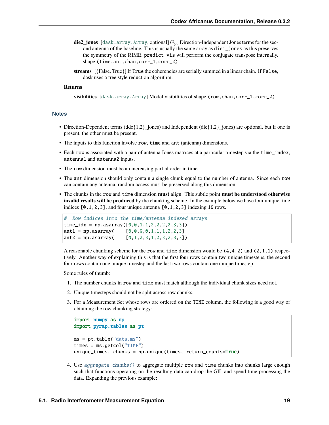- $die2_jones$  [[dask.array.Array](https://docs.dask.org/en/latest/generated/dask.array.Array.html#dask.array.Array), optional]  $G_{ps}$  Direction-Independent Jones terms for the second antenna of the baseline. This is usually the same array as die1\_jones as this preserves the symmetry of the RIME. predict\_vis will perform the conjugate transpose internally. shape (time, ant, chan, corr\_1, corr\_2)
- **streams** [{False, True}] If True the coherencies are serially summed in a linear chain. If False, dask uses a tree style reduction algorithm.

#### **Returns**

**visibilities** [[dask.array.Array](https://docs.dask.org/en/latest/generated/dask.array.Array.html#dask.array.Array)] Model visibilities of shape (row, chan, corr\_1, corr\_2)

#### **Notes**

- Direction-Dependent terms (dde{1,2}\_jones) and Independent (die{1,2}\_jones) are optional, but if one is present, the other must be present.
- The inputs to this function involve row, time and ant (antenna) dimensions.
- Each row is associated with a pair of antenna Jones matrices at a particular timestep via the time\_index, antenna1 and antenna2 inputs.
- The row dimension must be an increasing partial order in time.
- The ant dimension should only contain a single chunk equal to the number of antenna. Since each row can contain any antenna, random access must be preserved along this dimension.
- The chunks in the row and time dimension **must** align. This subtle point **must be understood otherwise invalid results will be produced** by the chunking scheme. In the example below we have four unique time indices  $[0,1,2,3]$ , and four unique antenna  $[0,1,2,3]$  indexing 10 rows.

```
# Row indices into the time/antenna indexed arrays
time_idx = np.asarray([0, 0, 1, 1, 2, 2, 2, 2, 3, 3])
ant1 = np.asarray([0,0,0,0,1,1,1,2,2,3]ant2 = np.asarray([0,1,2,3,1,2,3,2,3,3])
```
A reasonable chunking scheme for the row and time dimension would be  $(4,4,2)$  and  $(2,1,1)$  respectively. Another way of explaining this is that the first four rows contain two unique timesteps, the second four rows contain one unique timestep and the last two rows contain one unique timestep.

Some rules of thumb:

- 1. The number chunks in row and time must match although the individual chunk sizes need not.
- 2. Unique timesteps should not be split across row chunks.
- 3. For a Measurement Set whose rows are ordered on the TIME column, the following is a good way of obtaining the row chunking strategy:

```
import numpy as np
import pyrap.tables as pt
ms = pt.table("data.ms")
times = ms.getcol("TIME")unique_times, chunks = np.unique(times, return_counts=True)
```
4. Use [aggregate\\_chunks\(\)](#page-64-0) to aggregate multiple row and time chunks into chunks large enough such that functions operating on the resulting data can drop the GIL and spend time processing the data. Expanding the previous example: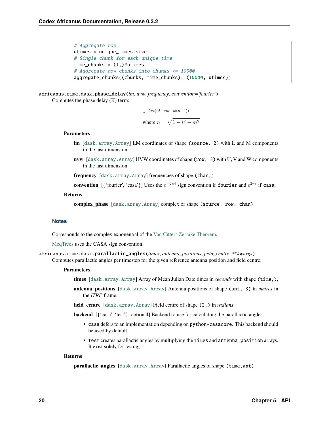```
# Aggregate row
utimes = unique_times.size
# Single chunk for each unique time
time_chunks = (1,)*utimes
# Aggregate row chunks into chunks <= 10000
aggregate_chunks((chunks, time_chunks), (10000, utimes))
```
<span id="page-23-0"></span>africanus.rime.dask.phase\_delay(*lm*, *uvw*, *frequency*, *convention='fourier'*) Computes the phase delay (K) term:

$$
e^{-2\pi i (ul+vm+w(n-1))}
$$
  
where 
$$
n = \sqrt{1 - l^2 - m^2}
$$

#### **Parameters**

- **lm** [[dask.array.Array](https://docs.dask.org/en/latest/generated/dask.array.Array.html#dask.array.Array)] LM coordinates of shape (source, 2) with L and M components in the last dimension.
- **uvw** [[dask.array.Array](https://docs.dask.org/en/latest/generated/dask.array.Array.html#dask.array.Array)] UVW coordinates of shape (row, 3) with U, V and W components in the last dimension.

**frequency** [[dask.array.Array](https://docs.dask.org/en/latest/generated/dask.array.Array.html#dask.array.Array)] frequencies of shape (chan,)

**convention** [{'fourier', 'casa'}] Uses the  $e^{-2\pi i}$  sign convention if fourier and  $e^{2\pi i}$  if casa.

#### **Returns**

**complex phase** [[dask.array.Array](https://docs.dask.org/en/latest/generated/dask.array.Array.html#dask.array.Array)] complex of shape (source, row, chan)

#### **Notes**

Corresponds to the complex exponential of the [Van Cittert-Zernike Theorem.](https://en.wikipedia.org/wiki/Van_Cittert%E2%80%93Zernike_theorem_)

[MeqTrees](https://github.com/ska-sa/meqtrees-timba/blob/6a7e873d4d1fe538981dec5851418cbd371b8388/MeqNodes/src/PSVTensor.cc#L314_) uses the CASA sign convention.

<span id="page-23-1"></span>africanus.rime.dask.parallactic\_angles(*times*, *antenna\_positions*, *field\_centre*, *\*\*kwargs*) Computes parallactic angles per timestep for the given reference antenna position and field centre.

#### **Parameters**

- **times** [[dask.array.Array](https://docs.dask.org/en/latest/generated/dask.array.Array.html#dask.array.Array)] Array of Mean Julian Date times in *seconds* with shape (time,),
- **antenna\_positions** [[dask.array.Array](https://docs.dask.org/en/latest/generated/dask.array.Array.html#dask.array.Array)] Antenna positions of shape (ant, 3) in *metres* in the *ITRF* frame.

**field\_centre** [[dask.array.Array](https://docs.dask.org/en/latest/generated/dask.array.Array.html#dask.array.Array)] Field centre of shape (2,) in *radians*

**backend**  $[\{\text{`cas'}, \text{`test'}\}, \text{optional}]$  Backend to use for calculating the parallactic angles.

- casa defers to an implementation depending on python-casacore. This backend should be used by default.
- test creates parallactic angles by multiplying the times and antenna\_position arrays. It exist solely for testing.

#### <span id="page-23-2"></span>**Returns**

**parallactic\_angles** [[dask.array.Array](https://docs.dask.org/en/latest/generated/dask.array.Array.html#dask.array.Array)] Parallactic angles of shape (time,ant)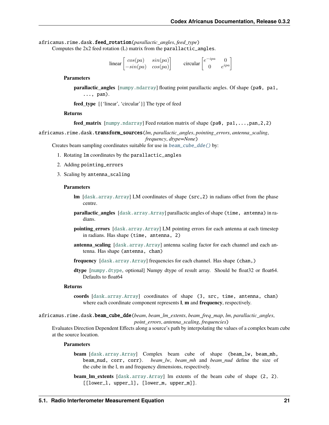africanus.rime.dask.feed\_rotation(*parallactic\_angles*, *feed\_type*) Computes the 2x2 feed rotation (L) matrix from the parallactic\_angles.

> $\lim_{\epsilon \to 0} \left[ \begin{array}{cc} \cos(pa) & \sin(pa) \\ \sin(n\epsilon) & \cos(n\epsilon) \end{array} \right]$  $-sin(pa) \cos(pa)$  $\left[\begin{array}{cc} e^{-ipa} & 0 \\ 0 & e^{ipb} \end{array}\right]$  $\begin{bmatrix} ipa & 0 \\ 0 & e^{ipa} \end{bmatrix}$

#### **Parameters**

**parallactic angles** [[numpy.ndarray](https://numpy.org/doc/stable/reference/generated/numpy.ndarray.html#numpy.ndarray)] floating point parallactic angles. Of shape (pa0, pa1, ..., pan).

**feed\_type** [{'linear', 'circular'}] The type of feed

#### **Returns**

**feed matrix** [[numpy.ndarray](https://numpy.org/doc/stable/reference/generated/numpy.ndarray.html#numpy.ndarray)] Feed rotation matrix of shape (pa0, pa1,...,pan,2,2)

<span id="page-24-0"></span>africanus.rime.dask.transform\_sources(*lm*, *parallactic\_angles*, *pointing\_errors*, *antenna\_scaling*, *frequency*, *dtype=None*)

Creates beam sampling coordinates suitable for use in [beam\\_cube\\_dde\(\)](#page-15-2) by:

- 1. Rotating lm coordinates by the parallactic\_angles
- 2. Adding pointing\_errors
- 3. Scaling by antenna\_scaling

#### **Parameters**

- **lm** [[dask.array.Array](https://docs.dask.org/en/latest/generated/dask.array.Array.html#dask.array.Array)] LM coordinates of shape (src,2) in radians offset from the phase centre.
- **parallactic\_angles** [[dask.array.Array](https://docs.dask.org/en/latest/generated/dask.array.Array.html#dask.array.Array)] parallactic angles of shape (time, antenna) in radians.
- **pointing\_errors** [[dask.array.Array](https://docs.dask.org/en/latest/generated/dask.array.Array.html#dask.array.Array)] LM pointing errors for each antenna at each timestep in radians. Has shape (time, antenna, 2)
- **antenna\_scaling** [[dask.array.Array](https://docs.dask.org/en/latest/generated/dask.array.Array.html#dask.array.Array)] antenna scaling factor for each channel and each antenna. Has shape (antenna, chan)
- **frequency**  $[dask.array]$  frequencies for each channel. Has shape (chan,)
- **dtype** [[numpy.dtype](https://numpy.org/doc/stable/reference/generated/numpy.dtype.html#numpy.dtype), optional] Numpy dtype of result array. Should be float32 or float64. Defaults to float64

#### **Returns**

**coords** [[dask.array.Array](https://docs.dask.org/en/latest/generated/dask.array.Array.html#dask.array.Array)] coordinates of shape (3, src, time, antenna, chan) where each coordinate component represents **l**, **m** and **frequency**, respectively.

#### <span id="page-24-1"></span>africanus.rime.dask.beam\_cube\_dde(*beam*, *beam\_lm\_extents*, *beam\_freq\_map*, *lm*, *parallactic\_angles*, *point\_errors*, *antenna\_scaling*, *frequencies*)

Evaluates Direction Dependent Effects along a source's path by interpolating the values of a complex beam cube at the source location.

#### **Parameters**

**beam** [[dask.array.Array](https://docs.dask.org/en/latest/generated/dask.array.Array.html#dask.array.Array)] Complex beam cube of shape (beam\_lw, beam\_mh, beam\_nud, corr, corr). *beam\_lw*, *beam\_mh* and *beam\_nud* define the size of the cube in the l, m and frequency dimensions, respectively.

**beam\_lm\_extents** [[dask.array.Array](https://docs.dask.org/en/latest/generated/dask.array.Array.html#dask.array.Array)] lm extents of the beam cube of shape (2, 2). [[lower\_l, upper\_l], [lower\_m, upper\_m]].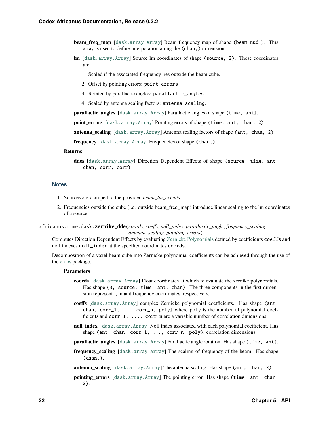- **beam freq map** [[dask.array.Array](https://docs.dask.org/en/latest/generated/dask.array.Array.html#dask.array.Array)] Beam frequency map of shape (beam\_nud,). This array is used to define interpolation along the (chan,) dimension.
- **lm** [[dask.array.Array](https://docs.dask.org/en/latest/generated/dask.array.Array.html#dask.array.Array)] Source lm coordinates of shape (source, 2). These coordinates are:
	- 1. Scaled if the associated frequency lies outside the beam cube.
	- 2. Offset by pointing errors: point\_errors
	- 3. Rotated by parallactic angles: parallactic\_angles.
	- 4. Scaled by antenna scaling factors: antenna\_scaling.

**parallactic\_angles** [[dask.array.Array](https://docs.dask.org/en/latest/generated/dask.array.Array.html#dask.array.Array)] Parallactic angles of shape (time, ant).

**point\_errors** [[dask.array.Array](https://docs.dask.org/en/latest/generated/dask.array.Array.html#dask.array.Array)] Pointing errors of shape (time, ant, chan, 2).

**antenna\_scaling** [[dask.array.Array](https://docs.dask.org/en/latest/generated/dask.array.Array.html#dask.array.Array)] Antenna scaling factors of shape (ant, chan, 2)

**frequency** [[dask.array.Array](https://docs.dask.org/en/latest/generated/dask.array.Array.html#dask.array.Array)] Frequencies of shape (chan,).

#### **Returns**

**ddes** [[dask.array.Array](https://docs.dask.org/en/latest/generated/dask.array.Array.html#dask.array.Array)] Direction Dependent Effects of shape (source, time, ant, chan, corr, corr)

#### **Notes**

- 1. Sources are clamped to the provided *beam\_lm\_extents*.
- 2. Frequencies outside the cube (i.e. outside beam\_freq\_map) introduce linear scaling to the lm coordinates of a source.

<span id="page-25-0"></span>africanus.rime.dask.zernike\_dde(*coords*, *coeffs*, *noll\_index*, *parallactic\_angle*, *frequency\_scaling*, *antenna\_scaling*, *pointing\_errors*)

Computes Direction Dependent Effects by evaluating [Zernicke Polynomials](https://en.wikipedia.org/wiki/Zernike_polynomials) defined by coefficients coeffs and noll indexes noll\_index at the specified coordinates coords.

Decomposition of a voxel beam cube into Zernicke polynomial coefficients can be achieved through the use of the [eidos](https://github.com/kmbasad/eidos/) package.

#### **Parameters**

- **coords** [[dask.array.Array](https://docs.dask.org/en/latest/generated/dask.array.Array.html#dask.array.Array)] Float coordinates at which to evaluate the zernike polynomials. Has shape (3, source, time, ant, chan). The three components in the first dimension represent l, m and frequency coordinates, respectively.
- **coeffs** [[dask.array.Array](https://docs.dask.org/en/latest/generated/dask.array.Array.html#dask.array.Array)] complex Zernicke polynomial coefficients. Has shape (ant, chan,  $corr_1$ , ...,  $corr_n$ , poly) where poly is the number of polynomial coefficients and corr\_1, ..., corr\_n are a variable number of correlation dimensions.
- **noll index** [[dask.array.Array](https://docs.dask.org/en/latest/generated/dask.array.Array.html#dask.array.Array)] Noll index associated with each polynomial coefficient. Has shape (ant, chan,  $corr_1$ , ...,  $corr_n$ , poly). correlation dimensions.
- **parallactic\_angles** [[dask.array.Array](https://docs.dask.org/en/latest/generated/dask.array.Array.html#dask.array.Array)] Parallactic angle rotation. Has shape (time, ant).
- **frequency\_scaling** [[dask.array.Array](https://docs.dask.org/en/latest/generated/dask.array.Array.html#dask.array.Array)] The scaling of frequency of the beam. Has shape (chan,).

**antenna\_scaling** [[dask.array.Array](https://docs.dask.org/en/latest/generated/dask.array.Array.html#dask.array.Array)] The antenna scaling. Has shape (ant, chan, 2).

**pointing\_errors** [[dask.array.Array](https://docs.dask.org/en/latest/generated/dask.array.Array.html#dask.array.Array)] The pointing error. Has shape (time, ant, chan, 2).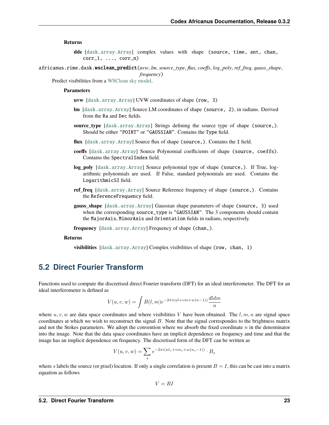#### **Returns**

- **dde** [[dask.array.Array](https://docs.dask.org/en/latest/generated/dask.array.Array.html#dask.array.Array)] complex values with shape (source, time, ant, chan,  $corr_1, \ldots, corr_n)$
- <span id="page-26-1"></span>africanus.rime.dask.wsclean\_predict(*uvw*, *lm*, *source\_type*, *flux*, *coeffs*, *log\_poly*, *ref\_freq*, *gauss\_shape*, *frequency*)

Predict visibilities from a [WSClean sky model.](https://sourceforge.net/p/wsclean/wiki/ComponentList/)

#### **Parameters**

- **uvw** [[dask.array.Array](https://docs.dask.org/en/latest/generated/dask.array.Array.html#dask.array.Array)] UVW coordinates of shape (row, 3)
- **lm** [[dask.array.Array](https://docs.dask.org/en/latest/generated/dask.array.Array.html#dask.array.Array)] Source LM coordinates of shape (source, 2), in radians. Derived from the Ra and Dec fields.
- **source\_type** [[dask.array.Array](https://docs.dask.org/en/latest/generated/dask.array.Array.html#dask.array.Array)] Strings defining the source type of shape (source,). Should be either "POINT" or "GAUSSIAN". Contains the Type field.
- flux [[dask.array.Array](https://docs.dask.org/en/latest/generated/dask.array.Array.html#dask.array.Array)] Source flux of shape (source,). Contains the I field.
- **coeffs** [[dask.array.Array](https://docs.dask.org/en/latest/generated/dask.array.Array.html#dask.array.Array)] Source Polynomial coefficients of shape (source, coeffs). Contains the SpectralIndex field.
- **log\_poly** [[dask.array.Array](https://docs.dask.org/en/latest/generated/dask.array.Array.html#dask.array.Array)] Source polynomial type of shape (source,). If True, logarithmic polynomials are used. If False, standard polynomials are used. Contains the LogarithmicSI field.
- **ref freq** [[dask.array.Array](https://docs.dask.org/en/latest/generated/dask.array.Array.html#dask.array.Array)] Source Reference frequency of shape (source,). Contains the ReferenceFrequency field.
- **gauss\_shape** [[dask.array.Array](https://docs.dask.org/en/latest/generated/dask.array.Array.html#dask.array.Array)] Gaussian shape parameters of shape (source, 3) used when the corresponding source\_type is "GAUSSIAN". The 3 components should contain the MajorAxis, MinorAxis and Orientation fields in radians, respectively.
- **frequency** [[dask.array.Array](https://docs.dask.org/en/latest/generated/dask.array.Array.html#dask.array.Array)] Frequency of shape (chan,).

#### **Returns**

**visibilities** [[dask.array.Array](https://docs.dask.org/en/latest/generated/dask.array.Array.html#dask.array.Array)] Complex visibilities of shape (row, chan, 1)

# <span id="page-26-0"></span>**5.2 Direct Fourier Transform**

Functions used to compute the discretised direct Fourier transform (DFT) for an ideal interferometer. The DFT for an ideal interferometer is defined as

$$
V(u, v, w) = \int B(l, m)e^{-2\pi i(ul + vw + w(n-1))} \frac{dldm}{n}
$$

where  $u, v, w$  are data space coordinates and where visibilities V have been obtained. The  $l, m, n$  are signal space coordinates at which we wish to reconstruct the signal  $B$ . Note that the signal correspondes to the brightness matrix and not the Stokes parameters. We adopt the convention where we absorb the fixed coordinate  $n$  in the denominator into the image. Note that the data space coordinates have an implicit dependence on frequency and time and that the image has an implicit dependence on frequency. The discretised form of the DFT can be written as

$$
V(u,v,w) = \sum_{s} e^{-2\pi i (ul_s + v m_s + w(n_s - 1))} \cdot B_s
$$

where s labels the source (or pixel) location. If only a single correlation is present  $B = I$ , this can be cast into a matrix equation as follows

 $V = RI$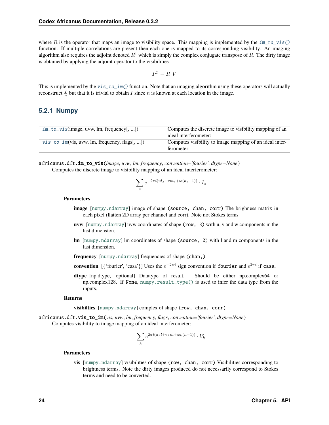where R is the operator that maps an image to visibility space. This mapping is implemented by the  $im\_to\_vis()$ function. If multiple correlations are present then each one is mapped to its corresponding visibility. An imaging algorithm also requires the adjoint denoted  $R^{\dagger}$  which is simply the complex conjugate transpose of R. The dirty image is obtained by applying the adjoint operator to the visibilities

$$
I^D = R^{\dagger} V
$$

This is implemented by the  $vis_to_im()$  function. Note that an imaging algorithm using these operators will actually reconstruct  $\frac{I}{n}$  but that it is trivial to obtain *I* since *n* is known at each location in the image.

### **5.2.1 Numpy**

| $im\_to\_vis$ (image, uvw, lm, frequency[, ])    | Computes the discrete image to visibility mapping of an<br>ideal interferometer: |
|--------------------------------------------------|----------------------------------------------------------------------------------|
| $vis\_to\_im(vis, uvw, lm, frequency, flags[,])$ | Computes visibility to image mapping of an ideal inter-<br>ferometer:            |

<span id="page-27-0"></span>africanus.dft.im\_to\_vis(*image*, *uvw*, *lm*, *frequency*, *convention='fourier'*, *dtype=None*) Computes the discrete image to visibility mapping of an ideal interferometer:

$$
\sum_{s} e^{-2\pi i (ul_s + v m_s + w(n_s - 1))} \cdot I_s
$$

#### **Parameters**

- **image** [[numpy.ndarray](https://numpy.org/doc/stable/reference/generated/numpy.ndarray.html#numpy.ndarray)] image of shape (source, chan, corr) The brighness matrix in each pixel (flatten 2D array per channel and corr). Note not Stokes terms
- **uvw** [[numpy.ndarray](https://numpy.org/doc/stable/reference/generated/numpy.ndarray.html#numpy.ndarray)] uvw coordinates of shape (row, 3) with u, v and w components in the last dimension.
- **lm** [[numpy.ndarray](https://numpy.org/doc/stable/reference/generated/numpy.ndarray.html#numpy.ndarray)] lm coordinates of shape (source, 2) with l and m components in the last dimension.

**frequency** [[numpy.ndarray](https://numpy.org/doc/stable/reference/generated/numpy.ndarray.html#numpy.ndarray)] frequencies of shape (chan,)

- **convention** [{'fourier', 'casa'}] Uses the  $e^{-2\pi i}$  sign convention if fourier and  $e^{2\pi i}$  if casa.
- **dtype** [np.dtype, optional] Datatype of result. Should be either np.complex64 or np.complex128. If None, [numpy.result\\_type\(\)](https://numpy.org/doc/stable/reference/generated/numpy.result_type.html#numpy.result_type) is used to infer the data type from the inputs.

#### **Returns**

**visibilties** [[numpy.ndarray](https://numpy.org/doc/stable/reference/generated/numpy.ndarray.html#numpy.ndarray)] complex of shape (row, chan, corr)

<span id="page-27-1"></span>africanus.dft.vis\_to\_im(*vis*, *uvw*, *lm*, *frequency*, *flags*, *convention='fourier'*, *dtype=None*) Computes visibility to image mapping of an ideal interferometer:

$$
\sum_{k} e^{2\pi i (u_k l + v_k m + w_k (n-1))} \cdot V_k
$$

#### **Parameters**

**vis** [[numpy.ndarray](https://numpy.org/doc/stable/reference/generated/numpy.ndarray.html#numpy.ndarray)] visibilities of shape (row, chan, corr) Visibilities corresponding to brightness terms. Note the dirty images produced do not necessarily correspond to Stokes terms and need to be converted.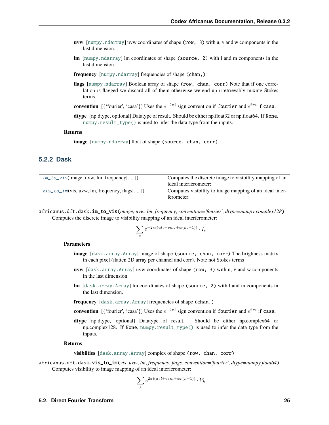- **uvw** [[numpy.ndarray](https://numpy.org/doc/stable/reference/generated/numpy.ndarray.html#numpy.ndarray)] uvw coordinates of shape (row, 3) with u, v and w components in the last dimension.
- **lm** [[numpy.ndarray](https://numpy.org/doc/stable/reference/generated/numpy.ndarray.html#numpy.ndarray)] lm coordinates of shape (source, 2) with l and m components in the last dimension.
- **frequency** [[numpy.ndarray](https://numpy.org/doc/stable/reference/generated/numpy.ndarray.html#numpy.ndarray)] frequencies of shape (chan,)
- flags [[numpy.ndarray](https://numpy.org/doc/stable/reference/generated/numpy.ndarray.html#numpy.ndarray)] Boolean array of shape (row, chan, corr) Note that if one correlation is flagged we discard all of them otherwise we end up irretrievably mixing Stokes terms.
- **convention** [{'fourier', 'casa'}] Uses the  $e^{-2\pi i}$  sign convention if fourier and  $e^{2\pi i}$  if casa.
- **dtype** [np.dtype, optional] Datatype of result. Should be either np.float32 or np.float64. If None, [numpy.result\\_type\(\)](https://numpy.org/doc/stable/reference/generated/numpy.result_type.html#numpy.result_type) is used to infer the data type from the inputs.

#### **Returns**

**image** [[numpy.ndarray](https://numpy.org/doc/stable/reference/generated/numpy.ndarray.html#numpy.ndarray)] float of shape (source, chan, corr)

### **5.2.2 Dask**

| $im\_to\_vis$ (image, uvw, lm, frequency[, ])    | Computes the discrete image to visibility mapping of an<br>ideal interferometer: |
|--------------------------------------------------|----------------------------------------------------------------------------------|
| $vis\_to\_im(vis, uvw, lm, frequency, flags[,])$ | Computes visibility to image mapping of an ideal inter-<br>ferometer:            |

<span id="page-28-0"></span>africanus.dft.dask.im\_to\_vis(*image*, *uvw*, *lm*, *frequency*, *convention='fourier'*, *dtype=numpy.complex128*) Computes the discrete image to visibility mapping of an ideal interferometer:

$$
\sum_s e^{-2\pi i (ul_s + v m_s + w (n_s-1))} \cdot I_s
$$

#### **Parameters**

- **image** [[dask.array.Array](https://docs.dask.org/en/latest/generated/dask.array.Array.html#dask.array.Array)] image of shape (source, chan, corr) The brighness matrix in each pixel (flatten 2D array per channel and corr). Note not Stokes terms
- **uvw** [[dask.array.Array](https://docs.dask.org/en/latest/generated/dask.array.Array.html#dask.array.Array)] uvw coordinates of shape (row, 3) with u, v and w components in the last dimension.
- **lm** [[dask.array.Array](https://docs.dask.org/en/latest/generated/dask.array.Array.html#dask.array.Array)] lm coordinates of shape (source, 2) with l and m components in the last dimension.
- **frequency** [[dask.array.Array](https://docs.dask.org/en/latest/generated/dask.array.Array.html#dask.array.Array)] frequencies of shape (chan,)
- **convention** [{'fourier', 'casa'}] Uses the  $e^{-2\pi i}$  sign convention if fourier and  $e^{2\pi i}$  if casa.
- **dtype** [np.dtype, optional] Datatype of result. Should be either np.complex64 or np.complex128. If None, [numpy.result\\_type\(\)](https://numpy.org/doc/stable/reference/generated/numpy.result_type.html#numpy.result_type) is used to infer the data type from the inputs.

#### **Returns**

**visibilties** [[dask.array.Array](https://docs.dask.org/en/latest/generated/dask.array.Array.html#dask.array.Array)] complex of shape (row, chan, corr)

<span id="page-28-1"></span>africanus.dft.dask.vis\_to\_im(*vis*, *uvw*, *lm*, *frequency*, *flags*, *convention='fourier'*, *dtype=numpy.float64*) Computes visibility to image mapping of an ideal interferometer:

$$
\sum_{k} e^{2\pi i (u_k l + v_k m + w_k (n-1))} \cdot V_k
$$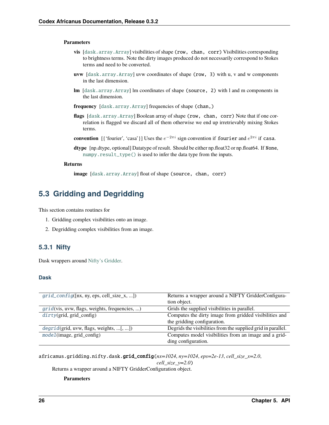#### **Parameters**

- **vis** [[dask.array.Array](https://docs.dask.org/en/latest/generated/dask.array.Array.html#dask.array.Array)] visibilities of shape (row, chan, corr) Visibilities corresponding to brightness terms. Note the dirty images produced do not necessarily correspond to Stokes terms and need to be converted.
- **uvw** [[dask.array.Array](https://docs.dask.org/en/latest/generated/dask.array.Array.html#dask.array.Array)] uvw coordinates of shape (row, 3) with u, v and w components in the last dimension.
- **lm** [[dask.array.Array](https://docs.dask.org/en/latest/generated/dask.array.Array.html#dask.array.Array)] lm coordinates of shape (source, 2) with l and m components in the last dimension.
- **frequency** [[dask.array.Array](https://docs.dask.org/en/latest/generated/dask.array.Array.html#dask.array.Array)] frequencies of shape (chan,)
- flags [[dask.array.Array](https://docs.dask.org/en/latest/generated/dask.array.Array.html#dask.array.Array)] Boolean array of shape (row, chan, corr) Note that if one correlation is flagged we discard all of them otherwise we end up irretrievably mixing Stokes terms.
- **convention** [{'fourier', 'casa'}] Uses the  $e^{-2\pi i}$  sign convention if fourier and  $e^{2\pi i}$  if casa.
- **dtype** [np.dtype, optional] Datatype of result. Should be either np.float32 or np.float64. If None, [numpy.result\\_type\(\)](https://numpy.org/doc/stable/reference/generated/numpy.result_type.html#numpy.result_type) is used to infer the data type from the inputs.

#### **Returns**

**image** [[dask.array.Array](https://docs.dask.org/en/latest/generated/dask.array.Array.html#dask.array.Array)] float of shape (source, chan, corr)

# <span id="page-29-0"></span>**5.3 Gridding and Degridding**

This section contains routines for

- 1. Gridding complex visibilities onto an image.
- 2. Degridding complex visibilities from an image.

### **5.3.1 Nifty**

Dask wrappers around [Nifty's Gridder.](https://gitlab.mpcdf.mpg.de/ift/nifty_gridder)

#### **Dask**

| $grid\_config([nx, ny,eps, cell_size_x, ])$   | Returns a wrapper around a NIFTY GridderConfigura-           |
|-----------------------------------------------|--------------------------------------------------------------|
|                                               | tion object.                                                 |
| grid(vis, uvw, flags, weights, frequencies, ) | Grids the supplied visibilities in parallel.                 |
| $dirty$ (grid, grid_config)                   | Computes the dirty image from gridded visibilities and       |
|                                               | the gridding configuration.                                  |
| $degrid(grid, uvw, flags, weights, [, ])$     | Degrids the visibilities from the supplied grid in parallel. |
| $model$ (image, grid_config)                  | Computes model visibilities from an image and a grid-        |
|                                               | ding configuration.                                          |

<span id="page-29-1"></span>africanus.gridding.nifty.dask.grid\_config(*nx=1024*, *ny=1024*, *eps=2e-13*, *cell\_size\_x=2.0*,

*cell\_size\_y=2.0*)

Returns a wrapper around a NIFTY GridderConfiguration object.

#### **Parameters**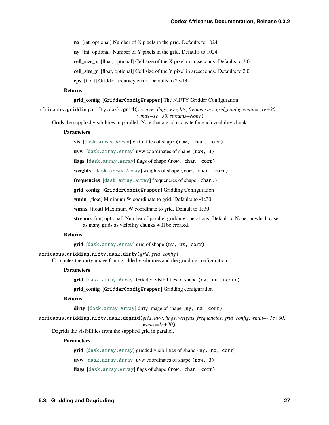**nx** [int, optional] Number of X pixels in the grid. Defaults to 1024.

**ny** [int, optional] Number of Y pixels in the grid. Defaults to 1024.

**cell\_size\_x** [float, optional] Cell size of the X pixel in arcseconds. Defaults to 2.0.

**cell\_size\_y** [float, optional] Cell size of the Y pixel in arcseconds. Defaults to 2.0.

**eps** [float] Gridder accuracy error. Defaults to 2e-13

#### **Returns**

#### **grid\_config** [GridderConfigWrapper] The NIFTY Gridder Configuration

<span id="page-30-0"></span>africanus.gridding.nifty.dask.grid(*vis*, *uvw*, *flags*, *weights*, *frequencies*, *grid\_config*, *wmin=- 1e+30*, *wmax=1e+30*, *streams=None*)

Grids the supplied visibilities in parallel. Note that a grid is create for each visibility chunk.

#### **Parameters**

**vis** [[dask.array.Array](https://docs.dask.org/en/latest/generated/dask.array.Array.html#dask.array.Array)] visibilities of shape (row, chan, corr)

**uvw** [[dask.array.Array](https://docs.dask.org/en/latest/generated/dask.array.Array.html#dask.array.Array)] uvw coordinates of shape (row, 3)

**flags** [[dask.array.Array](https://docs.dask.org/en/latest/generated/dask.array.Array.html#dask.array.Array)] flags of shape (row, chan, corr)

**weights** [[dask.array.Array](https://docs.dask.org/en/latest/generated/dask.array.Array.html#dask.array.Array)] weights of shape (row, chan, corr).

**frequencies** [[dask.array.Array](https://docs.dask.org/en/latest/generated/dask.array.Array.html#dask.array.Array)] frequencies of shape (chan,)

**grid\_config** [GridderConfigWrapper] Gridding Configuration

**wmin** [float] Minimum W coordinate to grid. Defaults to -1e30.

**wmax** [float] Maximum W coordinate to grid. Default to 1e30.

**streams** [int, optional] Number of parallel gridding operations. Default to None, in which case as many grids as visibility chunks will be created.

#### **Returns**

**grid** [[dask.array.Array](https://docs.dask.org/en/latest/generated/dask.array.Array.html#dask.array.Array)] grid of shape (ny, nx, corr)

<span id="page-30-1"></span>africanus.gridding.nifty.dask.dirty(*grid*, *grid\_config*) Computes the dirty image from gridded visibilities and the gridding configuration.

#### **Parameters**

**grid** [[dask.array.Array](https://docs.dask.org/en/latest/generated/dask.array.Array.html#dask.array.Array)] Gridded visibilities of shape (nv, nu, ncorr)

**grid\_config** [GridderConfigWrapper] Gridding configuration

#### **Returns**

**dirty** [[dask.array.Array](https://docs.dask.org/en/latest/generated/dask.array.Array.html#dask.array.Array)] dirty image of shape (ny, nx, corr)

<span id="page-30-2"></span>africanus.gridding.nifty.dask.degrid(*grid*, *uvw*, *flags*, *weights*, *frequencies*, *grid\_config*, *wmin=- 1e+30*,

*wmax=1e+30*) Degrids the visibilities from the supplied grid in parallel.

#### **Parameters**

**grid** [[dask.array.Array](https://docs.dask.org/en/latest/generated/dask.array.Array.html#dask.array.Array)] gridded visibilities of shape (ny, nx, corr)

**uvw** [[dask.array.Array](https://docs.dask.org/en/latest/generated/dask.array.Array.html#dask.array.Array)] uvw coordinates of shape (row, 3)

**flags** [[dask.array.Array](https://docs.dask.org/en/latest/generated/dask.array.Array.html#dask.array.Array)] flags of shape (row, chan, corr)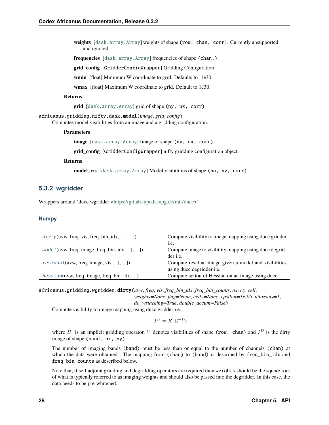**weights** [[dask.array.Array](https://docs.dask.org/en/latest/generated/dask.array.Array.html#dask.array.Array)] weights of shape (row, chan, corr). Currently unsupported and ignored.

**frequencies** [[dask.array.Array](https://docs.dask.org/en/latest/generated/dask.array.Array.html#dask.array.Array)] frequencies of shape (chan,)

**grid\_config** [GridderConfigWrapper] Gridding Configuration

**wmin** [float] Minimum W coordinate to grid. Defaults to -1e30.

**wmax** [float] Maximum W coordinate to grid. Default to 1e30.

#### **Returns**

**grid** [[dask.array.Array](https://docs.dask.org/en/latest/generated/dask.array.Array.html#dask.array.Array)] grid of shape (ny, nx, corr)

<span id="page-31-0"></span>africanus.gridding.nifty.dask.model(*image*, *grid\_config*) Computes model visibilities from an image and a gridding configuration.

#### **Parameters**

**image** [[dask.array.Array](https://docs.dask.org/en/latest/generated/dask.array.Array.html#dask.array.Array)] Image of shape (ny, nx, corr).

**grid** config [GridderConfigWrapper] nifty gridding configuration object

#### **Returns**

**model\_vis** [[dask.array.Array](https://docs.dask.org/en/latest/generated/dask.array.Array.html#dask.array.Array)] Model visibilities of shape (nu, nv, corr).

### **5.3.2 wgridder**

Wrappers around 'ducc.wgridder [<https://gitlab.mpcdf.mpg.de/mtr/ducc>](https://gitlab.mpcdf.mpg.de/mtr/ducc)`\_.

#### **Numpy**

| $dirty(uvw, freq, vis, freq\_bin_idx, [, )$    | Compute visibility to image mapping using ducc gridder |
|------------------------------------------------|--------------------------------------------------------|
|                                                | i.e.                                                   |
| $model(uvw, freq, image, freq\_bin_idx,   , )$ | Compute image to visibility mapping using ducc degrid- |
|                                                | der <i>i.e.</i>                                        |
| $residual(uvw, freq, image, vis, [, ])$        | Compute residual image given a model and visibilities  |
|                                                | using ducc degridder i.e.                              |
| $hessian(uvw, freq, image, freq\_bin_idx, )$   | Compute action of Hessian on an image using ducc       |

<span id="page-31-1"></span>africanus.gridding.wgridder.dirty(*uvw*, *freq*, *vis*, *freq\_bin\_idx*, *freq\_bin\_counts*, *nx*, *ny*, *cell*, *weights=None*, *flag=None*, *celly=None*, *epsilon=1e-05*, *nthreads=1*,

*do\_wstacking=True*, *double\_accum=False*)

Compute visibility to image mapping using ducc gridder i.e.

$$
I^D=R^\dagger \Sigma^{-1} V
$$

where  $R^{\dagger}$  is an implicit gridding operator, V denotes visibilities of shape (row, chan) and  $I^D$  is the dirty image of shape (band, nx, ny).

The number of imaging bands (band) must be less than or equal to the number of channels (chan) at which the data were obtained. The mapping from (chan) to (band) is described by freq\_bin\_idx and freq\_bin\_counts as described below.

Note that, if self adjoint gridding and degridding operators are required then weights should be the square root of what is typically referred to as imaging weights and should also be passed into the degridder. In this case, the data needs to be pre-whitened.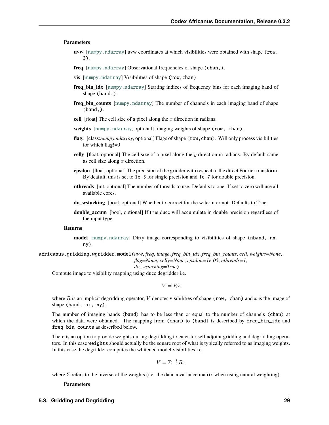#### **Parameters**

- **uvw** [[numpy.ndarray](https://numpy.org/doc/stable/reference/generated/numpy.ndarray.html#numpy.ndarray)] uvw coordinates at which visibilities were obtained with shape (row, 3).
- **freq** [[numpy.ndarray](https://numpy.org/doc/stable/reference/generated/numpy.ndarray.html#numpy.ndarray)] Observational frequencies of shape (chan,).
- **vis** [[numpy.ndarray](https://numpy.org/doc/stable/reference/generated/numpy.ndarray.html#numpy.ndarray)] Visibilities of shape (row,chan).
- **freq\_bin\_idx** [[numpy.ndarray](https://numpy.org/doc/stable/reference/generated/numpy.ndarray.html#numpy.ndarray)] Starting indices of frequency bins for each imaging band of shape (band,).
- **freq\_bin\_counts** [[numpy.ndarray](https://numpy.org/doc/stable/reference/generated/numpy.ndarray.html#numpy.ndarray)] The number of channels in each imaging band of shape (band,).
- **cell** [float] The cell size of a pixel along the  $x$  direction in radians.
- **weights** [[numpy.ndarray](https://numpy.org/doc/stable/reference/generated/numpy.ndarray.html#numpy.ndarray), optional] Imaging weights of shape (row, chan).
- **flag:** [class:*numpy.ndarray*, optional] Flags of shape (row,chan). Will only process visibilities for which flag!=0
- **celly** [float, optional] The cell size of a pixel along the  $y$  direction in radians. By default same as cell size along  $x$  direction.
- **epsilon** [float, optional] The precision of the gridder with respect to the direct Fourier transform. By deafult, this is set to 1e-5 for single precision and 1e-7 for double precision.
- **nthreads** [int, optional] The number of threads to use. Defaults to one. If set to zero will use all available cores.
- **do\_wstacking** [bool, optional] Whether to correct for the w-term or not. Defaults to True
- **double\_accum** [bool, optional] If true ducc will accumulate in double precision regardless of the input type.

#### **Returns**

**model** [[numpy.ndarray](https://numpy.org/doc/stable/reference/generated/numpy.ndarray.html#numpy.ndarray)] Dirty image corresponding to visibilities of shape (nband, nx, ny).

<span id="page-32-0"></span>africanus.gridding.wgridder.model(*uvw*, *freq*, *image*, *freq\_bin\_idx*, *freq\_bin\_counts*, *cell*, *weights=None*, *flag=None*, *celly=None*, *epsilon=1e-05*, *nthreads=1*,

*do\_wstacking=True*)

Compute image to visibility mapping using ducc degridder i.e.

 $V=Rx$ 

where  $R$  is an implicit degridding operator,  $V$  denotes visibilities of shape (row, chan) and  $x$  is the image of shape (band, nx, ny).

The number of imaging bands (band) has to be less than or equal to the number of channels (chan) at which the data were obtained. The mapping from (chan) to (band) is described by freq\_bin\_idx and freq\_bin\_counts as described below.

There is an option to provide weights during degridding to cater for self adjoint gridding and degridding operators. In this case weights should actually be the square root of what is typically referred to as imaging weights. In this case the degridder computes the whitened model visibilities i.e.

$$
V = \Sigma^{-\frac{1}{2}} R x
$$

where  $\Sigma$  refers to the inverse of the weights (i.e. the data covariance matrix when using natural weighting).

**Parameters**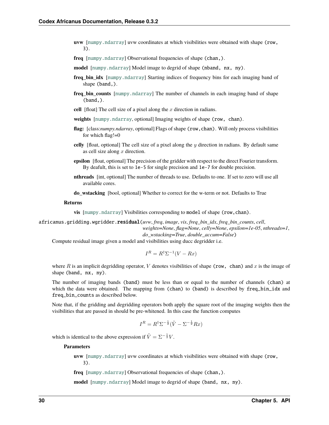- **uvw** [[numpy.ndarray](https://numpy.org/doc/stable/reference/generated/numpy.ndarray.html#numpy.ndarray)] uvw coordinates at which visibilities were obtained with shape (row, 3).
- **freq** [[numpy.ndarray](https://numpy.org/doc/stable/reference/generated/numpy.ndarray.html#numpy.ndarray)] Observational frequencies of shape (chan,).
- **model** [[numpy.ndarray](https://numpy.org/doc/stable/reference/generated/numpy.ndarray.html#numpy.ndarray)] Model image to degrid of shape (nband, nx, ny).
- **freq bin idx** [[numpy.ndarray](https://numpy.org/doc/stable/reference/generated/numpy.ndarray.html#numpy.ndarray)] Starting indices of frequency bins for each imaging band of shape (band,).
- **freq bin counts** [[numpy.ndarray](https://numpy.org/doc/stable/reference/generated/numpy.ndarray.html#numpy.ndarray)] The number of channels in each imaging band of shape (band,).
- **cell** [float] The cell size of a pixel along the  $x$  direction in radians.
- **weights** [[numpy.ndarray](https://numpy.org/doc/stable/reference/generated/numpy.ndarray.html#numpy.ndarray), optional] Imaging weights of shape (row, chan).
- **flag:** [class:*numpy.ndarray*, optional] Flags of shape (row,chan). Will only process visibilities for which flag!=0
- **celly** [float, optional] The cell size of a pixel along the  $y$  direction in radians. By default same as cell size along  $x$  direction.
- **epsilon** [float, optional] The precision of the gridder with respect to the direct Fourier transform. By deafult, this is set to 1e-5 for single precision and 1e-7 for double precision.
- **nthreads** [int, optional] The number of threads to use. Defaults to one. If set to zero will use all available cores.
- **do\_wstacking** [bool, optional] Whether to correct for the w-term or not. Defaults to True

#### **Returns**

**vis** [[numpy.ndarray](https://numpy.org/doc/stable/reference/generated/numpy.ndarray.html#numpy.ndarray)] Visibilities corresponding to model of shape (row,chan).

<span id="page-33-0"></span>africanus.gridding.wgridder.residual(*uvw*, *freq*, *image*, *vis*, *freq\_bin\_idx*, *freq\_bin\_counts*, *cell*, *weights=None*, *flag=None*, *celly=None*, *epsilon=1e-05*, *nthreads=1*,

*do\_wstacking=True*, *double\_accum=False*)

Compute residual image given a model and visibilities using ducc degridder i.e.

$$
I^R = R^{\dagger} \Sigma^{-1} (V - Rx)
$$

where R is an implicit degridding operator, V denotes visibilities of shape (row, chan) and x is the image of shape (band, nx, ny).

The number of imaging bands (band) must be less than or equal to the number of channels (chan) at which the data were obtained. The mapping from (chan) to (band) is described by freq\_bin\_idx and freq\_bin\_counts as described below.

Note that, if the gridding and degridding operators both apply the square root of the imaging weights then the visibilities that are passed in should be pre-whitened. In this case the function computes

$$
I^R = R^{\dagger} \Sigma^{-\frac{1}{2}} (\tilde{V} - \Sigma^{-\frac{1}{2}} R x)
$$

which is identical to the above expression if  $\tilde{V} = \Sigma^{-\frac{1}{2}} V$ .

#### **Parameters**

**uvw** [[numpy.ndarray](https://numpy.org/doc/stable/reference/generated/numpy.ndarray.html#numpy.ndarray)] uvw coordinates at which visibilities were obtained with shape (row, 3).

**freq** [[numpy.ndarray](https://numpy.org/doc/stable/reference/generated/numpy.ndarray.html#numpy.ndarray)] Observational frequencies of shape (chan,).

**model** [[numpy.ndarray](https://numpy.org/doc/stable/reference/generated/numpy.ndarray.html#numpy.ndarray)] Model image to degrid of shape (band, nx, ny).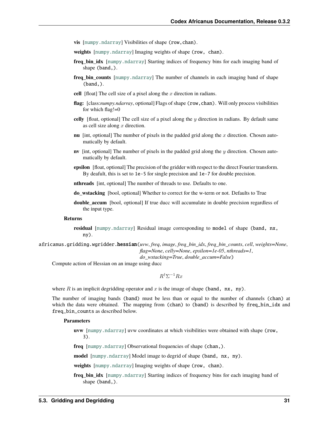- **vis** [[numpy.ndarray](https://numpy.org/doc/stable/reference/generated/numpy.ndarray.html#numpy.ndarray)] Visibilities of shape (row,chan).
- **weights** [[numpy.ndarray](https://numpy.org/doc/stable/reference/generated/numpy.ndarray.html#numpy.ndarray)] Imaging weights of shape (row, chan).
- **freq\_bin\_idx** [[numpy.ndarray](https://numpy.org/doc/stable/reference/generated/numpy.ndarray.html#numpy.ndarray)] Starting indices of frequency bins for each imaging band of shape (band,).
- **freq bin counts** [[numpy.ndarray](https://numpy.org/doc/stable/reference/generated/numpy.ndarray.html#numpy.ndarray)] The number of channels in each imaging band of shape  $(band.)$ .
- **cell** [float] The cell size of a pixel along the  $x$  direction in radians.
- **flag:** [class:*numpy.ndarray*, optional] Flags of shape (row,chan). Will only process visibilities for which flag!=0
- **celly** [float, optional] The cell size of a pixel along the y direction in radians. By default same as cell size along  $x$  direction.
- **nu** [int, optional] The number of pixels in the padded grid along the  $x$  direction. Chosen automatically by default.
- **nv** [int, optional] The number of pixels in the padded grid along the  $\eta$  direction. Chosen automatically by default.
- **epsilon** [float, optional] The precision of the gridder with respect to the direct Fourier transform. By deafult, this is set to 1e-5 for single precision and 1e-7 for double precision.

**nthreads** [int, optional] The number of threads to use. Defaults to one.

**do\_wstacking** [bool, optional] Whether to correct for the w-term or not. Defaults to True

**double accum** [bool, optional] If true ducc will accumulate in double precision regardless of the input type.

#### **Returns**

**residual** [[numpy.ndarray](https://numpy.org/doc/stable/reference/generated/numpy.ndarray.html#numpy.ndarray)] Residual image corresponding to model of shape (band, nx, ny).

<span id="page-34-0"></span>africanus.gridding.wgridder.hessian(*uvw*, *freq*, *image*, *freq\_bin\_idx*, *freq\_bin\_counts*, *cell*, *weights=None*, *flag=None*, *celly=None*, *epsilon=1e-05*, *nthreads=1*,

*do\_wstacking=True*, *double\_accum=False*)

Compute action of Hessian on an image using ducc

 $R^{\dagger} \Sigma^{-1} R x$ 

where  $R$  is an implicit degridding operator and  $x$  is the image of shape (band, nx, ny).

The number of imaging bands (band) must be less than or equal to the number of channels (chan) at which the data were obtained. The mapping from (chan) to (band) is described by freq\_bin\_idx and freq\_bin\_counts as described below.

#### **Parameters**

**uvw** [[numpy.ndarray](https://numpy.org/doc/stable/reference/generated/numpy.ndarray.html#numpy.ndarray)] uvw coordinates at which visibilities were obtained with shape (row, 3).

**freq** [[numpy.ndarray](https://numpy.org/doc/stable/reference/generated/numpy.ndarray.html#numpy.ndarray)] Observational frequencies of shape (chan,).

**model** [[numpy.ndarray](https://numpy.org/doc/stable/reference/generated/numpy.ndarray.html#numpy.ndarray)] Model image to degrid of shape (band, nx, ny).

**weights** [[numpy.ndarray](https://numpy.org/doc/stable/reference/generated/numpy.ndarray.html#numpy.ndarray)] Imaging weights of shape (row, chan).

**freq bin idx** [[numpy.ndarray](https://numpy.org/doc/stable/reference/generated/numpy.ndarray.html#numpy.ndarray)] Starting indices of frequency bins for each imaging band of shape (band,).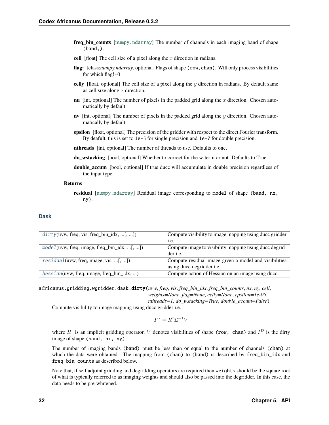- **freq bin counts** [[numpy.ndarray](https://numpy.org/doc/stable/reference/generated/numpy.ndarray.html#numpy.ndarray)] The number of channels in each imaging band of shape (band,).
- cell  $[float]$  The cell size of a pixel along the  $x$  direction in radians.
- **flag:** [class:*numpy.ndarray*, optional] Flags of shape (row,chan). Will only process visibilities for which flag!=0
- **celly** [float, optional] The cell size of a pixel along the  $y$  direction in radians. By default same as cell size along  $x$  direction.
- **nu** [int, optional] The number of pixels in the padded grid along the  $x$  direction. Chosen automatically by default.
- **nv** [int, optional] The number of pixels in the padded grid along the  $y$  direction. Chosen automatically by default.
- **epsilon** [float, optional] The precision of the gridder with respect to the direct Fourier transform. By deafult, this is set to 1e-5 for single precision and 1e-7 for double precision.
- **nthreads** [int, optional] The number of threads to use. Defaults to one.
- **do\_wstacking** [bool, optional] Whether to correct for the w-term or not. Defaults to True
- **double accum** [bool, optional] If true ducc will accumulate in double precision regardless of the input type.

#### **Returns**

**residual** [[numpy.ndarray](https://numpy.org/doc/stable/reference/generated/numpy.ndarray.html#numpy.ndarray)] Residual image corresponding to model of shape (band, nx, ny).

#### **Dask**

| $dirty(uvw, freq, vis, freq\_bin_idx, [, )$    | Compute visibility to image mapping using ducc gridder |
|------------------------------------------------|--------------------------------------------------------|
|                                                | 1.e.                                                   |
| $model(uvw, freq, image, freq\_bin_idx, [, ])$ | Compute image to visibility mapping using ducc degrid- |
|                                                | der <i>i.e.</i>                                        |
| $residual(uvw, freq, image, vis, [, ])$        | Compute residual image given a model and visibilities  |
|                                                | using ducc degridder <i>i.e.</i>                       |
| $hessian(uvw, freq, image, freq\_bin_idx, )$   | Compute action of Hessian on an image using ducc       |

<span id="page-35-0"></span>africanus.gridding.wgridder.dask.dirty(*uvw*, *freq*, *vis*, *freq\_bin\_idx*, *freq\_bin\_counts*, *nx*, *ny*, *cell*, *weights=None*, *flag=None*, *celly=None*, *epsilon=1e-05*,

*nthreads=1*, *do\_wstacking=True*, *double\_accum=False*)

Compute visibility to image mapping using ducc gridder i.e.

 $I^D = R^{\dagger} \Sigma^{-1} V$ 

where  $R^{\dagger}$  is an implicit gridding operator, V denotes visibilities of shape (row, chan) and  $I^D$  is the dirty image of shape (band, nx, ny).

The number of imaging bands (band) must be less than or equal to the number of channels (chan) at which the data were obtained. The mapping from (chan) to (band) is described by freq\_bin\_idx and freq\_bin\_counts as described below.

Note that, if self adjoint gridding and degridding operators are required then weights should be the square root of what is typically referred to as imaging weights and should also be passed into the degridder. In this case, the data needs to be pre-whitened.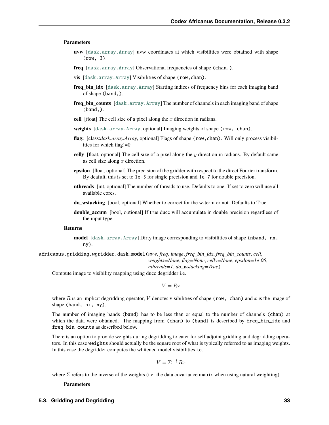#### **Parameters**

- **uvw** [[dask.array.Array](https://docs.dask.org/en/latest/generated/dask.array.Array.html#dask.array.Array)] uvw coordinates at which visibilities were obtained with shape (row, 3).
- **freq** [[dask.array.Array](https://docs.dask.org/en/latest/generated/dask.array.Array.html#dask.array.Array)] Observational frequencies of shape (chan,).
- **vis** [[dask.array.Array](https://docs.dask.org/en/latest/generated/dask.array.Array.html#dask.array.Array)] Visibilities of shape (row,chan).
- **freq\_bin\_idx** [[dask.array.Array](https://docs.dask.org/en/latest/generated/dask.array.Array.html#dask.array.Array)] Starting indices of frequency bins for each imaging band of shape (band,).
- **freq\_bin\_counts** [[dask.array.Array](https://docs.dask.org/en/latest/generated/dask.array.Array.html#dask.array.Array)] The number of channels in each imaging band of shape (band,).
- **cell** [float] The cell size of a pixel along the  $x$  direction in radians.
- **weights** [[dask.array.Array](https://docs.dask.org/en/latest/generated/dask.array.Array.html#dask.array.Array), optional] Imaging weights of shape (row, chan).
- **flag:** [class:*dask.array.Array*, optional] Flags of shape (row,chan). Will only process visibilities for which flag!=0
- **celly** [float, optional] The cell size of a pixel along the  $y$  direction in radians. By default same as cell size along  $x$  direction.
- **epsilon** [float, optional] The precision of the gridder with respect to the direct Fourier transform. By deafult, this is set to 1e-5 for single precision and 1e-7 for double precision.
- **nthreads** [int, optional] The number of threads to use. Defaults to one. If set to zero will use all available cores.
- **do\_wstacking** [bool, optional] Whether to correct for the w-term or not. Defaults to True
- **double\_accum** [bool, optional] If true ducc will accumulate in double precision regardless of the input type.

#### **Returns**

**model** [[dask.array.Array](https://docs.dask.org/en/latest/generated/dask.array.Array.html#dask.array.Array)] Dirty image corresponding to visibilities of shape (nband, nx, ny).

africanus.gridding.wgridder.dask.model(*uvw*, *freq*, *image*, *freq\_bin\_idx*, *freq\_bin\_counts*, *cell*, *weights=None*, *flag=None*, *celly=None*, *epsilon=1e-05*, *nthreads=1*, *do\_wstacking=True*)

Compute image to visibility mapping using ducc degridder i.e.

 $V=Rx$ 

where  $R$  is an implicit degridding operator,  $V$  denotes visibilities of shape (row, chan) and  $x$  is the image of shape (band, nx, ny).

The number of imaging bands (band) has to be less than or equal to the number of channels (chan) at which the data were obtained. The mapping from (chan) to (band) is described by freq\_bin\_idx and freq\_bin\_counts as described below.

There is an option to provide weights during degridding to cater for self adjoint gridding and degridding operators. In this case weights should actually be the square root of what is typically referred to as imaging weights. In this case the degridder computes the whitened model visibilities i.e.

$$
V = \Sigma^{-\frac{1}{2}} R x
$$

where  $\Sigma$  refers to the inverse of the weights (i.e. the data covariance matrix when using natural weighting).

**Parameters**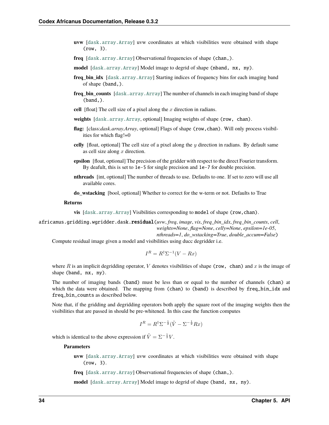- **uvw** [[dask.array.Array](https://docs.dask.org/en/latest/generated/dask.array.Array.html#dask.array.Array)] uvw coordinates at which visibilities were obtained with shape (row, 3).
- **freq** [[dask.array.Array](https://docs.dask.org/en/latest/generated/dask.array.Array.html#dask.array.Array)] Observational frequencies of shape (chan,).
- **model** [[dask.array.Array](https://docs.dask.org/en/latest/generated/dask.array.Array.html#dask.array.Array)] Model image to degrid of shape (nband, nx, ny).
- **freq\_bin\_idx** [[dask.array.Array](https://docs.dask.org/en/latest/generated/dask.array.Array.html#dask.array.Array)] Starting indices of frequency bins for each imaging band of shape (band,).
- **freq bin counts**  $[dask.array.Array]$  $[dask.array.Array]$  $[dask.array.Array]$  The number of channels in each imaging band of shape (band,).
- **cell** [float] The cell size of a pixel along the  $x$  direction in radians.
- **weights** [[dask.array.Array](https://docs.dask.org/en/latest/generated/dask.array.Array.html#dask.array.Array), optional] Imaging weights of shape (row, chan).
- **flag:** [class:*dask.array.Array*, optional] Flags of shape (row,chan). Will only process visibilities for which flag!=0
- **celly** [float, optional] The cell size of a pixel along the  $y$  direction in radians. By default same as cell size along  $x$  direction.
- **epsilon** [float, optional] The precision of the gridder with respect to the direct Fourier transform. By deafult, this is set to 1e-5 for single precision and 1e-7 for double precision.
- **nthreads** [int, optional] The number of threads to use. Defaults to one. If set to zero will use all available cores.
- **do\_wstacking** [bool, optional] Whether to correct for the w-term or not. Defaults to True

#### **Returns**

**vis** [[dask.array.Array](https://docs.dask.org/en/latest/generated/dask.array.Array.html#dask.array.Array)] Visibilities corresponding to model of shape (row,chan).

africanus.gridding.wgridder.dask.residual(*uvw*, *freq*, *image*, *vis*, *freq\_bin\_idx*, *freq\_bin\_counts*, *cell*, *weights=None*, *flag=None*, *celly=None*, *epsilon=1e-05*,

*nthreads=1*, *do\_wstacking=True*, *double\_accum=False*)

Compute residual image given a model and visibilities using ducc degridder i.e.

$$
I^R = R^{\dagger} \Sigma^{-1} (V - Rx)
$$

where R is an implicit degridding operator, V denotes visibilities of shape (row, chan) and x is the image of shape (band, nx, ny).

The number of imaging bands (band) must be less than or equal to the number of channels (chan) at which the data were obtained. The mapping from (chan) to (band) is described by freq\_bin\_idx and freq\_bin\_counts as described below.

Note that, if the gridding and degridding operators both apply the square root of the imaging weights then the visibilities that are passed in should be pre-whitened. In this case the function computes

$$
I^R = R^{\dagger} \Sigma^{-\frac{1}{2}} (\tilde{V} - \Sigma^{-\frac{1}{2}} R x)
$$

which is identical to the above expression if  $\tilde{V} = \Sigma^{-\frac{1}{2}} V$ .

#### **Parameters**

**uvw** [[dask.array.Array](https://docs.dask.org/en/latest/generated/dask.array.Array.html#dask.array.Array)] uvw coordinates at which visibilities were obtained with shape (row, 3).

**freq** [[dask.array.Array](https://docs.dask.org/en/latest/generated/dask.array.Array.html#dask.array.Array)] Observational frequencies of shape (chan,).

**model** [[dask.array.Array](https://docs.dask.org/en/latest/generated/dask.array.Array.html#dask.array.Array)] Model image to degrid of shape (band, nx, ny).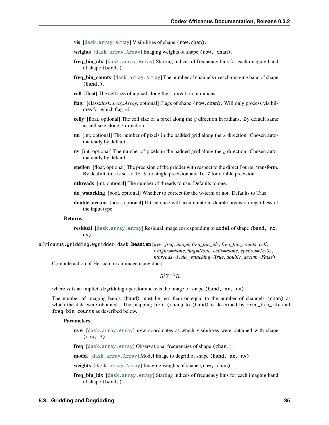- **vis** [[dask.array.Array](https://docs.dask.org/en/latest/generated/dask.array.Array.html#dask.array.Array)] Visibilities of shape (row,chan).
- **weights** [[dask.array.Array](https://docs.dask.org/en/latest/generated/dask.array.Array.html#dask.array.Array)] Imaging weights of shape (row, chan).
- **freq\_bin\_idx** [[dask.array.Array](https://docs.dask.org/en/latest/generated/dask.array.Array.html#dask.array.Array)] Starting indices of frequency bins for each imaging band of shape (band,).
- **freq bin counts**  $[dask.array]$ . Array] The number of channels in each imaging band of shape  $(band.)$ .
- **cell** [float] The cell size of a pixel along the  $x$  direction in radians.
- **flag:** [class:*dask.array.Array*, optional] Flags of shape (row,chan). Will only process visibilities for which flag!=0
- **celly** [float, optional] The cell size of a pixel along the y direction in radians. By default same as cell size along  $x$  direction.
- **nu** [int, optional] The number of pixels in the padded grid along the  $x$  direction. Chosen automatically by default.
- **nv** [int, optional] The number of pixels in the padded grid along the  $\eta$  direction. Chosen automatically by default.
- **epsilon** [float, optional] The precision of the gridder with respect to the direct Fourier transform. By deafult, this is set to 1e-5 for single precision and 1e-7 for double precision.

**nthreads** [int, optional] The number of threads to use. Defaults to one.

- **do\_wstacking** [bool, optional] Whether to correct for the w-term or not. Defaults to True
- **double accum** [bool, optional] If true ducc will accumulate in double precision regardless of the input type.

#### **Returns**

- **residual** [[dask.array.Array](https://docs.dask.org/en/latest/generated/dask.array.Array.html#dask.array.Array)] Residual image corresponding to model of shape (band, nx, ny).
- africanus.gridding.wgridder.dask.hessian(*uvw*, *freq*, *image*, *freq\_bin\_idx*, *freq\_bin\_counts*, *cell*, *weights=None*, *flag=None*, *celly=None*, *epsilon=1e-05*,

*nthreads=1*, *do\_wstacking=True*, *double\_accum=False*)

Compute action of Hessian on an image using ducc

 $R^{\dagger} \Sigma^{-1} R x$ 

where  $R$  is an implicit degridding operator and  $x$  is the image of shape (band, nx, ny).

The number of imaging bands (band) must be less than or equal to the number of channels (chan) at which the data were obtained. The mapping from (chan) to (band) is described by freq\_bin\_idx and freq\_bin\_counts as described below.

#### **Parameters**

**uvw** [[dask.array.Array](https://docs.dask.org/en/latest/generated/dask.array.Array.html#dask.array.Array)] uvw coordinates at which visibilities were obtained with shape (row, 3).

**freq** [[dask.array.Array](https://docs.dask.org/en/latest/generated/dask.array.Array.html#dask.array.Array)] Observational frequencies of shape (chan,).

**model** [[dask.array.Array](https://docs.dask.org/en/latest/generated/dask.array.Array.html#dask.array.Array)] Model image to degrid of shape (band, nx, ny).

**weights** [[dask.array.Array](https://docs.dask.org/en/latest/generated/dask.array.Array.html#dask.array.Array)] Imaging weights of shape (row, chan).

**freq bin idx** [[dask.array.Array](https://docs.dask.org/en/latest/generated/dask.array.Array.html#dask.array.Array)] Starting indices of frequency bins for each imaging band of shape (band,).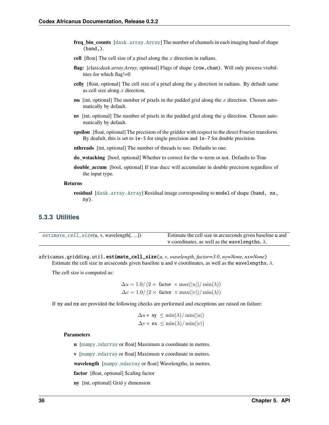- **freq bin counts**  $[dask.array \,Array]$  The number of channels in each imaging band of shape (band,).
- cell [float] The cell size of a pixel along the  $x$  direction in radians.
- **flag:** [class:*dask.array.Array*, optional] Flags of shape (row,chan). Will only process visibilities for which flag!=0
- **celly** [float, optional] The cell size of a pixel along the  $y$  direction in radians. By default same as cell size along  $x$  direction.
- **nu** [int, optional] The number of pixels in the padded grid along the  $x$  direction. Chosen automatically by default.
- **nv** [int, optional] The number of pixels in the padded grid along the y direction. Chosen automatically by default.
- **epsilon** [float, optional] The precision of the gridder with respect to the direct Fourier transform. By deafult, this is set to 1e-5 for single precision and 1e-7 for double precision.
- **nthreads** [int, optional] The number of threads to use. Defaults to one.
- **do\_wstacking** [bool, optional] Whether to correct for the w-term or not. Defaults to True
- **double accum** [bool, optional] If true ducc will accumulate in double precision regardless of the input type.

#### **Returns**

**residual** [[dask.array.Array](https://docs.dask.org/en/latest/generated/dask.array.Array.html#dask.array.Array)] Residual image corresponding to model of shape (band, nx, ny).

### **5.3.3 Utilities**

| $\epsilon$ estimate_cell_size(u, v, wavelength[, ]) | Estimate the cell size in arcseconds given baseline u and |
|-----------------------------------------------------|-----------------------------------------------------------|
|                                                     | v coordinates, as well as the wavelengths, $\lambda$ .    |

<span id="page-39-0"></span>africanus.gridding.util.estimate\_cell\_size(*u*, *v*, *wavelength*, *factor=3.0*, *ny=None*, *nx=None*)

Estimate the cell size in arcseconds given baseline u and v coordinates, as well as the wavelengths,  $\lambda$ .

The cell size is computed as:

$$
\Delta u = 1.0 / (2 \times \text{factor} \times \max(|u|) / \min(\lambda))
$$
  

$$
\Delta v = 1.0 / (2 \times \text{factor} \times \max(|v|) / \min(\lambda))
$$

If ny and nx are provided the following checks are performed and exceptions are raised on failure:

$$
\Delta u * \mathbf{ny} \le \min(\lambda) / \min(|u|)
$$
  

$$
\Delta v * \mathbf{nx} \le \min(\lambda) / \min(|v|)
$$

#### **Parameters**

- **u** [[numpy.ndarray](https://numpy.org/doc/stable/reference/generated/numpy.ndarray.html#numpy.ndarray) or float] Maximum u coordinate in metres.
- **v** [[numpy.ndarray](https://numpy.org/doc/stable/reference/generated/numpy.ndarray.html#numpy.ndarray) or float] Maximum v coordinate in metres.

**wavelength** [[numpy.ndarray](https://numpy.org/doc/stable/reference/generated/numpy.ndarray.html#numpy.ndarray) or float] Wavelengths, in metres.

**factor** [float, optional] Scaling factor

**ny** [int, optional] Grid y dimension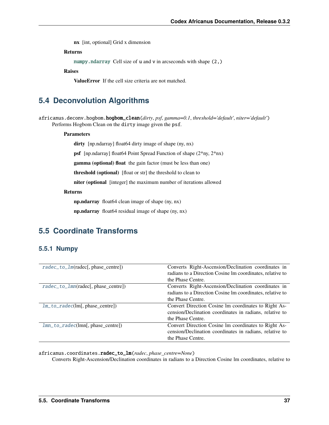**nx** [int, optional] Grid x dimension

#### **Returns**

[numpy.ndarray](https://numpy.org/doc/stable/reference/generated/numpy.ndarray.html#numpy.ndarray) Cell size of u and v in arcseconds with shape (2,)

**Raises**

**ValueError** If the cell size criteria are not matched.

# **5.4 Deconvolution Algorithms**

africanus.deconv.hogbom.hogbom\_clean(*dirty*, *psf*, *gamma=0.1*, *threshold='default'*, *niter='default'*) Performs Hogbom Clean on the dirty image given the psf.

#### **Parameters**

**dirty** [np.ndarray] float64 dirty image of shape (ny, nx)

**psf** [np.ndarray] float64 Point Spread Function of shape (2\*ny, 2\*nx)

**gamma (optional) float** the gain factor (must be less than one)

**threshold (optional)** [float or str] the threshold to clean to

**niter (optional** [integer] the maximum number of iterations allowed

#### **Returns**

**np.ndarray** float64 clean image of shape (ny, nx)

**np.ndarray** float64 residual image of shape (ny, nx)

# **5.5 Coordinate Transforms**

## **5.5.1 Numpy**

| $radec_to_lm(\text{radec}[, phase_centre])$ | Converts Right-Ascension/Declination coordinates in       |
|---------------------------------------------|-----------------------------------------------------------|
|                                             | radians to a Direction Cosine Im coordinates, relative to |
|                                             | the Phase Centre.                                         |
| $rade\_to\_lmn(radec[, phase\_centre])$     | Converts Right-Ascension/Declination coordinates in       |
|                                             | radians to a Direction Cosine lm coordinates, relative to |
|                                             | the Phase Centre.                                         |
| $lm_to\_radeclm[, phase_centre]$            | Convert Direction Cosine Im coordinates to Right As-      |
|                                             | cension/Declination coordinates in radians, relative to   |
|                                             | the Phase Centre.                                         |
| $lmn_to_rate(lmn[, phase_centre])$          | Convert Direction Cosine Im coordinates to Right As-      |
|                                             | cension/Declination coordinates in radians, relative to   |
|                                             | the Phase Centre.                                         |

<span id="page-40-0"></span>africanus.coordinates.radec\_to\_lm(*radec*, *phase\_centre=None*)

Converts Right-Ascension/Declination coordinates in radians to a Direction Cosine lm coordinates, relative to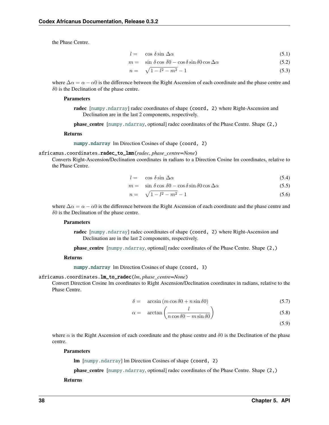the Phase Centre.

$$
l = \cos \delta \sin \Delta \alpha \tag{5.1}
$$

$$
m = \sin \delta \cos \delta0 - \cos \delta \sin \delta0 \cos \Delta\alpha \tag{5.2}
$$

$$
n = \sqrt{1 - l^2 - m^2} - 1 \tag{5.3}
$$

where  $\Delta \alpha = \alpha - \alpha$  is the difference between the Right Ascension of each coordinate and the phase centre and  $\delta$ 0 is the Declination of the phase centre.

#### **Parameters**

**radec** [[numpy.ndarray](https://numpy.org/doc/stable/reference/generated/numpy.ndarray.html#numpy.ndarray)] radec coordinates of shape (coord, 2) where Right-Ascension and Declination are in the last 2 components, respectively.

**phase\_centre** [[numpy.ndarray](https://numpy.org/doc/stable/reference/generated/numpy.ndarray.html#numpy.ndarray), optional] radec coordinates of the Phase Centre. Shape (2,)

#### **Returns**

[numpy.ndarray](https://numpy.org/doc/stable/reference/generated/numpy.ndarray.html#numpy.ndarray) lm Direction Cosines of shape (coord, 2)

#### <span id="page-41-0"></span>africanus.coordinates.radec\_to\_lmn(*radec*, *phase\_centre=None*)

Converts Right-Ascension/Declination coordinates in radians to a Direction Cosine lm coordinates, relative to the Phase Centre.

$$
l = \cos \delta \sin \Delta \alpha \tag{5.4}
$$

$$
m = \sin \delta \cos \delta 0 - \cos \delta \sin \delta 0 \cos \Delta \alpha \tag{5.5}
$$

$$
n = \sqrt{1 - l^2 - m^2} - 1\tag{5.6}
$$

where  $\Delta \alpha = \alpha - \alpha$  is the difference between the Right Ascension of each coordinate and the phase centre and  $\delta$ 0 is the Declination of the phase centre.

#### **Parameters**

**radec** [[numpy.ndarray](https://numpy.org/doc/stable/reference/generated/numpy.ndarray.html#numpy.ndarray)] radec coordinates of shape (coord, 2) where Right-Ascension and Declination are in the last 2 components, respectively.

**phase\_centre** [[numpy.ndarray](https://numpy.org/doc/stable/reference/generated/numpy.ndarray.html#numpy.ndarray), optional] radec coordinates of the Phase Centre. Shape (2,)

#### **Returns**

[numpy.ndarray](https://numpy.org/doc/stable/reference/generated/numpy.ndarray.html#numpy.ndarray) lm Direction Cosines of shape (coord, 3)

#### <span id="page-41-1"></span>africanus.coordinates.lm\_to\_radec(*lm*, *phase\_centre=None*)

Convert Direction Cosine lm coordinates to Right Ascension/Declination coordinates in radians, relative to the Phase Centre.

$$
\delta = \arcsin\left(m\cos\delta 0 + n\sin\delta 0\right) \tag{5.7}
$$

$$
\alpha = \arctan\left(\frac{l}{n\cos\delta 0 - m\sin\delta 0}\right) \tag{5.8}
$$

(5.9)

where  $\alpha$  is the Right Ascension of each coordinate and the phase centre and  $\delta$ 0 is the Declination of the phase centre.

#### **Parameters**

**lm** [[numpy.ndarray](https://numpy.org/doc/stable/reference/generated/numpy.ndarray.html#numpy.ndarray)] lm Direction Cosines of shape (coord, 2)

**phase\_centre** [[numpy.ndarray](https://numpy.org/doc/stable/reference/generated/numpy.ndarray.html#numpy.ndarray), optional] radec coordinates of the Phase Centre. Shape (2,)

#### **Returns**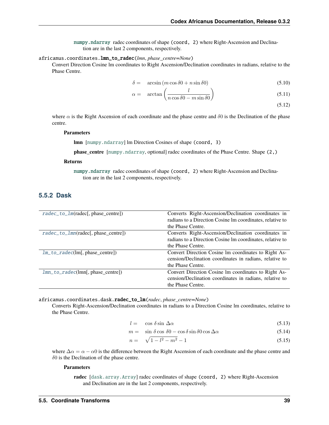[numpy.ndarray](https://numpy.org/doc/stable/reference/generated/numpy.ndarray.html#numpy.ndarray) radec coordinates of shape (coord, 2) where Right-Ascension and Declination are in the last 2 components, respectively.

#### <span id="page-42-0"></span>africanus.coordinates.lmn\_to\_radec(*lmn*, *phase\_centre=None*)

Convert Direction Cosine lm coordinates to Right Ascension/Declination coordinates in radians, relative to the Phase Centre.

$$
\delta = \arcsin\left(m\cos\delta 0 + n\sin\delta 0\right) \tag{5.10}
$$

$$
\alpha = \arctan\left(\frac{l}{n\cos\delta 0 - m\sin\delta 0}\right) \tag{5.11}
$$

(5.12)

where  $\alpha$  is the Right Ascension of each coordinate and the phase centre and  $\delta$ 0 is the Declination of the phase centre.

#### **Parameters**

**lmn** [[numpy.ndarray](https://numpy.org/doc/stable/reference/generated/numpy.ndarray.html#numpy.ndarray)] lm Direction Cosines of shape (coord, 3)

**phase\_centre** [[numpy.ndarray](https://numpy.org/doc/stable/reference/generated/numpy.ndarray.html#numpy.ndarray), optional] radec coordinates of the Phase Centre. Shape (2,)

#### **Returns**

[numpy.ndarray](https://numpy.org/doc/stable/reference/generated/numpy.ndarray.html#numpy.ndarray) radec coordinates of shape (coord, 2) where Right-Ascension and Declination are in the last 2 components, respectively.

## **5.5.2 Dask**

| radec_to_1m(radec[, phase_centre])  | Converts Right-Ascension/Declination coordinates in       |
|-------------------------------------|-----------------------------------------------------------|
|                                     | radians to a Direction Cosine Im coordinates, relative to |
|                                     | the Phase Centre.                                         |
| radec_to_1mn(radec[, phase_centre]) | Converts Right-Ascension/Declination coordinates in       |
|                                     | radians to a Direction Cosine Im coordinates, relative to |
|                                     | the Phase Centre.                                         |
| $lm_to\_radeclm[, phase\_centre]$   | Convert Direction Cosine Im coordinates to Right As-      |
|                                     | cension/Declination coordinates in radians, relative to   |
|                                     | the Phase Centre.                                         |
| $lmn_to_rate(lmn[, phase_centre])$  | Convert Direction Cosine Im coordinates to Right As-      |
|                                     | cension/Declination coordinates in radians, relative to   |
|                                     | the Phase Centre.                                         |

<span id="page-42-1"></span>africanus.coordinates.dask.radec\_to\_lm(*radec*, *phase\_centre=None*)

Converts Right-Ascension/Declination coordinates in radians to a Direction Cosine lm coordinates, relative to the Phase Centre.

$$
l = \cos \delta \sin \Delta \alpha \tag{5.13}
$$

$$
m = \sin \delta \cos \delta 0 - \cos \delta \sin \delta 0 \cos \Delta \alpha \tag{5.14}
$$

$$
n = \sqrt{1 - l^2 - m^2} - 1\tag{5.15}
$$

where  $\Delta \alpha = \alpha - \alpha$  is the difference between the Right Ascension of each coordinate and the phase centre and  $\delta$ 0 is the Declination of the phase centre.

#### **Parameters**

**radec** [[dask.array.Array](https://docs.dask.org/en/latest/generated/dask.array.Array.html#dask.array.Array)] radec coordinates of shape (coord, 2) where Right-Ascension and Declination are in the last 2 components, respectively.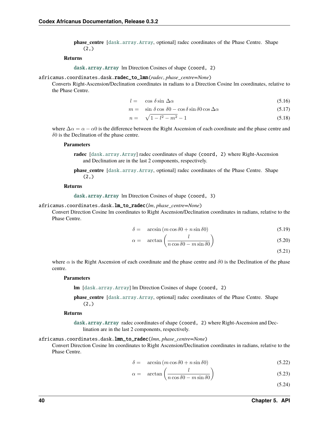**phase centre** [[dask.array.Array](https://docs.dask.org/en/latest/generated/dask.array.Array.html#dask.array.Array), optional] radec coordinates of the Phase Centre. Shape  $(2, )$ 

#### **Returns**

[dask.array.Array](https://docs.dask.org/en/latest/generated/dask.array.Array.html#dask.array.Array) lm Direction Cosines of shape (coord, 2)

#### <span id="page-43-0"></span>africanus.coordinates.dask.radec\_to\_lmn(*radec*, *phase\_centre=None*)

Converts Right-Ascension/Declination coordinates in radians to a Direction Cosine lm coordinates, relative to the Phase Centre.

$$
l = \cos \delta \sin \Delta \alpha \tag{5.16}
$$

$$
m = \sin \delta \cos \delta0 - \cos \delta \sin \delta0 \cos \Delta\alpha \tag{5.17}
$$

$$
n = \sqrt{1 - l^2 - m^2} - 1\tag{5.18}
$$

where  $\Delta \alpha = \alpha - \alpha$  is the difference between the Right Ascension of each coordinate and the phase centre and  $\delta$ 0 is the Declination of the phase centre.

#### **Parameters**

- **radec** [[dask.array.Array](https://docs.dask.org/en/latest/generated/dask.array.Array.html#dask.array.Array)] radec coordinates of shape (coord, 2) where Right-Ascension and Declination are in the last 2 components, respectively.
- **phase\_centre** [[dask.array.Array](https://docs.dask.org/en/latest/generated/dask.array.Array.html#dask.array.Array), optional] radec coordinates of the Phase Centre. Shape (2,)

#### **Returns**

[dask.array.Array](https://docs.dask.org/en/latest/generated/dask.array.Array.html#dask.array.Array) lm Direction Cosines of shape (coord, 3)

#### <span id="page-43-1"></span>africanus.coordinates.dask.lm\_to\_radec(*lm*, *phase\_centre=None*)

Convert Direction Cosine lm coordinates to Right Ascension/Declination coordinates in radians, relative to the Phase Centre.

$$
\delta = \arcsin\left(m\cos\delta 0 + n\sin\delta 0\right) \tag{5.19}
$$

$$
\alpha = \arctan\left(\frac{l}{n\cos\delta 0 - m\sin\delta 0}\right) \tag{5.20}
$$

(5.21)

where  $\alpha$  is the Right Ascension of each coordinate and the phase centre and  $\delta$ 0 is the Declination of the phase centre.

#### **Parameters**

**lm** [[dask.array.Array](https://docs.dask.org/en/latest/generated/dask.array.Array.html#dask.array.Array)] lm Direction Cosines of shape (coord, 2)

**phase\_centre** [[dask.array.Array](https://docs.dask.org/en/latest/generated/dask.array.Array.html#dask.array.Array), optional] radec coordinates of the Phase Centre. Shape (2,)

#### **Returns**

[dask.array.Array](https://docs.dask.org/en/latest/generated/dask.array.Array.html#dask.array.Array) radec coordinates of shape (coord, 2) where Right-Ascension and Declination are in the last 2 components, respectively.

#### <span id="page-43-2"></span>africanus.coordinates.dask.lmn\_to\_radec(*lmn*, *phase\_centre=None*)

Convert Direction Cosine lm coordinates to Right Ascension/Declination coordinates in radians, relative to the Phase Centre.

$$
\delta = \arcsin(m \cos \delta \theta + n \sin \delta \theta) \tag{5.22}
$$

$$
\alpha = \arctan\left(\frac{l}{n\cos\delta 0 - m\sin\delta 0}\right) \tag{5.23}
$$

(5.24)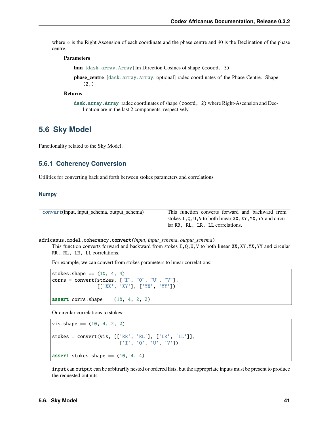where  $\alpha$  is the Right Ascension of each coordinate and the phase centre and  $\delta$ 0 is the Declination of the phase centre.

#### **Parameters**

**lmn** [[dask.array.Array](https://docs.dask.org/en/latest/generated/dask.array.Array.html#dask.array.Array)] lm Direction Cosines of shape (coord, 3)

**phase centre** [[dask.array.Array](https://docs.dask.org/en/latest/generated/dask.array.Array.html#dask.array.Array), optional] radec coordinates of the Phase Centre. Shape  $(2, )$ 

#### **Returns**

[dask.array.Array](https://docs.dask.org/en/latest/generated/dask.array.Array.html#dask.array.Array) radec coordinates of shape (coord, 2) where Right-Ascension and Declination are in the last 2 components, respectively.

## **5.6 Sky Model**

Functionality related to the Sky Model.

## **5.6.1 Coherency Conversion**

Utilities for converting back and forth between stokes parameters and correlations

### **Numpy**

| convert(input, input_schema, output_schema) | This function converts forward and backward from           |
|---------------------------------------------|------------------------------------------------------------|
|                                             | stokes I, Q, U, V to both linear XX, XY, YX, YY and circu- |
|                                             | lar RR, RL, LR, LL correlations.                           |

<span id="page-44-0"></span>africanus.model.coherency.convert(*input*, *input\_schema*, *output\_schema*)

This function converts forward and backward from stokes I,Q,U,V to both linear XX,XY,YX,YY and circular RR, RL, LR, LL correlations.

For example, we can convert from stokes parameters to linear correlations:

```
stokes.shape = (10, 4, 4)corrs = convert(stokes, ["I", "Q", "U", "V"],
                [['XX', 'XY'], ['YX', 'YY'])
assert corrs.shape == (10, 4, 2, 2)
```
Or circular correlations to stokes:

```
vis.shape = (10, 4, 2, 2)stokes = convert(vis, [['RR', 'RL'], ['LR', 'LL']],
                        ['I', 'Q', 'U', 'V'])
assert stokes.shape == (10, 4, 4)
```
input can output can be arbitrarily nested or ordered lists, but the appropriate inputs must be present to produce the requested outputs.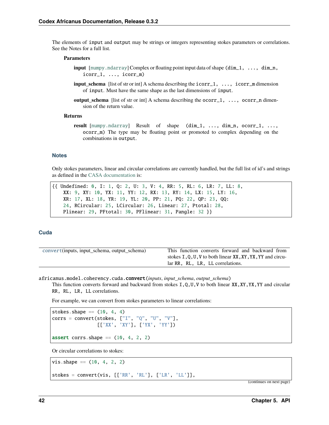The elements of input and output may be strings or integers representing stokes parameters or correlations. See the Notes for a full list.

#### **Parameters**

- **input** [[numpy.ndarray](https://numpy.org/doc/stable/reference/generated/numpy.ndarray.html#numpy.ndarray)] Complex or floating point input data of shape (dim\_1, ..., dim\_n, icorr\_1, ..., icorr\_m)
- **input\_schema** [list of str or int] A schema describing the  $icorr_1$ , ...,  $icorr_m$  dimension of input. Must have the same shape as the last dimensions of input.
- **output\_schema** [list of str or int] A schema describing the ocorr\_1, ..., ocorr\_n dimension of the return value.

#### **Returns**

**result** [[numpy.ndarray](https://numpy.org/doc/stable/reference/generated/numpy.ndarray.html#numpy.ndarray)] Result of shape (dim\_1, ..., dim\_n, ocorr\_1, ..., ocorr\_m) The type may be floating point or promoted to complex depending on the combinations in output.

#### **Notes**

Only stokes parameters, linear and circular correlations are currently handled, but the full list of id's and strings as defined in the [CASA documentation](https://casacore.github.io/casacore/classcasacore_1_1Stokes.html) is:

```
{{ Undefined: 0, I: 1, Q: 2, U: 3, V: 4, RR: 5, RL: 6, LR: 7, LL: 8,
   XX: 9, XY: 10, YX: 11, YY: 12, RX: 13, RY: 14, LX: 15, LY: 16,
   XR: 17, XL: 18, YR: 19, YL: 20, PP: 21, PQ: 22, QP: 23, QQ:
   24, RCircular: 25, LCircular: 26, Linear: 27, Ptotal: 28,
   Plinear: 29, PFtotal: 30, PFlinear: 31, Pangle: 32 }}
```
#### **Cuda**

| convert(inputs, input_schema, output_schema) | This function converts forward and backward from           |
|----------------------------------------------|------------------------------------------------------------|
|                                              | stokes I, Q, U, V to both linear XX, XY, YX, YY and circu- |
|                                              | lar RR, RL, LR, LL correlations.                           |

<span id="page-45-0"></span>africanus.model.coherency.cuda.convert(*inputs*, *input\_schema*, *output\_schema*)

This function converts forward and backward from stokes  $I, Q, U, V$  to both linear  $XX, XY, YY$  and circular RR, RL, LR, LL correlations.

For example, we can convert from stokes parameters to linear correlations:

```
stokes.shape = (10, 4, 4)corrs = convert(stokes, ["I", "Q", "U", "V"],
               [['XX', 'XY'], ['YX', 'YY'])
assert corrs.shape = (10, 4, 2, 2)
```
Or circular correlations to stokes:

```
vis.shape = (10, 4, 2, 2)stokes = convert(vis, [['RR', 'RL'], ['LR', 'LL'],
```
(continues on next page)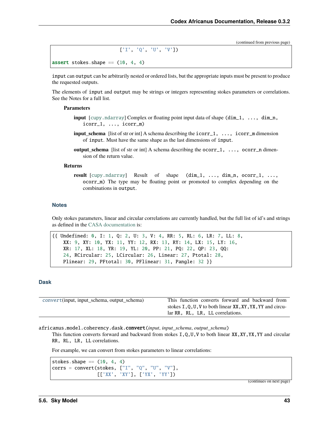(continued from previous page)

['I', 'Q', 'U', 'V'])

```
assert stokes.shape == (10, 4, 4)
```
input can output can be arbitrarily nested or ordered lists, but the appropriate inputs must be present to produce the requested outputs.

The elements of input and output may be strings or integers representing stokes parameters or correlations. See the Notes for a full list.

#### **Parameters**

- **input** [[cupy.ndarray](https://docs.cupy.dev/en/latest/reference/generated/cupy.ndarray.html#cupy.ndarray)] Complex or floating point input data of shape (dim\_1, ..., dim\_n, icorr\_1, ..., icorr\_m)
- **input\_schema** [list of str or int] A schema describing the icorr\_1, ..., icorr\_m dimension of input. Must have the same shape as the last dimensions of input.
- **output\_schema** [list of str or int] A schema describing the **ocorr**\_1, ..., **ocorr**\_n dimension of the return value.

#### **Returns**

**result** [[cupy.ndarray](https://docs.cupy.dev/en/latest/reference/generated/cupy.ndarray.html#cupy.ndarray)] Result of shape (dim\_1, ..., dim\_n, ocorr\_1, ..., ocorr\_m) The type may be floating point or promoted to complex depending on the combinations in output.

#### **Notes**

Only stokes parameters, linear and circular correlations are currently handled, but the full list of id's and strings as defined in the [CASA documentation](https://casacore.github.io/casacore/classcasacore_1_1Stokes.html) is:

```
{{ Undefined: 0, I: 1, Q: 2, U: 3, V: 4, RR: 5, RL: 6, LR: 7, LL: 8,
   XX: 9, XY: 10, YX: 11, YY: 12, RX: 13, RY: 14, LX: 15, LY: 16,
   XR: 17, XL: 18, YR: 19, YL: 20, PP: 21, PQ: 22, QP: 23, QQ:
   24, RCircular: 25, LCircular: 26, Linear: 27, Ptotal: 28,
   Plinear: 29, PFtotal: 30, PFlinear: 31, Pangle: 32 }}
```
### **Dask**

| convert(input, input_schema, output_schema) | This function converts forward and backward from           |  |  |
|---------------------------------------------|------------------------------------------------------------|--|--|
|                                             | stokes I, Q, U, V to both linear XX, XY, YX, YY and circu- |  |  |
|                                             | lar RR, RL, LR, LL correlations.                           |  |  |

<span id="page-46-0"></span>africanus.model.coherency.dask.convert(*input*, *input\_schema*, *output\_schema*)

This function converts forward and backward from stokes I,Q,U,V to both linear XX,XY,YX,YY and circular RR, RL, LR, LL correlations.

For example, we can convert from stokes parameters to linear correlations:

stokes.shape  $==$  (10, 4, 4)  $corrs = convert(stokes, ["I", "Q", "U", "V$ [['XX', 'XY'], ['YX', 'YY'])

(continues on next page)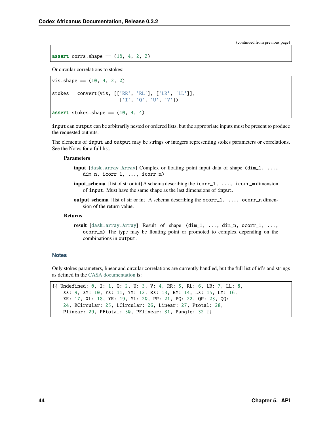(continued from previous page)

assert corrs.shape  $==$  (10, 4, 2, 2)

Or circular correlations to stokes:

```
vis.shape = (10, 4, 2, 2)stokes = convert(vis, [['RR', 'RL'], ['LR', 'LL']],
                       ['I', 'Q', 'U', 'V'])
assert stokes.shape = (10, 4, 4)
```
input can output can be arbitrarily nested or ordered lists, but the appropriate inputs must be present to produce the requested outputs.

The elements of input and output may be strings or integers representing stokes parameters or correlations. See the Notes for a full list.

#### **Parameters**

- **input** [[dask.array.Array](https://docs.dask.org/en/latest/generated/dask.array.Array.html#dask.array.Array)] Complex or floating point input data of shape (dim\_1, ..., dim\_n, icorr\_1, ..., icorr\_m)
- **input** schema [list of str or int] A schema describing the  $icorr_1, \ldots, icorr_m$  dimension of input. Must have the same shape as the last dimensions of input.
- **output\_schema** [list of str or int] A schema describing the **ocorr**\_1, ..., **ocorr**\_n dimension of the return value.

#### **Returns**

**result** [[dask.array.Array](https://docs.dask.org/en/latest/generated/dask.array.Array.html#dask.array.Array)] Result of shape (dim\_1, ..., dim\_n, ocorr\_1, ..., ocorr\_m) The type may be floating point or promoted to complex depending on the combinations in output.

#### **Notes**

Only stokes parameters, linear and circular correlations are currently handled, but the full list of id's and strings as defined in the [CASA documentation](https://casacore.github.io/casacore/classcasacore_1_1Stokes.html) is:

```
{{ Undefined: 0, I: 1, Q: 2, U: 3, V: 4, RR: 5, RL: 6, LR: 7, LL: 8,
   XX: 9, XY: 10, YX: 11, YY: 12, RX: 13, RY: 14, LX: 15, LY: 16,
   XR: 17, XL: 18, YR: 19, YL: 20, PP: 21, PQ: 22, QP: 23, QQ:
   24, RCircular: 25, LCircular: 26, Linear: 27, Ptotal: 28,
   Plinear: 29, PFtotal: 30, PFlinear: 31, Pangle: 32 }}
```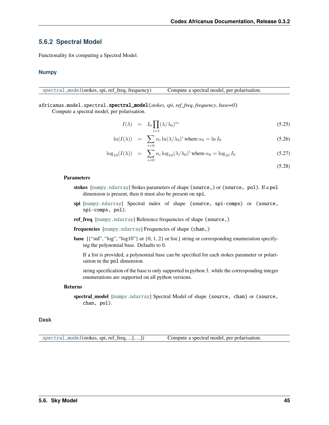## **5.6.2 Spectral Model**

Functionality for computing a Spectral Model.

#### **Numpy**

[spectral\\_model](#page-48-0)(stokes, spi, ref\_freq, frequency) Compute a spectral model, per polarisation.

<span id="page-48-0"></span>africanus.model.spectral.spectral\_model(*stokes*, *spi*, *ref\_freq*, *frequency*, *base=0*)

Compute a spectral model, per polarisation.

$$
I(\lambda) = I_0 \prod_{i=1} (\lambda/\lambda_0)^{\alpha_i} \tag{5.25}
$$

$$
\ln(I(\lambda)) = \sum_{i=0} \alpha_i \ln(\lambda/\lambda_0)^i \text{ where } \alpha_0 = \ln I_0 \tag{5.26}
$$

$$
\log_{10}(I(\lambda)) = \sum_{i=0} \alpha_i \log_{10}(\lambda/\lambda_0)^i \text{ where } \alpha_0 = \log_{10} I_0 \tag{5.27}
$$

(5.28)

#### **Parameters**

- **stokes** [[numpy.ndarray](https://numpy.org/doc/stable/reference/generated/numpy.ndarray.html#numpy.ndarray)] Stokes parameters of shape (source,) or (source, pol). If a pol dimension is present, then it must also be present on spi.
- **spi** [[numpy.ndarray](https://numpy.org/doc/stable/reference/generated/numpy.ndarray.html#numpy.ndarray)] Spectral index of shape (source, spi-comps) or (source, spi-comps, pol).
- **ref\_freq** [[numpy.ndarray](https://numpy.org/doc/stable/reference/generated/numpy.ndarray.html#numpy.ndarray)] Reference frequencies of shape (source,)

**frequencies** [[numpy.ndarray](https://numpy.org/doc/stable/reference/generated/numpy.ndarray.html#numpy.ndarray)] Frequencies of shape (chan,)

**base** [{"std", "log", "log10"} or  $\{0, 1, 2\}$  or list.] string or corresponding enumeration specifying the polynomial base. Defaults to 0.

If a list is provided, a polynomial base can be specified for each stokes parameter or polarisation in the pol dimension.

string specification of the base is only supported in python 3. while the corresponding integer enumerations are supported on all python versions.

#### **Returns**

**spectral\_model** [[numpy.ndarray](https://numpy.org/doc/stable/reference/generated/numpy.ndarray.html#numpy.ndarray)] Spectral Model of shape (source, chan) or (source, chan, pol).

#### **Dask**

<span id="page-48-1"></span>[spectral\\_model](#page-48-1)(stokes, spi, ref\_freq, ...[, ...]) Compute a spectral model, per polarisation.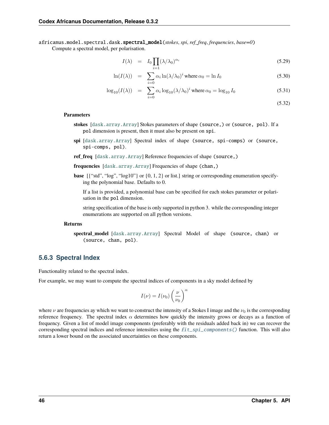africanus.model.spectral.dask.spectral\_model(*stokes*, *spi*, *ref\_freq*, *frequencies*, *base=0*)

Compute a spectral model, per polarisation.

$$
I(\lambda) = I_0 \prod_{i=1} (\lambda/\lambda_0)^{\alpha_i} \tag{5.29}
$$

$$
\ln(I(\lambda)) = \sum_{i=0} \alpha_i \ln(\lambda/\lambda_0)^i \text{ where } \alpha_0 = \ln I_0 \tag{5.30}
$$

$$
\log_{10}(I(\lambda)) = \sum_{i=0} \alpha_i \log_{10}(\lambda/\lambda_0)^i \text{ where } \alpha_0 = \log_{10} I_0 \tag{5.31}
$$

(5.32)

#### **Parameters**

- **stokes** [[dask.array.Array](https://docs.dask.org/en/latest/generated/dask.array.Array.html#dask.array.Array)] Stokes parameters of shape (source,) or (source, pol). If a pol dimension is present, then it must also be present on spi.
- **spi** [[dask.array.Array](https://docs.dask.org/en/latest/generated/dask.array.Array.html#dask.array.Array)] Spectral index of shape (source, spi-comps) or (source, spi-comps, pol).
- **ref\_freq** [[dask.array.Array](https://docs.dask.org/en/latest/generated/dask.array.Array.html#dask.array.Array)] Reference frequencies of shape (source,)
- **frequencies** [[dask.array.Array](https://docs.dask.org/en/latest/generated/dask.array.Array.html#dask.array.Array)] Frequencies of shape (chan,)
- **base** [{"std", "log", "log10"} or {0, 1, 2} or list.] string or corresponding enumeration specifying the polynomial base. Defaults to 0.

If a list is provided, a polynomial base can be specified for each stokes parameter or polarisation in the pol dimension.

string specification of the base is only supported in python 3. while the corresponding integer enumerations are supported on all python versions.

#### **Returns**

**spectral\_model** [[dask.array.Array](https://docs.dask.org/en/latest/generated/dask.array.Array.html#dask.array.Array)] Spectral Model of shape (source, chan) or (source, chan, pol).

### **5.6.3 Spectral Index**

Functionality related to the spectral index.

For example, we may want to compute the spectral indices of components in a sky model defined by

$$
I(\nu) = I(\nu_0) \left(\frac{\nu}{\nu_0}\right)^{\alpha}
$$

where  $\nu$  are frequencies ay which we want to construct the intensity of a Stokes I image and the  $\nu_0$  is the corresponding reference frequency. The spectral index  $\alpha$  determines how quickly the intensity grows or decays as a function of frequency. Given a list of model image components (preferably with the residuals added back in) we can recover the corresponding spectral indices and reference intensities using the  $fit\_spin\_components$  () function. This will also return a lower bound on the associated uncertainties on these components.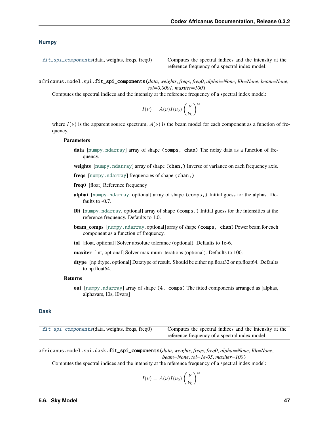#### **Numpy**

| $fit\_spin\_components(data, weights, freqs, freq0)$ | Computes the spectral indices and the intensity at the |
|------------------------------------------------------|--------------------------------------------------------|
|                                                      | reference frequency of a spectral index model:         |

<span id="page-50-0"></span>africanus.model.spi.fit\_spi\_components(*data*, *weights*, *freqs*, *freq0*, *alphai=None*, *I0i=None*, *beam=None*, *tol=0.0001*, *maxiter=100*)

Computes the spectral indices and the intensity at the reference frequency of a spectral index model:

$$
I(\nu) = A(\nu)I(\nu_0) \left(\frac{\nu}{\nu_0}\right)^{\alpha}
$$

where  $I(\nu)$  is the apparent source spectrum,  $A(\nu)$  is the beam model for each component as a function of frequency.

#### **Parameters**

**data** [[numpy.ndarray](https://numpy.org/doc/stable/reference/generated/numpy.ndarray.html#numpy.ndarray)] array of shape (comps, chan) The noisy data as a function of frequency.

**weights** [[numpy.ndarray](https://numpy.org/doc/stable/reference/generated/numpy.ndarray.html#numpy.ndarray)] array of shape (chan,) Inverse of variance on each frequency axis.

**freqs** [[numpy.ndarray](https://numpy.org/doc/stable/reference/generated/numpy.ndarray.html#numpy.ndarray)] frequencies of shape (chan,)

- **freq0** [float] Reference frequency
- **alphai** [[numpy.ndarray](https://numpy.org/doc/stable/reference/generated/numpy.ndarray.html#numpy.ndarray), optional] array of shape (comps,) Initial guess for the alphas. Defaults to -0.7.
- **I0i** [[numpy.ndarray](https://numpy.org/doc/stable/reference/generated/numpy.ndarray.html#numpy.ndarray), optional] array of shape (comps,) Initial guess for the intensities at the reference frequency. Defaults to 1.0.
- **beam\_comps** [[numpy.ndarray](https://numpy.org/doc/stable/reference/generated/numpy.ndarray.html#numpy.ndarray), optional] array of shape (comps, chan) Power beam for each component as a function of frequency.
- **tol** [float, optional] Solver absolute tolerance (optional). Defaults to 1e-6.
- **maxiter** [int, optional] Solver maximum iterations (optional). Defaults to 100.
- **dtype** [np.dtype, optional] Datatype of result. Should be either np.float32 or np.float64. Defaults to np.float64.

#### **Returns**

**out** [[numpy.ndarray](https://numpy.org/doc/stable/reference/generated/numpy.ndarray.html#numpy.ndarray)] array of shape (4, comps) The fitted components arranged as [alphas, alphavars, I0s, I0vars]

#### **Dask**

| fit_spi_components(data, weights, freqs, freq0) | Computes the spectral indices and the intensity at the |  |  |
|-------------------------------------------------|--------------------------------------------------------|--|--|
|                                                 | reference frequency of a spectral index model:         |  |  |

<span id="page-50-1"></span>africanus.model.spi.dask.fit\_spi\_components(*data*, *weights*, *freqs*, *freq0*, *alphai=None*, *I0i=None*, *beam=None*, *tol=1e-05*, *maxiter=100*)

Computes the spectral indices and the intensity at the reference frequency of a spectral index model:

$$
I(\nu) = A(\nu)I(\nu_0) \left(\frac{\nu}{\nu_0}\right)^{\alpha}
$$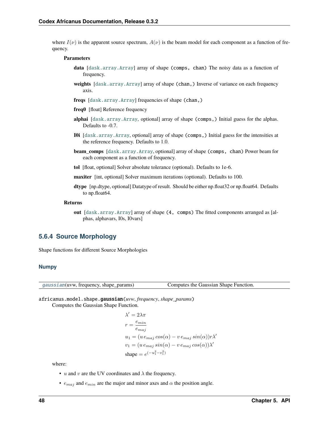where  $I(\nu)$  is the apparent source spectrum,  $A(\nu)$  is the beam model for each component as a function of frequency.

#### **Parameters**

- **data** [[dask.array.Array](https://docs.dask.org/en/latest/generated/dask.array.Array.html#dask.array.Array)] array of shape (comps, chan) The noisy data as a function of frequency.
- **weights** [[dask.array.Array](https://docs.dask.org/en/latest/generated/dask.array.Array.html#dask.array.Array)] array of shape (chan,) Inverse of variance on each frequency axis.
- **freqs** [[dask.array.Array](https://docs.dask.org/en/latest/generated/dask.array.Array.html#dask.array.Array)] frequencies of shape (chan,)
- **freq0** [float] Reference frequency
- **alphai** [[dask.array.Array](https://docs.dask.org/en/latest/generated/dask.array.Array.html#dask.array.Array), optional] array of shape (comps,) Initial guess for the alphas. Defaults to -0.7.
- **I0i** [[dask.array.Array](https://docs.dask.org/en/latest/generated/dask.array.Array.html#dask.array.Array), optional] array of shape (comps,) Initial guess for the intensities at the reference frequency. Defaults to 1.0.
- **beam** comps [[dask.array.Array](https://docs.dask.org/en/latest/generated/dask.array.Array.html#dask.array.Array), optional] array of shape (comps, chan) Power beam for each component as a function of frequency.
- **tol** [float, optional] Solver absolute tolerance (optional). Defaults to 1e-6.
- **maxiter** [int, optional] Solver maximum iterations (optional). Defaults to 100.
- **dtype** [np.dtype, optional] Datatype of result. Should be either np.float32 or np.float64. Defaults to np.float64.

#### **Returns**

**out** [[dask.array.Array](https://docs.dask.org/en/latest/generated/dask.array.Array.html#dask.array.Array)] array of shape (4, comps) The fitted components arranged as [alphas, alphavars, I0s, I0vars]

## **5.6.4 Source Morphology**

Shape functions for different Source Morphologies

#### **Numpy**

[gaussian](#page-51-0)(uvw, frequency, shape\_params) Computes the Gaussian Shape Function.

<span id="page-51-0"></span>africanus.model.shape.gaussian(*uvw*, *frequency*, *shape\_params*) Computes the Gaussian Shape Function.

$$
\begin{aligned} \lambda' &= 2\lambda\pi \\ r &= \frac{e_{min}}{e_{maj}} \\ u_1 &= (u \, e_{maj} \cos(\alpha) - v \, e_{maj} \sin(\alpha))r\lambda' \\ v_1 &= (u \, e_{maj} \sin(\alpha) - v \, e_{maj} \cos(\alpha))\lambda' \\ \text{shape} &= e^{(-u_1^2 - v_1^2)} \end{aligned}
$$

where:

- $u$  and  $v$  are the UV coordinates and  $\lambda$  the frequency.
- $e_{maj}$  and  $e_{min}$  are the major and minor axes and  $\alpha$  the position angle.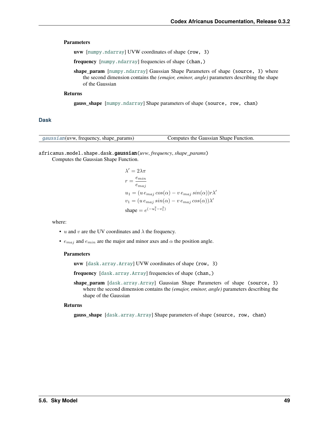#### **Parameters**

**uvw** [[numpy.ndarray](https://numpy.org/doc/stable/reference/generated/numpy.ndarray.html#numpy.ndarray)] UVW coordinates of shape (row, 3)

**frequency** [[numpy.ndarray](https://numpy.org/doc/stable/reference/generated/numpy.ndarray.html#numpy.ndarray)] frequencies of shape (chan,)

**shape\_param** [[numpy.ndarray](https://numpy.org/doc/stable/reference/generated/numpy.ndarray.html#numpy.ndarray)] Gaussian Shape Parameters of shape (source, 3) where the second dimension contains the *(emajor, eminor, angle)* parameters describing the shape of the Gaussian

#### **Returns**

**gauss\_shape** [[numpy.ndarray](https://numpy.org/doc/stable/reference/generated/numpy.ndarray.html#numpy.ndarray)] Shape parameters of shape (source, row, chan)

#### **Dask**

| gaussian(uvw, frequency, shape_params) | Computes the Gaussian Shape Function. |
|----------------------------------------|---------------------------------------|
|----------------------------------------|---------------------------------------|

## <span id="page-52-0"></span>africanus.model.shape.dask.gaussian(*uvw*, *frequency*, *shape\_params*)

Computes the Gaussian Shape Function.

$$
\begin{aligned} \lambda' &= 2\lambda\pi \\ r &= \frac{e_{min}}{e_{maj}} \\ u_1 &= (u \, e_{maj} \cos(\alpha) - v \, e_{maj} \sin(\alpha))r\lambda' \\ v_1 &= (u \, e_{maj} \sin(\alpha) - v \, e_{maj} \cos(\alpha))\lambda' \\ \text{shape} &= e^{(-u_1^2 - v_1^2)} \end{aligned}
$$

where:

- $u$  and  $v$  are the UV coordinates and  $\lambda$  the frequency.
- $e_{\text{maj}}$  and  $e_{\text{min}}$  are the major and minor axes and  $\alpha$  the position angle.

#### **Parameters**

**uvw** [[dask.array.Array](https://docs.dask.org/en/latest/generated/dask.array.Array.html#dask.array.Array)] UVW coordinates of shape (row, 3)

**frequency** [[dask.array.Array](https://docs.dask.org/en/latest/generated/dask.array.Array.html#dask.array.Array)] frequencies of shape (chan,)

**shape\_param** [[dask.array.Array](https://docs.dask.org/en/latest/generated/dask.array.Array.html#dask.array.Array)] Gaussian Shape Parameters of shape (source, 3) where the second dimension contains the *(emajor, eminor, angle)* parameters describing the shape of the Gaussian

#### **Returns**

**gauss\_shape** [[dask.array.Array](https://docs.dask.org/en/latest/generated/dask.array.Array.html#dask.array.Array)] Shape parameters of shape (source, row, chan)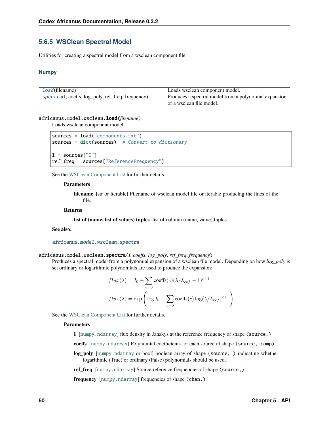## **5.6.5 WSClean Spectral Model**

Utilities for creating a spectral model from a wsclean component file.

#### **Numpy**

| <i>load</i> (filename)                            | Loads wsclean component model.                        |
|---------------------------------------------------|-------------------------------------------------------|
| spectra(I, coeffs, log_poly, ref_freq, frequency) | Produces a spectral model from a polynomial expansion |
|                                                   | of a wsclean file model.                              |

#### <span id="page-53-0"></span>africanus.model.wsclean.load(*filename*)

Loads wsclean component model.

```
sources = load("components.txt")
sources = dict(sources) # Convert to dictionary
I = sources['I'']ref_freq = sources["ReferenceFrequency"]
```
See the [WSClean Component List](https://sourceforge.net/p/wsclean/wiki/ComponentList/) for further details.

#### **Parameters**

**filename** [str or iterable] Filename of wsclean model file or iterable producing the lines of the file.

#### **Returns**

**list of (name, list of values) tuples** list of column (name, value) tuples

#### **See also:**

#### [africanus.model.wsclean.spectra](#page-53-1)

<span id="page-53-1"></span>africanus.model.wsclean.spectra(*I*, *coeffs*, *log\_poly*, *ref\_freq*, *frequency*)

Produces a spectral model from a polynomial expansion of a wsclean file model. Depending on how *log\_poly* is set ordinary or logarithmic polynomials are used to produce the expansion:

$$
flux(\lambda) = I_0 + \sum_{c=0} \text{coeffs}(c)(\lambda/\lambda_{ref} - 1)^{c+1}
$$

$$
flux(\lambda) = \exp\left(\log I_0 + \sum_{c=0} \text{coeffs}(c)\log(\lambda/\lambda_{ref})^{c+1}\right)
$$

See the [WSClean Component List](https://sourceforge.net/p/wsclean/wiki/ComponentList/) for further details.

#### **Parameters**

**I** [[numpy.ndarray](https://numpy.org/doc/stable/reference/generated/numpy.ndarray.html#numpy.ndarray)] flux density in Janskys at the reference frequency of shape (source,)

**coeffs** [[numpy.ndarray](https://numpy.org/doc/stable/reference/generated/numpy.ndarray.html#numpy.ndarray)] Polynomial coefficients for each source of shape (source, comp)

**log\_poly** [[numpy.ndarray](https://numpy.org/doc/stable/reference/generated/numpy.ndarray.html#numpy.ndarray) or bool] boolean array of shape (source, ) indicating whether logarithmic (True) or ordinary (False) polynomials should be used.

**ref freq** [[numpy.ndarray](https://numpy.org/doc/stable/reference/generated/numpy.ndarray.html#numpy.ndarray)] Source reference frequencies of shape (source,)

**frequency** [[numpy.ndarray](https://numpy.org/doc/stable/reference/generated/numpy.ndarray.html#numpy.ndarray)] frequencies of shape (chan,)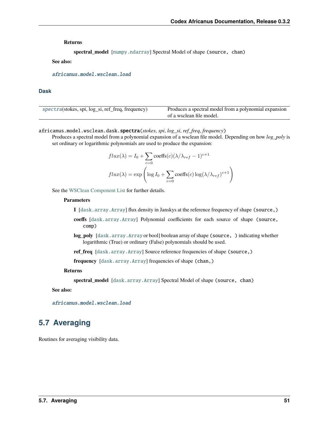**Returns**

**spectral\_model** [[numpy.ndarray](https://numpy.org/doc/stable/reference/generated/numpy.ndarray.html#numpy.ndarray)] Spectral Model of shape (source, chan)

**See also:**

[africanus.model.wsclean.load](#page-53-0)

#### **Dask**

| spectra(stokes, spi, log_si, ref_freq, frequency) | Produces a spectral model from a polynomial expansion<br>of a wsclean file model. |
|---------------------------------------------------|-----------------------------------------------------------------------------------|
|                                                   |                                                                                   |

<span id="page-54-0"></span>africanus.model.wsclean.dask.spectra(*stokes*, *spi*, *log\_si*, *ref\_freq*, *frequency*)

Produces a spectral model from a polynomial expansion of a wsclean file model. Depending on how *log\_poly* is set ordinary or logarithmic polynomials are used to produce the expansion:

$$
flux(\lambda) = I_0 + \sum_{c=0} \text{coeffs}(c)(\lambda/\lambda_{ref} - 1)^{c+1}
$$

$$
flux(\lambda) = \exp\left(\log I_0 + \sum_{c=0} \text{coeffs}(c)\log(\lambda/\lambda_{ref})^{c+1}\right)
$$

See the [WSClean Component List](https://sourceforge.net/p/wsclean/wiki/ComponentList/) for further details.

#### **Parameters**

**I** [[dask.array.Array](https://docs.dask.org/en/latest/generated/dask.array.Array.html#dask.array.Array)] flux density in Janskys at the reference frequency of shape (source,)

- **coeffs** [[dask.array.Array](https://docs.dask.org/en/latest/generated/dask.array.Array.html#dask.array.Array)] Polynomial coefficients for each source of shape (source, comp)
- **log\_poly** [[dask.array.Array](https://docs.dask.org/en/latest/generated/dask.array.Array.html#dask.array.Array) or bool] boolean array of shape (source, ) indicating whether logarithmic (True) or ordinary (False) polynomials should be used.

**ref\_freq** [[dask.array.Array](https://docs.dask.org/en/latest/generated/dask.array.Array.html#dask.array.Array)] Source reference frequencies of shape (source,)

**frequency** [[dask.array.Array](https://docs.dask.org/en/latest/generated/dask.array.Array.html#dask.array.Array)] frequencies of shape (chan,)

#### **Returns**

**spectral\_model** [[dask.array.Array](https://docs.dask.org/en/latest/generated/dask.array.Array.html#dask.array.Array)] Spectral Model of shape (source, chan)

#### **See also:**

[africanus.model.wsclean.load](#page-53-0)

# **5.7 Averaging**

Routines for averaging visibility data.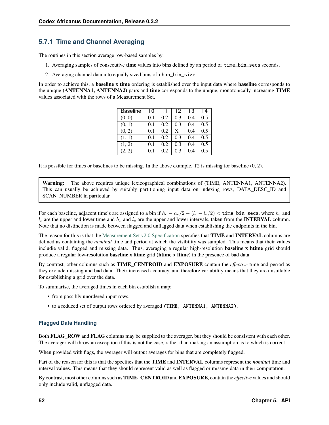## **5.7.1 Time and Channel Averaging**

The routines in this section average row-based samples by:

- 1. Averaging samples of consecutive **time** values into bins defined by an period of time\_bin\_secs seconds.
- 2. Averaging channel data into equally sized bins of chan\_bin\_size.

In order to achieve this, a **baseline x time** ordering is established over the input data where **baseline** corresponds to the unique **(ANTENNA1, ANTENNA2)** pairs and **time** corresponds to the unique, monotonically increasing **TIME** values associated with the rows of a Measurement Set.

| <b>Baseline</b> | T0  | Τ1  | T <sub>2</sub> | TЗ  | T4  |
|-----------------|-----|-----|----------------|-----|-----|
| (0, 0)          | 0.1 | 0.2 | 0.3            | 0.4 | 0.5 |
| (0, 1)          | 0.1 | 0.2 | 0.3            | 0.4 | 0.5 |
| (0, 2)          | 0.1 | 0.2 | X              | 0.4 | 0.5 |
| (1, 1)          | 0.1 | 0.2 | 0.3            | 0.4 | 0.5 |
| (1, 2)          | 0.1 | 0.2 | 0.3            | 0.4 | 0.5 |
| (2, 2)          | 0.1 | 0.2 | 0.3            | 0.4 | 0.5 |

It is possible for times or baselines to be missing. In the above example, T2 is missing for baseline (0, 2).

**Warning:** The above requires unique lexicographical combinations of (TIME, ANTENNA1, ANTENNA2). This can usually be achieved by suitably partitioning input data on indexing rows, DATA\_DESC\_ID and SCAN\_NUMBER in particular.

For each baseline, adjacent time's are assigned to a bin if  $h_c - h_e/2 - (l_c - l_e/2) <$  time\_bin\_secs, where  $h_c$  and  $l_c$  are the upper and lower time and  $h_e$  and  $l_e$  are the upper and lower intervals, taken from the **INTERVAL** column. Note that no distinction is made between flagged and unflagged data when establishing the endpoints in the bin.

The reason for this is that the [Measurement Set v2.0 Specification](https://casa.nrao.edu/Memos/229.html) specifies that **TIME** and **INTERVAL** columns are defined as containing the *nominal* time and period at which the visibility was sampled. This means that their values includie valid, flagged and missing data. Thus, averaging a regular high-resolution **baseline x htime** grid should produce a regular low-resolution **baseline x ltime** grid (**htime > ltime**) in the presence of bad data

By contrast, other columns such as **TIME\_CENTROID** and **EXPOSURE** contain the *effective* time and period as they exclude missing and bad data. Their increased accuracy, and therefore variability means that they are unsuitable for establishing a grid over the data.

To summarise, the averaged times in each bin establish a map:

- from possibly unordered input rows.
- to a reduced set of output rows ordered by averaged (TIME, ANTENNA1, ANTENNA2).

## **Flagged Data Handling**

Both **FLAG\_ROW** and **FLAG** columns may be supplied to the averager, but they should be consistent with each other. The averager will throw an exception if this is not the case, rather than making an assumption as to which is correct.

When provided with flags, the averager will output averages for bins that are completely flagged.

Part of the reason for this is that the specifies that the **TIME** and **INTERVAL** columns represent the *nominal* time and interval values. This means that they should represent valid as well as flagged or missing data in their computation.

By contrast, most other columns such as **TIME\_CENTROID** and **EXPOSURE**, contain the *effective* values and should only include valid, unflagged data.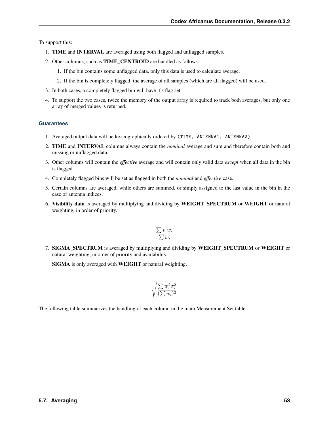To support this:

- 1. **TIME** and **INTERVAL** are averaged using both flagged and unflagged samples.
- 2. Other columns, such as **TIME\_CENTROID** are handled as follows:
	- 1. If the bin contains some unflagged data, only this data is used to calculate average.
	- 2. If the bin is completely flagged, the average of all samples (which are all flagged) will be used.
- 3. In both cases, a completely flagged bin will have it's flag set.
- 4. To support the two cases, twice the memory of the output array is required to track both averages, but only one array of merged values is returned.

## **Guarantees**

- 1. Averaged output data will be lexicographically ordered by (TIME, ANTENNA1, ANTENNA2)
- 2. **TIME** and **INTERVAL** columns always contain the *nominal* average and sum and therefore contain both and missing or unflagged data.
- 3. Other columns will contain the *effective* average and will contain only valid data *except* when all data in the bin is flagged.
- 4. Completely flagged bins will be set as flagged in both the *nominal* and *effective* case.
- 5. Certain columns are averaged, while others are summed, or simply assigned to the last value in the bin in the case of antenna indices.
- 6. **Visibility data** is averaged by multiplying and dividing by **WEIGHT\_SPECTRUM** or **WEIGHT** or natural weighting, in order of priority.

$$
\frac{\sum v_i w_i}{\sum w_i}
$$

7. **SIGMA\_SPECTRUM** is averaged by multiplying and dividing by **WEIGHT\_SPECTRUM** or **WEIGHT** or natural weighting, in order of priority and availability.

**SIGMA** is only averaged with **WEIGHT** or natural weighting.

$$
\sqrt{\frac{\sum w_i^2 \sigma_i^2}{(\sum w_i)^2}}
$$

The following table summarizes the handling of each column in the main Measurement Set table: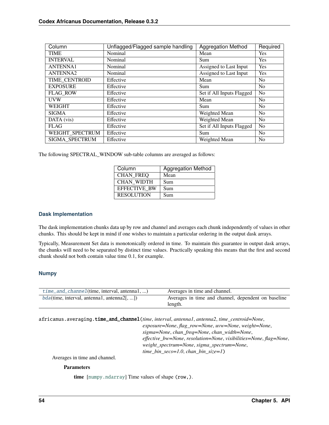| Column               | Unflagged/Flagged sample handling | <b>Aggregation Method</b> | Required       |
|----------------------|-----------------------------------|---------------------------|----------------|
| <b>TIME</b>          | Nominal                           | Mean                      | Yes            |
| <b>INTERVAL</b>      | Nominal                           | Sum                       | <b>Yes</b>     |
| <b>ANTENNA1</b>      | Nominal                           | Assigned to Last Input    | <b>Yes</b>     |
| ANTENNA <sub>2</sub> | Nominal                           | Assigned to Last Input    | Yes            |
| TIME CENTROID        | Effective                         | Mean                      | N <sub>o</sub> |
| <b>EXPOSURE</b>      | Effective                         | Sum                       | N <sub>o</sub> |
| <b>FLAG ROW</b>      | Effective                         | Set if All Inputs Flagged | N <sub>0</sub> |
| <b>UVW</b>           | Effective                         | Mean                      | N <sub>o</sub> |
| <b>WEIGHT</b>        | Effective                         | Sum                       | N <sub>o</sub> |
| <b>SIGMA</b>         | Effective                         | Weighted Mean             | N <sub>o</sub> |
| DATA (vis)           | Effective                         | Weighted Mean             | N <sub>o</sub> |
| <b>FLAG</b>          | Effective                         | Set if All Inputs Flagged | N <sub>o</sub> |
| WEIGHT SPECTRUM      | Effective                         | Sum                       | N <sub>0</sub> |
| SIGMA SPECTRUM       | Effective                         | Weighted Mean             | N <sub>0</sub> |

The following SPECTRAL\_WINDOW sub-table columns are averaged as follows:

| Column              | <b>Aggregation Method</b> |
|---------------------|---------------------------|
| <b>CHAN FREQ</b>    | Mean                      |
| <b>CHAN WIDTH</b>   | Sum                       |
| <b>EFFECTIVE BW</b> | Sum                       |
| <b>RESOLUTION</b>   | Sum                       |

## **Dask Implementation**

The dask implementation chunks data up by row and channel and averages each chunk independently of values in other chunks. This should be kept in mind if one wishes to maintain a particular ordering in the output dask arrays.

Typically, Measurement Set data is monotonically ordered in time. To maintain this guarantee in output dask arrays, the chunks will need to be separated by distinct time values. Practically speaking this means that the first and second chunk should not both contain value time 0.1, for example.

## **Numpy**

| $time\_and\_channel$ (time, interval, antenna1, ) | Averages in time and channel.                       |
|---------------------------------------------------|-----------------------------------------------------|
| $bda$ (time, interval, antenna1, antenna2[, ])    | Averages in time and channel, dependent on baseline |
|                                                   | length.                                             |

<span id="page-57-0"></span>africanus.averaging.time\_and\_channel(*time*, *interval*, *antenna1*, *antenna2*, *time\_centroid=None*,

*exposure=None*, *flag\_row=None*, *uvw=None*, *weight=None*, *sigma=None*, *chan\_freq=None*, *chan\_width=None*, *effective\_bw=None*, *resolution=None*, *visibilities=None*, *flag=None*, *weight\_spectrum=None*, *sigma\_spectrum=None*, *time\_bin\_secs=1.0*, *chan\_bin\_size=1*)

Averages in time and channel.

#### **Parameters**

**time** [[numpy.ndarray](https://numpy.org/doc/stable/reference/generated/numpy.ndarray.html#numpy.ndarray)] Time values of shape (row,).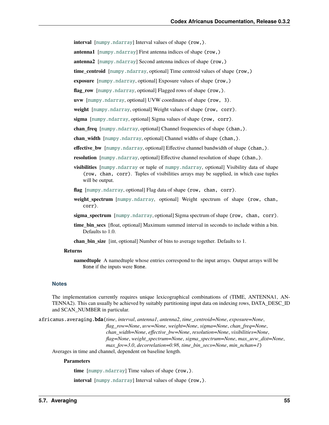**interval** [[numpy.ndarray](https://numpy.org/doc/stable/reference/generated/numpy.ndarray.html#numpy.ndarray)] Interval values of shape (row,).

**antenna1** [[numpy.ndarray](https://numpy.org/doc/stable/reference/generated/numpy.ndarray.html#numpy.ndarray)] First antenna indices of shape (row,)

**antenna2** [[numpy.ndarray](https://numpy.org/doc/stable/reference/generated/numpy.ndarray.html#numpy.ndarray)] Second antenna indices of shape (row,)

**time\_centroid** [[numpy.ndarray](https://numpy.org/doc/stable/reference/generated/numpy.ndarray.html#numpy.ndarray), optional] Time centroid values of shape (row,)

**exposure** [[numpy.ndarray](https://numpy.org/doc/stable/reference/generated/numpy.ndarray.html#numpy.ndarray), optional] Exposure values of shape (row,)

**flag\_row** [[numpy.ndarray](https://numpy.org/doc/stable/reference/generated/numpy.ndarray.html#numpy.ndarray), optional] Flagged rows of shape (row,).

**uvw** [[numpy.ndarray](https://numpy.org/doc/stable/reference/generated/numpy.ndarray.html#numpy.ndarray), optional] UVW coordinates of shape (row, 3).

**weight** [[numpy.ndarray](https://numpy.org/doc/stable/reference/generated/numpy.ndarray.html#numpy.ndarray), optional] Weight values of shape (row, corr).

**sigma** [[numpy.ndarray](https://numpy.org/doc/stable/reference/generated/numpy.ndarray.html#numpy.ndarray), optional] Sigma values of shape (row, corr).

**chan\_freq** [[numpy.ndarray](https://numpy.org/doc/stable/reference/generated/numpy.ndarray.html#numpy.ndarray), optional] Channel frequencies of shape (chan,).

**chan\_width** [[numpy.ndarray](https://numpy.org/doc/stable/reference/generated/numpy.ndarray.html#numpy.ndarray), optional] Channel widths of shape (chan,).

**effective\_bw** [[numpy.ndarray](https://numpy.org/doc/stable/reference/generated/numpy.ndarray.html#numpy.ndarray), optional] Effective channel bandwidth of shape (chan,).

**resolution** [[numpy.ndarray](https://numpy.org/doc/stable/reference/generated/numpy.ndarray.html#numpy.ndarray), optional] Effective channel resolution of shape (chan,).

**visibilities** [[numpy.ndarray](https://numpy.org/doc/stable/reference/generated/numpy.ndarray.html#numpy.ndarray) or tuple of [numpy.ndarray](https://numpy.org/doc/stable/reference/generated/numpy.ndarray.html#numpy.ndarray), optional] Visibility data of shape (row, chan, corr). Tuples of visibilities arrays may be supplied, in which case tuples will be output.

**flag** [[numpy.ndarray](https://numpy.org/doc/stable/reference/generated/numpy.ndarray.html#numpy.ndarray), optional] Flag data of shape (row, chan, corr).

- **weight spectrum** [[numpy.ndarray](https://numpy.org/doc/stable/reference/generated/numpy.ndarray.html#numpy.ndarray), optional] Weight spectrum of shape (row, chan, corr).
- **sigma\_spectrum** [[numpy.ndarray](https://numpy.org/doc/stable/reference/generated/numpy.ndarray.html#numpy.ndarray), optional] Sigma spectrum of shape (row, chan, corr).
- **time\_bin\_secs** [float, optional] Maximum summed interval in seconds to include within a bin. Defaults to 1.0.

**chan** bin size [int, optional] Number of bins to average together. Defaults to 1.

#### **Returns**

**namedtuple** A namedtuple whose entries correspond to the input arrays. Output arrays will be None if the inputs were None.

#### **Notes**

The implementation currently requires unique lexicographical combinations of (TIME, ANTENNA1, AN-TENNA2). This can usually be achieved by suitably partitioning input data on indexing rows, DATA\_DESC\_ID and SCAN\_NUMBER in particular.

<span id="page-58-0"></span>africanus.averaging.bda(*time*, *interval*, *antenna1*, *antenna2*, *time\_centroid=None*, *exposure=None*, *flag\_row=None*, *uvw=None*, *weight=None*, *sigma=None*, *chan\_freq=None*, *chan\_width=None*, *effective\_bw=None*, *resolution=None*, *visibilities=None*, *flag=None*, *weight\_spectrum=None*, *sigma\_spectrum=None*, *max\_uvw\_dist=None*, *max\_fov=3.0*, *decorrelation=0.98*, *time\_bin\_secs=None*, *min\_nchan=1*)

Averages in time and channel, dependent on baseline length.

#### **Parameters**

**time** [[numpy.ndarray](https://numpy.org/doc/stable/reference/generated/numpy.ndarray.html#numpy.ndarray)] Time values of shape (row,).

**interval** [[numpy.ndarray](https://numpy.org/doc/stable/reference/generated/numpy.ndarray.html#numpy.ndarray)] Interval values of shape (row,).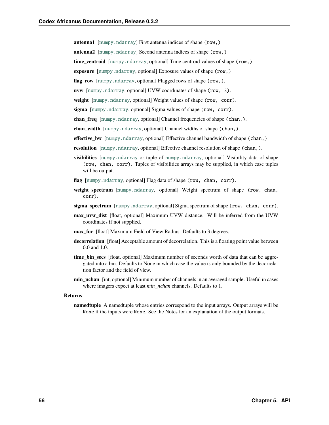**antenna1** [[numpy.ndarray](https://numpy.org/doc/stable/reference/generated/numpy.ndarray.html#numpy.ndarray)] First antenna indices of shape (row,)

**antenna2** [[numpy.ndarray](https://numpy.org/doc/stable/reference/generated/numpy.ndarray.html#numpy.ndarray)] Second antenna indices of shape (row,)

**time\_centroid** [[numpy.ndarray](https://numpy.org/doc/stable/reference/generated/numpy.ndarray.html#numpy.ndarray), optional] Time centroid values of shape (row,)

**exposure** [[numpy.ndarray](https://numpy.org/doc/stable/reference/generated/numpy.ndarray.html#numpy.ndarray), optional] Exposure values of shape (row,)

**flag\_row** [[numpy.ndarray](https://numpy.org/doc/stable/reference/generated/numpy.ndarray.html#numpy.ndarray), optional] Flagged rows of shape (row,).

**uvw** [[numpy.ndarray](https://numpy.org/doc/stable/reference/generated/numpy.ndarray.html#numpy.ndarray), optional] UVW coordinates of shape (row, 3).

**weight** [[numpy.ndarray](https://numpy.org/doc/stable/reference/generated/numpy.ndarray.html#numpy.ndarray), optional] Weight values of shape (row, corr).

**sigma** [[numpy.ndarray](https://numpy.org/doc/stable/reference/generated/numpy.ndarray.html#numpy.ndarray), optional] Sigma values of shape (row, corr).

**chan\_freq** [[numpy.ndarray](https://numpy.org/doc/stable/reference/generated/numpy.ndarray.html#numpy.ndarray), optional] Channel frequencies of shape (chan,).

**chan** width [[numpy.ndarray](https://numpy.org/doc/stable/reference/generated/numpy.ndarray.html#numpy.ndarray), optional] Channel widths of shape (chan,).

**effective\_bw** [[numpy.ndarray](https://numpy.org/doc/stable/reference/generated/numpy.ndarray.html#numpy.ndarray), optional] Effective channel bandwidth of shape (chan,).

- **resolution** [[numpy.ndarray](https://numpy.org/doc/stable/reference/generated/numpy.ndarray.html#numpy.ndarray), optional] Effective channel resolution of shape (chan,).
- **visibilities** [[numpy.ndarray](https://numpy.org/doc/stable/reference/generated/numpy.ndarray.html#numpy.ndarray) or tuple of [numpy.ndarray](https://numpy.org/doc/stable/reference/generated/numpy.ndarray.html#numpy.ndarray), optional] Visibility data of shape (row, chan, corr). Tuples of visibilities arrays may be supplied, in which case tuples will be output.
- **flag** [[numpy.ndarray](https://numpy.org/doc/stable/reference/generated/numpy.ndarray.html#numpy.ndarray), optional] Flag data of shape (row, chan, corr).
- **weight spectrum** [[numpy.ndarray](https://numpy.org/doc/stable/reference/generated/numpy.ndarray.html#numpy.ndarray), optional] Weight spectrum of shape (row, chan, corr).
- **sigma\_spectrum** [[numpy.ndarray](https://numpy.org/doc/stable/reference/generated/numpy.ndarray.html#numpy.ndarray), optional] Sigma spectrum of shape (row, chan, corr).
- **max\_uvw\_dist** [float, optional] Maximum UVW distance. Will be inferred from the UVW coordinates if not supplied.
- **max\_fov** [float] Maximum Field of View Radius. Defaults to 3 degrees.
- **decorrelation** [float] Acceptable amount of decorrelation. This is a floating point value between 0.0 and 1.0.
- time bin secs [float, optional] Maximum number of seconds worth of data that can be aggregated into a bin. Defaults to None in which case the value is only bounded by the decorrelation factor and the field of view.
- **min\_nchan** [int, optional] Minimum number of channels in an averaged sample. Useful in cases where imagers expect at least *min\_nchan* channels. Defaults to 1.

#### **Returns**

**namedtuple** A namedtuple whose entries correspond to the input arrays. Output arrays will be None if the inputs were None. See the Notes for an explanation of the output formats.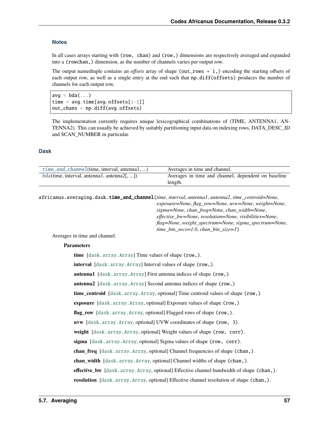#### **Notes**

In all cases arrays starting with (row, chan) and (row,) dimensions are respectively averaged and expanded into a (rowchan,) dimension, as the number of channels varies per output row.

The output namedtuple contains an *offsets* array of shape (out\_rows + 1,) encoding the starting offsets of each output row, as well as a single entry at the end such that np.diff(offsets) produces the number of channels for each output row.

 $avg = bda(...)$ time =  $avg.time[avg.offsets[-1]]$ out\_chans = np.diff(avg.offsets)

The implementation currently requires unique lexicographical combinations of (TIME, ANTENNA1, AN-TENNA2). This can usually be achieved by suitably partitioning input data on indexing rows, DATA\_DESC\_ID and SCAN\_NUMBER in particular.

#### **Dask**

| $time\_and\_channel$ (time, interval, antennal, ) | Averages in time and channel.                       |
|---------------------------------------------------|-----------------------------------------------------|
| $bda$ (time, interval, antenna1, antenna2[, ])    | Averages in time and channel, dependent on baseline |
|                                                   | length.                                             |

<span id="page-60-0"></span>africanus.averaging.dask.time\_and\_channel(*time*, *interval*, *antenna1*, *antenna2*, *time\_centroid=None*, *exposure=None*, *flag\_row=None*, *uvw=None*, *weight=None*, *sigma=None*, *chan\_freq=None*, *chan\_width=None*, *effective\_bw=None*, *resolution=None*, *visibilities=None*, *flag=None*, *weight\_spectrum=None*, *sigma\_spectrum=None*,

*time\_bin\_secs=1.0*, *chan\_bin\_size=1*)

Averages in time and channel.

#### **Parameters**

**time** [[dask.array.Array](https://docs.dask.org/en/latest/generated/dask.array.Array.html#dask.array.Array)] Time values of shape (row,). **interval** [[dask.array.Array](https://docs.dask.org/en/latest/generated/dask.array.Array.html#dask.array.Array)] Interval values of shape (row,). **antenna1** [[dask.array.Array](https://docs.dask.org/en/latest/generated/dask.array.Array.html#dask.array.Array)] First antenna indices of shape (row,) **antenna2** [[dask.array.Array](https://docs.dask.org/en/latest/generated/dask.array.Array.html#dask.array.Array)] Second antenna indices of shape (row,) **time\_centroid** [[dask.array.Array](https://docs.dask.org/en/latest/generated/dask.array.Array.html#dask.array.Array), optional] Time centroid values of shape (row,) **exposure** [[dask.array.Array](https://docs.dask.org/en/latest/generated/dask.array.Array.html#dask.array.Array), optional] Exposure values of shape (row,) flag\_row [[dask.array.Array](https://docs.dask.org/en/latest/generated/dask.array.Array.html#dask.array.Array), optional] Flagged rows of shape (row,). **uvw** [[dask.array.Array](https://docs.dask.org/en/latest/generated/dask.array.Array.html#dask.array.Array), optional] UVW coordinates of shape (row, 3). **weight** [[dask.array.Array](https://docs.dask.org/en/latest/generated/dask.array.Array.html#dask.array.Array), optional] Weight values of shape (row, corr). **sigma** [[dask.array.Array](https://docs.dask.org/en/latest/generated/dask.array.Array.html#dask.array.Array), optional] Sigma values of shape (row, corr). **chan\_freq** [[dask.array.Array](https://docs.dask.org/en/latest/generated/dask.array.Array.html#dask.array.Array), optional] Channel frequencies of shape (chan,). **chan\_width** [[dask.array.Array](https://docs.dask.org/en/latest/generated/dask.array.Array.html#dask.array.Array), optional] Channel widths of shape (chan,). **effective\_bw** [[dask.array.Array](https://docs.dask.org/en/latest/generated/dask.array.Array.html#dask.array.Array), optional] Effective channel bandwidth of shape (chan,). **resolution** [[dask.array.Array](https://docs.dask.org/en/latest/generated/dask.array.Array.html#dask.array.Array), optional] Effective channel resolution of shape (chan,).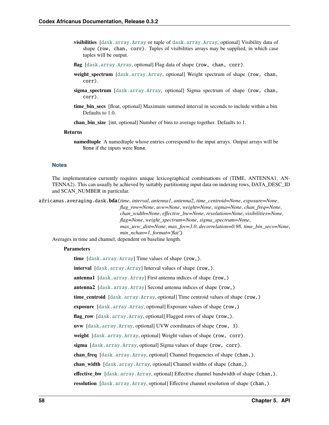- **visibilities** [[dask.array.Array](https://docs.dask.org/en/latest/generated/dask.array.Array.html#dask.array.Array) or tuple of [dask.array.Array](https://docs.dask.org/en/latest/generated/dask.array.Array.html#dask.array.Array), optional] Visibility data of shape (row, chan, corr). Tuples of visibilities arrays may be supplied, in which case tuples will be output.
- **flag** [[dask.array.Array](https://docs.dask.org/en/latest/generated/dask.array.Array.html#dask.array.Array), optional] Flag data of shape (row, chan, corr).
- **weight spectrum** [[dask.array.Array](https://docs.dask.org/en/latest/generated/dask.array.Array.html#dask.array.Array), optional] Weight spectrum of shape (row, chan, corr).
- **sigma spectrum** [[dask.array.Array](https://docs.dask.org/en/latest/generated/dask.array.Array.html#dask.array.Array), optional] Sigma spectrum of shape (row, chan, corr).
- **time\_bin\_secs** [float, optional] Maximum summed interval in seconds to include within a bin. Defaults to 1.0.

**chan\_bin\_size** [int, optional] Number of bins to average together. Defaults to 1.

#### **Returns**

**namedtuple** A namedtuple whose entries correspond to the input arrays. Output arrays will be None if the inputs were None.

#### **Notes**

The implementation currently requires unique lexicographical combinations of (TIME, ANTENNA1, AN-TENNA2). This can usually be achieved by suitably partitioning input data on indexing rows, DATA\_DESC\_ID and SCAN\_NUMBER in particular.

<span id="page-61-0"></span>africanus.averaging.dask.bda(*time*, *interval*, *antenna1*, *antenna2*, *time\_centroid=None*, *exposure=None*,

*flag\_row=None*, *uvw=None*, *weight=None*, *sigma=None*, *chan\_freq=None*, *chan\_width=None*, *effective\_bw=None*, *resolution=None*, *visibilities=None*, *flag=None*, *weight\_spectrum=None*, *sigma\_spectrum=None*, *max\_uvw\_dist=None*, *max\_fov=3.0*, *decorrelation=0.98*, *time\_bin\_secs=None*, *min\_nchan=1*, *format='flat'*)

Averages in time and channel, dependent on baseline length.

#### **Parameters**

**time** [[dask.array.Array](https://docs.dask.org/en/latest/generated/dask.array.Array.html#dask.array.Array)] Time values of shape (row,).

**interval** [[dask.array.Array](https://docs.dask.org/en/latest/generated/dask.array.Array.html#dask.array.Array)] Interval values of shape (row,).

**antenna1** [[dask.array.Array](https://docs.dask.org/en/latest/generated/dask.array.Array.html#dask.array.Array)] First antenna indices of shape (row,)

**antenna2** [[dask.array.Array](https://docs.dask.org/en/latest/generated/dask.array.Array.html#dask.array.Array)] Second antenna indices of shape (row,)

**time\_centroid** [[dask.array.Array](https://docs.dask.org/en/latest/generated/dask.array.Array.html#dask.array.Array), optional] Time centroid values of shape (row,)

**exposure** [[dask.array.Array](https://docs.dask.org/en/latest/generated/dask.array.Array.html#dask.array.Array), optional] Exposure values of shape (row,)

flag\_row [[dask.array.Array](https://docs.dask.org/en/latest/generated/dask.array.Array.html#dask.array.Array), optional] Flagged rows of shape (row,).

**uvw** [[dask.array.Array](https://docs.dask.org/en/latest/generated/dask.array.Array.html#dask.array.Array), optional] UVW coordinates of shape (row, 3).

weight [[dask.array.Array](https://docs.dask.org/en/latest/generated/dask.array.Array.html#dask.array.Array), optional] Weight values of shape (row, corr).

**sigma** [[dask.array.Array](https://docs.dask.org/en/latest/generated/dask.array.Array.html#dask.array.Array), optional] Sigma values of shape (row, corr).

**chan\_freq** [[dask.array.Array](https://docs.dask.org/en/latest/generated/dask.array.Array.html#dask.array.Array), optional] Channel frequencies of shape (chan,).

**chan\_width** [[dask.array.Array](https://docs.dask.org/en/latest/generated/dask.array.Array.html#dask.array.Array), optional] Channel widths of shape (chan,).

**effective\_bw** [[dask.array.Array](https://docs.dask.org/en/latest/generated/dask.array.Array.html#dask.array.Array), optional] Effective channel bandwidth of shape (chan,).

**resolution**  $[dask.array.Array, optional] Effective channel resolution of shape (chan.)$  $[dask.array.Array, optional] Effective channel resolution of shape (chan.)$  $[dask.array.Array, optional] Effective channel resolution of shape (chan.)$ .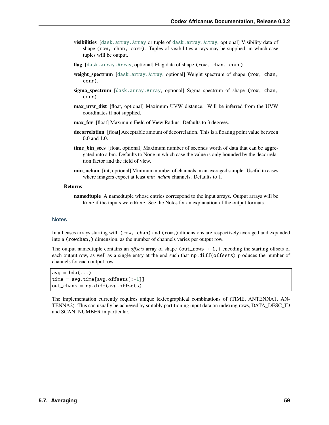- **visibilities** [[dask.array.Array](https://docs.dask.org/en/latest/generated/dask.array.Array.html#dask.array.Array) or tuple of [dask.array.Array](https://docs.dask.org/en/latest/generated/dask.array.Array.html#dask.array.Array), optional] Visibility data of shape (row, chan, corr). Tuples of visibilities arrays may be supplied, in which case tuples will be output.
- **flag** [[dask.array.Array](https://docs.dask.org/en/latest/generated/dask.array.Array.html#dask.array.Array), optional] Flag data of shape (row, chan, corr).
- **weight spectrum** [[dask.array.Array](https://docs.dask.org/en/latest/generated/dask.array.Array.html#dask.array.Array), optional] Weight spectrum of shape (row, chan, corr).
- **sigma spectrum** [[dask.array.Array](https://docs.dask.org/en/latest/generated/dask.array.Array.html#dask.array.Array), optional] Sigma spectrum of shape (row, chan, corr).
- **max\_uvw\_dist** [float, optional] Maximum UVW distance. Will be inferred from the UVW coordinates if not supplied.
- **max\_fov** [float] Maximum Field of View Radius. Defaults to 3 degrees.
- **decorrelation** [float] Acceptable amount of decorrelation. This is a floating point value between 0.0 and 1.0.
- **time\_bin\_secs** [float, optional] Maximum number of seconds worth of data that can be aggregated into a bin. Defaults to None in which case the value is only bounded by the decorrelation factor and the field of view.
- **min\_nchan** [int, optional] Minimum number of channels in an averaged sample. Useful in cases where imagers expect at least *min\_nchan* channels. Defaults to 1.

#### **Returns**

**namedtuple** A namedtuple whose entries correspond to the input arrays. Output arrays will be None if the inputs were None. See the Notes for an explanation of the output formats.

#### **Notes**

In all cases arrays starting with (row, chan) and (row,) dimensions are respectively averaged and expanded into a (rowchan,) dimension, as the number of channels varies per output row.

The output namedtuple contains an *offsets* array of shape (out\_rows + 1,) encoding the starting offsets of each output row, as well as a single entry at the end such that np.diff(offsets) produces the number of channels for each output row.

```
avg = bda(...)time = avg.time[avg.offsets[-1]]out_chans = np.diff(avg.offsets)
```
The implementation currently requires unique lexicographical combinations of (TIME, ANTENNA1, AN-TENNA2). This can usually be achieved by suitably partitioning input data on indexing rows, DATA\_DESC\_ID and SCAN\_NUMBER in particular.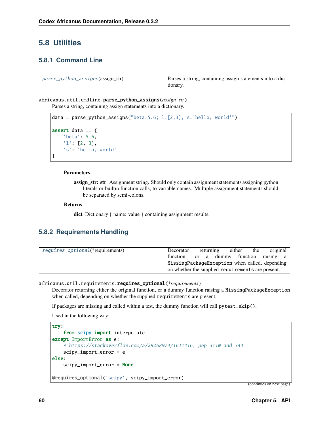# **5.8 Utilities**

## **5.8.1 Command Line**

| parse_python_assigns(assign_str) | Parses a string, containing assign statements into a dic- |
|----------------------------------|-----------------------------------------------------------|
|                                  | tionary.                                                  |

## <span id="page-63-0"></span>africanus.util.cmdline.parse\_python\_assigns(*assign\_str*)

Parses a string, containing assign statements into a dictionary.

```
data = parse\_python\_assigns("beta=5.6; l=[2,3], s='hello, world'")assert data == {
    'beta': 5.6,
    'l': [2, 3],
    's': 'hello, world'
}
```
#### **Parameters**

**assign\_str: str** Assignment string. Should only contain assignment statements assigning python literals or builtin function calls, to variable names. Multiple assignment statements should be separated by semi-colons.

#### **Returns**

**dict** Dictionary { name: value } containing assignment results.

## **5.8.2 Requirements Handling**

| requires_optional(*requirements) | Decorator | returning                                         | either | the | original |
|----------------------------------|-----------|---------------------------------------------------|--------|-----|----------|
|                                  | function. | or a dummy function raising a                     |        |     |          |
|                                  |           | MissingPackageException when called, depending    |        |     |          |
|                                  |           | on whether the supplied requirements are present. |        |     |          |
|                                  |           |                                                   |        |     |          |

<span id="page-63-1"></span>africanus.util.requirements.requires\_optional(*\*requirements*)

Decorator returning either the original function, or a dummy function raising a MissingPackageException when called, depending on whether the supplied requirements are present.

If packages are missing and called within a test, the dummy function will call pytest.skip().

Used in the following way:

```
try:
    from scipy import interpolate
except ImportError as e:
    # https://stackoverflow.com/a/29268974/1611416, pep 3110 and 344
    scipy_import_error = e
else:
    scipy\_import\_error = None@requires_optional('scipy', scipy_import_error)
```
(continues on next page)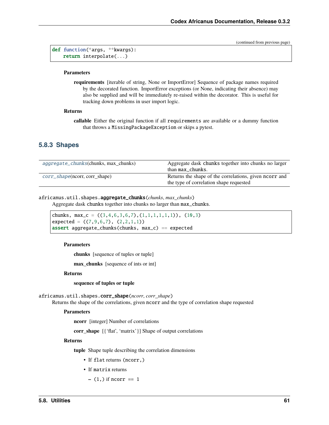(continued from previous page)

```
def function(*args, **kwargs):
    return interpolate(...)
```
#### **Parameters**

**requirements** [iterable of string, None or ImportError] Sequence of package names required by the decorated function. ImportError exceptions (or None, indicating their absence) may also be supplied and will be immediately re-raised within the decorator. This is useful for tracking down problems in user import logic.

#### **Returns**

**callable** Either the original function if all requirements are available or a dummy function that throws a MissingPackageException or skips a pytest.

### **5.8.3 Shapes**

| aggregate_chunks(chunks, max chunks) | Aggregate dask chunks together into chunks no larger<br>than max_chunks.                           |
|--------------------------------------|----------------------------------------------------------------------------------------------------|
| corr_shape(ncorr, corr_shape)        | Returns the shape of the correlations, given noor r and<br>the type of correlation shape requested |

### <span id="page-64-0"></span>africanus.util.shapes.aggregate\_chunks(*chunks*, *max\_chunks*)

Aggregate dask chunks together into chunks no larger than max\_chunks.

chunks, max<sub>c</sub> =  $((3,4,6,3,6,7),(1,1,1,1,1,1))$ ,  $(10,3)$ expected =  $((7, 9, 6, 7), (2, 2, 1, 1))$ assert aggregate\_chunks(chunks,  $max_c$ ) == expected

#### **Parameters**

**chunks** [sequence of tuples or tuple]

**max\_chunks** [sequence of ints or int]

#### **Returns**

**sequence of tuples or tuple**

<span id="page-64-1"></span>africanus.util.shapes.corr\_shape(*ncorr*, *corr\_shape*)

Returns the shape of the correlations, given ncorr and the type of correlation shape requested

#### **Parameters**

**ncorr** [integer] Number of correlations

**corr\_shape** [{'flat', 'matrix'}] Shape of output correlations

#### **Returns**

**tuple** Shape tuple describing the correlation dimensions

- If flat returns (ncorr,)
- If matrix returns
	- **–** (1,) if ncorr == 1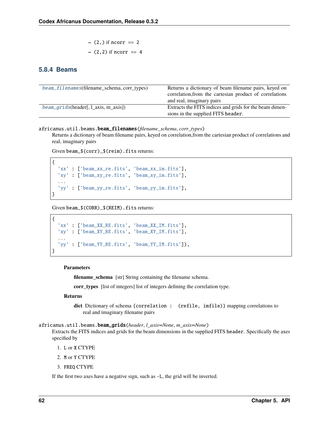- 
$$
(2,)
$$
 if  $ncorr == 2$   
-  $(2,2)$  if  $ncorr == 4$ 

## **5.8.4 Beams**

| beam_filenames(filename_schema, corr_types) | Returns a dictionary of beam filename pairs, keyed on<br>correlation, from the cartesian product of correlations |
|---------------------------------------------|------------------------------------------------------------------------------------------------------------------|
|                                             | and real, imaginary pairs                                                                                        |
| $beam\_grids(header[, 1_axis, m_axis])$     | Extracts the FITS indices and grids for the beam dimen-                                                          |
|                                             | sions in the supplied FITS header.                                                                               |

<span id="page-65-0"></span>africanus.util.beams.beam\_filenames(*filename\_schema*, *corr\_types*)

Returns a dictionary of beam filename pairs, keyed on correlation,from the cartesian product of correlations and real, imaginary pairs

Given beam\_\$(corr)\_\$(reim).fits returns:

```
{
  'xx' : ['beam_xx_re.fits', 'beam_xx_im.fits'],
  'xy' : ['beam_xy_re.fits', 'beam_xy_im.fits'],
  ...
  'yy' : ['beam_yy_re.fits', 'beam_yy_im.fits'],
}
```
Given beam\_\$(CORR)\_\$(REIM).fits returns:

```
{
  'xx' : ['beam_XX_RE.fits', 'beam_XX_IM.fits'],
  'xy' : ['beam_XY_RE.fits', 'beam_XY_IM.fits'],
  ...
  'yy' : ['beam_YY_RE.fits', 'beam_YY_IM.fits']),
}
```
#### **Parameters**

**filename\_schema** [str] String containing the filename schema.

**corr\_types** [list of integers] list of integers defining the correlation type.

#### **Returns**

**dict** Dictionary of schema {correlation : (refile, imfile)} mapping correlations to real and imaginary filename pairs

#### <span id="page-65-1"></span>africanus.util.beams.beam\_grids(*header*, *l\_axis=None*, *m\_axis=None*)

Extracts the FITS indices and grids for the beam dimensions in the supplied FITS header. Specifically the axes specified by

- 1. L or X CTYPE
- 2. M or Y CTYPE
- 3. FREQ CTYPE

If the first two axes have a negative sign, such as -L, the grid will be inverted.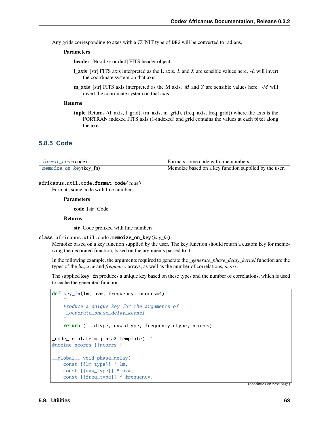Any grids corresponding to axes with a CUNIT type of DEG will be converted to radians.

#### **Parameters**

**header** [Header or dict] FITS header object.

- **l\_axis** [str] FITS axis interpreted as the L axis. *L* and *X* are sensible values here. *-L* will invert the coordinate system on that axis.
- **m\_axis** [str] FITS axis interpreted as the M axis. *M* and *Y* are sensible values here. *-M* will invert the coordinate system on that axis.

#### **Returns**

**tuple** Returns ((l\_axis, l\_grid), (m\_axis, m\_grid), (freq\_axis, freq\_grid)) where the axis is the FORTRAN indexed FITS axis (1-indexed) and grid contains the values at each pixel along the axis.

### **5.8.5 Code**

| format_code(code)      | Formats some code with line numbers                   |
|------------------------|-------------------------------------------------------|
| memoize_on_key(key_fn) | Memoize based on a key function supplied by the user. |

#### <span id="page-66-0"></span>africanus.util.code.format\_code(*code*)

Formats some code with line numbers

#### **Parameters**

**code** [str] Code

### **Returns**

**str** Code prefixed with line numbers

#### <span id="page-66-1"></span>class africanus.util.code.memoize\_on\_key(*key\_fn*)

Memoize based on a key function supplied by the user. The key function should return a custom key for memoizing the decorated function, based on the arguments passed to it.

In the following example, the arguments required to generate the *\_generate\_phase\_delay\_kernel* function are the types of the *lm*, *uvw* and *frequency* arrays, as well as the number of correlations, *ncorr*.

The supplied key\_fn produces a unique key based on these types and the number of correlations, which is used to cache the generated function.

```
def key_fn(lm, uvw, frequency, ncorrs=4):
   Produce a unique key for the arguments of
    _generate_phase_delay_kernel
'''return (lm.dtype, uvw.dtype, frequency.dtype, ncorrs)
_code_template = jinja2.Template('''
#define ncorrs {{ncorrs}}
__global__ void phase_delay(
    const {{lm_type}} * lm,
    const {{uvw_type}} * uvw,
    const {{freq_type}} * frequency,
```
(continues on next page)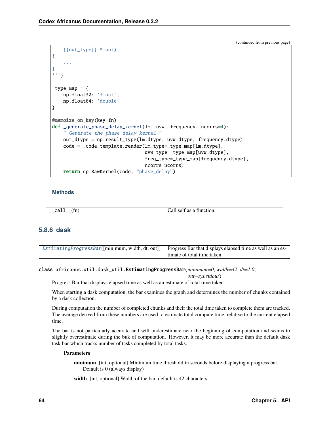(continued from previous page)

```
{{out_type}} * out)
{
    ...
}
''')
_type_map = {
    np.float32: 'float',
    np.float64: 'double'
}
@memoize_on_key(key_fn)
def _generate_phase_delay_kernel(lm, uvw, frequency, ncorrs=4):
    ''' Generate the phase delay kernel '''
    out_dtype = np.result_type(lm.dtype, uvw.dtype, frequency.dtype)
    code = _code_template.render(lm_type=_type_map[lm.dtype],
                                  uvw_type=_type_map[uvw.dtype],
                                  freq_type=_type_map[frequency.dtype],
                                  ncorrs=ncorrs)
    return cp.RawKernel(code, "phase_delay")
```
**Methods**

| $\sim$<br>——~<br>------ | ╭<br>. |  |
|-------------------------|--------|--|
|                         |        |  |

## **5.8.6 dask**

| Estimating Progress Bar( $[\text{minimum}, \text{width}, dt, out]$ ) Progress Bar that displays elapsed time as well as an es- |                             |  |
|--------------------------------------------------------------------------------------------------------------------------------|-----------------------------|--|
|                                                                                                                                | timate of total time taken. |  |

<span id="page-67-0"></span>class africanus.util.dask\_util.EstimatingProgressBar(*minimum=0*, *width=42*, *dt=1.0*,

*out=sys.stdout*)

Progress Bar that displays elapsed time as well as an estimate of total time taken.

When starting a dask computation, the bar examines the graph and determines the number of chunks contained by a dask collection.

During computation the number of completed chunks and their the total time taken to complete them are tracked. The average derived from these numbers are used to estimate total compute time, relative to the current elapsed time.

The bar is not particularly accurate and will underestimate near the beginning of computation and seems to slightly overestimate during the buk of computation. However, it may be more accurate than the default dask task bar which tracks number of tasks completed by total tasks.

#### **Parameters**

**minimum** [int, optional] Minimum time threshold in seconds before displaying a progress bar. Default is 0 (always display)

**width** [int, optional] Width of the bar, default is 42 characters.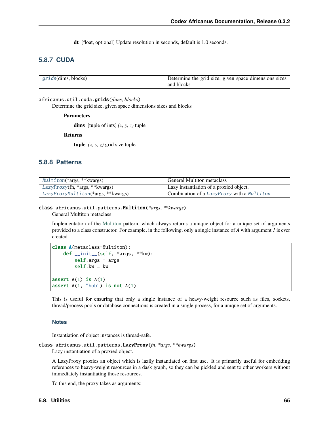**dt** [float, optional] Update resolution in seconds, default is 1.0 seconds.

## **5.8.7 CUDA**

| <i>grids</i> (dims, blocks) | Determine the grid size, given space dimensions sizes |
|-----------------------------|-------------------------------------------------------|
|                             | and blocks                                            |

<span id="page-68-0"></span>africanus.util.cuda.grids(*dims*, *blocks*)

Determine the grid size, given space dimensions sizes and blocks

**Parameters**

**dims** [tuple of ints] *(x, y, z)* tuple

**Returns**

**tuple**  $(x, y, z)$  grid size tuple

## **5.8.8 Patterns**

| Multiton(*args, **kwargs)           | <b>General Multiton metaclass</b>          |
|-------------------------------------|--------------------------------------------|
| LazyProxy(fn, *args, **kwargs)      | Lazy instantiation of a proxied object.    |
| LazyProxyMultiton(*args, ** kwargs) | Combination of a LazyProxy with a Multiton |

## <span id="page-68-1"></span>class africanus.util.patterns.Multiton(*\*args*, *\*\*kwargs*)

General Multiton metaclass

Implementation of the [Multiton](https://en.wikipedia.org/wiki/Multiton_pattern) pattern, which always returns a unique object for a unique set of arguments provided to a class constructor. For example, in the following, only a single instance of *A* with argument *1* is ever created.

```
class A(metaclass=Multiton):
    def __init__(self, *args, **kw):
        self.args = argsself.kw = kwassert A(1) is A(1)assert A(1, "bob") is not A(1)
```
This is useful for ensuring that only a single instance of a heavy-weight resource such as files, sockets, thread/process pools or database connections is created in a single process, for a unique set of arguments.

#### **Notes**

Instantiation of object instances is thread-safe.

<span id="page-68-2"></span>class africanus.util.patterns.LazyProxy(*fn*, *\*args*, *\*\*kwargs*)

Lazy instantiation of a proxied object.

A LazyProxy proxies an object which is lazily instantiated on first use. It is primarily useful for embedding references to heavy-weight resources in a dask graph, so they can be pickled and sent to other workers without immediately instantiating those resources.

To this end, the proxy takes as arguments: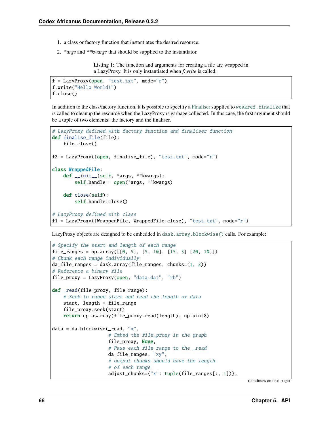- 1. a class or factory function that instantiates the desired resource.
- 2. *\*args* and *\*\*kwargs* that should be supplied to the instantiator.

Listing 1: The function and arguments for creating a file are wrapped in a LazyProxy. It is only instantiated when *f.write* is called.

```
f = LazyProxy(open, "test.txt", mode="r")f.write("Hello World!")
f.close()
```
In addition to the class/factory function, it is possible to specifiy a [Finaliser](https://en.wikipedia.org/wiki/Finalizer) supplied to weakref. finalize that is called to cleanup the resource when the LazyProxy is garbage collected. In this case, the first argument should be a tuple of two elements: the factory and the finaliser.

```
# LazyProxy defined with factory function and finaliser function
def finalise_file(file):
    file.close()
f2 = LazyProxy((open, finalise_file), "test.txt", mode="r")class WrappedFile:
   def __init__(self, *args, **kwargs):
        self.handle = open(*args, **kwargs)def close(self):
        self.handle.close()
# LazyProxy defined with class
f1 = LazyProxy((WrapperFile, WrappedFile, close), "test.txt", mode="r")
```
LazyProxy objects are designed to be embedded in [dask.array.blockwise\(\)](https://docs.dask.org/en/latest/generated/dask.array.blockwise.html#dask.array.blockwise) calls. For example:

```
# Specify the start and length of each range
file_ranges = np.array([[0, 5], [5, 10], [15, 5] [20, 10]])
# Chunk each range individually
da_file_ranges = dask.array(file_ranges, chunks=(1, 2))
# Reference a binary file
file_proxy = LazyProxy(open, "data.dat", "rb")
def _read(file_proxy, file_range):
    # Seek to range start and read the length of data
    start, length = file_range
    file_proxy.seek(start)
    return np.asarray(file_proxy.read(length), np.uint8)
data = da.blockwise(\text{read}, "x",# Embed the file_proxy in the graph
                    file_proxy, None,
                    # Pass each file range to the _read
                    da_file_ranges, "xy",
                    # output chunks should have the length
                    # of each range
                    adjust_chunks={"x": tuple(file_ranges[:, 1])},
```
(continues on next page)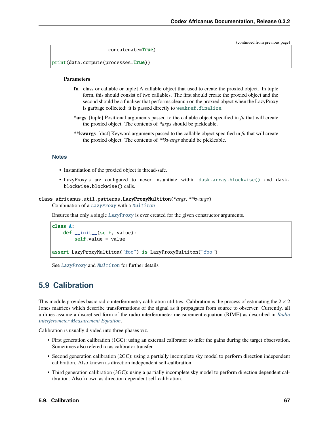(continued from previous page)

```
concatenate=True)
```
print(data.compute(processes=True))

#### **Parameters**

- **fn** [class or callable or tuple] A callable object that used to create the proxied object. In tuple form, this should consist of two callables. The first should create the proxied object and the second should be a finaliser that performs cleanup on the proxied object when the LazyProxy is garbage collected: it is passed directly to [weakref.finalize](https://docs.python.org/3/library/weakref.html#weakref.finalize).
- **\*args** [tuple] Positional arguments passed to the callable object specified in *fn* that will create the proxied object. The contents of *\*args* should be pickleable.
- **\*\*kwargs** [dict] Keyword arguments passed to the callable object specified in *fn* that will create the proxied object. The contents of *\*\*kwargs* should be pickleable.

#### **Notes**

- Instantiation of the proxied object is thread-safe.
- LazyProxy's are configured to never instantiate within [dask.array.blockwise\(\)](https://docs.dask.org/en/latest/generated/dask.array.blockwise.html#dask.array.blockwise) and dask. blockwise.blockwise() calls.

<span id="page-70-0"></span>class africanus.util.patterns.LazyProxyMultiton(*\*args*, *\*\*kwargs*)

Combination of a [LazyProxy](#page-68-2) with a [Multiton](#page-68-1)

Ensures that only a single [LazyProxy](#page-68-2) is ever created for the given constructor arguments.

```
class A:
   def __init__(self, value):
        self.value = value
assert LazyProxyMultiton("foo") is LazyProxyMultiton("foo")
```
See [LazyProxy](#page-68-2) and [Multiton](#page-68-1) for further details

# **5.9 Calibration**

This module provides basic radio interferometry calibration utilities. Calibration is the process of estimating the  $2 \times 2$ Jones matrices which describe transformations of the signal as it propagates from source to observer. Currently, all utilities assume a discretised form of the radio interferometer measurement equation (RIME) as described in *[Radio](#page-12-0) [Interferometer Measurement Equation](#page-12-0)*.

Calibration is usually divided into three phases viz.

- First generation calibration (1GC): using an external calibrator to infer the gains during the target observation. Sometimes also refered to as calibrator transfer
- Second generation calibration (2GC): using a partially incomplete sky model to perform direction independent calibration. Also known as direction independent self-calibration.
- Third generation calibration (3GC): using a partially incomplete sky model to perform direction dependent calibration. Also known as direction dependent self-calibration.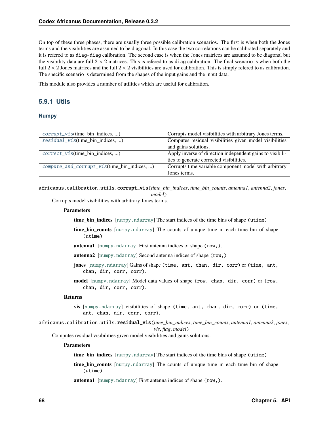On top of these three phases, there are usually three possible calibration scenarios. The first is when both the Jones terms and the visibilities are assumed to be diagonal. In this case the two correlations can be calibrated separately and it is refered to as diag-diag calibration. The second case is when the Jones matrices are assumed to be diagonal but the visibility data are full  $2 \times 2$  matrices. This is refered to as diag calibration. The final scenario is when both the full  $2 \times 2$  Jones matrices and the full  $2 \times 2$  visibilities are used for calibration. This is simply refered to as calibration. The specific scenario is determined from the shapes of the input gains and the input data.

This module also provides a number of utilities which are useful for calibration.

## **5.9.1 Utils**

#### **Numpy**

| $corrupt\_vis$ (time_bin_indices, )               | Corrupts model visibilities with arbitrary Jones terms.   |
|---------------------------------------------------|-----------------------------------------------------------|
| $residual\_vis$ (time_bin_indices, )              | Computes residual visibilities given model visibilities   |
|                                                   | and gains solutions.                                      |
| $correct\_vis$ (time_bin_indices, )               | Apply inverse of direction independent gains to visibili- |
|                                                   | ties to generate corrected visibilities.                  |
| $compute\_and\_corrupt\_vis$ (time_bin_indices, ) | Corrupts time variable component model with arbitrary     |
|                                                   | Jones terms.                                              |

<span id="page-71-0"></span>africanus.calibration.utils.corrupt\_vis(*time\_bin\_indices*, *time\_bin\_counts*, *antenna1*, *antenna2*, *jones*, *model*)

Corrupts model visibilities with arbitrary Jones terms.

#### **Parameters**

**time\_bin\_indices** [[numpy.ndarray](https://numpy.org/doc/stable/reference/generated/numpy.ndarray.html#numpy.ndarray)] The start indices of the time bins of shape (utime)

- **time\_bin\_counts** [[numpy.ndarray](https://numpy.org/doc/stable/reference/generated/numpy.ndarray.html#numpy.ndarray)] The counts of unique time in each time bin of shape (utime)
- **antenna1** [[numpy.ndarray](https://numpy.org/doc/stable/reference/generated/numpy.ndarray.html#numpy.ndarray)] First antenna indices of shape (row,).
- **antenna2** [[numpy.ndarray](https://numpy.org/doc/stable/reference/generated/numpy.ndarray.html#numpy.ndarray)] Second antenna indices of shape (row,)
- **jones** [[numpy.ndarray](https://numpy.org/doc/stable/reference/generated/numpy.ndarray.html#numpy.ndarray)] Gains of shape (time, ant, chan, dir, corr) or (time, ant, chan, dir, corr, corr).
- **model** [[numpy.ndarray](https://numpy.org/doc/stable/reference/generated/numpy.ndarray.html#numpy.ndarray)] Model data values of shape (row, chan, dir, corr) or (row, chan, dir, corr, corr).

#### **Returns**

- **vis** [[numpy.ndarray](https://numpy.org/doc/stable/reference/generated/numpy.ndarray.html#numpy.ndarray)] visibilities of shape (time, ant, chan, dir, corr) or (time, ant, chan, dir, corr, corr).
- <span id="page-71-1"></span>africanus.calibration.utils.residual\_vis(*time\_bin\_indices*, *time\_bin\_counts*, *antenna1*, *antenna2*, *jones*, *vis*, *flag*, *model*)

Computes residual visibilities given model visibilities and gains solutions.

#### **Parameters**

**time\_bin\_indices** [[numpy.ndarray](https://numpy.org/doc/stable/reference/generated/numpy.ndarray.html#numpy.ndarray)] The start indices of the time bins of shape (utime)

**time\_bin\_counts** [[numpy.ndarray](https://numpy.org/doc/stable/reference/generated/numpy.ndarray.html#numpy.ndarray)] The counts of unique time in each time bin of shape (utime)

**antenna1** [[numpy.ndarray](https://numpy.org/doc/stable/reference/generated/numpy.ndarray.html#numpy.ndarray)] First antenna indices of shape (row,).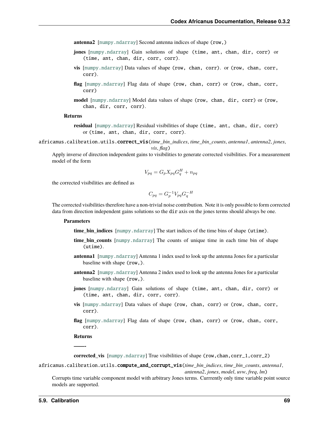**antenna2** [[numpy.ndarray](https://numpy.org/doc/stable/reference/generated/numpy.ndarray.html#numpy.ndarray)] Second antenna indices of shape (row,)

- **jones** [[numpy.ndarray](https://numpy.org/doc/stable/reference/generated/numpy.ndarray.html#numpy.ndarray)] Gain solutions of shape (time, ant, chan, dir, corr) or (time, ant, chan, dir, corr, corr).
- **vis** [[numpy.ndarray](https://numpy.org/doc/stable/reference/generated/numpy.ndarray.html#numpy.ndarray)] Data values of shape (row, chan, corr). or (row, chan, corr, corr).
- **flag** [[numpy.ndarray](https://numpy.org/doc/stable/reference/generated/numpy.ndarray.html#numpy.ndarray)] Flag data of shape (row, chan, corr) or (row, chan, corr, corr)
- **model** [[numpy.ndarray](https://numpy.org/doc/stable/reference/generated/numpy.ndarray.html#numpy.ndarray)] Model data values of shape (row, chan, dir, corr) or (row, chan, dir, corr, corr).

#### **Returns**

- **residual** [[numpy.ndarray](https://numpy.org/doc/stable/reference/generated/numpy.ndarray.html#numpy.ndarray)] Residual visibilities of shape (time, ant, chan, dir, corr) or (time, ant, chan, dir, corr, corr).
- africanus.calibration.utils.correct\_vis(*time\_bin\_indices*, *time\_bin\_counts*, *antenna1*, *antenna2*, *jones*, *vis*, *flag*)

Apply inverse of direction independent gains to visibilities to generate corrected visibilities. For a measurement model of the form

$$
V_{pq} = G_p X_{pq} G_q^H + n_{pq}
$$

the corrected visibilities are defined as

$$
C_{pq} = G_p^{-1} V_{pq} G_q^{-H}
$$

The corrected visibilities therefore have a non-trivial noise contribution. Note it is only possible to form corrected data from direction independent gains solutions so the dir axis on the jones terms should always be one.

### **Parameters**

**time\_bin\_indices** [[numpy.ndarray](https://numpy.org/doc/stable/reference/generated/numpy.ndarray.html#numpy.ndarray)] The start indices of the time bins of shape (utime).

- **time\_bin\_counts** [[numpy.ndarray](https://numpy.org/doc/stable/reference/generated/numpy.ndarray.html#numpy.ndarray)] The counts of unique time in each time bin of shape (utime).
- **antenna1** [[numpy.ndarray](https://numpy.org/doc/stable/reference/generated/numpy.ndarray.html#numpy.ndarray)] Antenna 1 index used to look up the antenna Jones for a particular baseline with shape (row,).
- **antenna2** [[numpy.ndarray](https://numpy.org/doc/stable/reference/generated/numpy.ndarray.html#numpy.ndarray)] Antenna 2 index used to look up the antenna Jones for a particular baseline with shape (row,).
- **jones** [[numpy.ndarray](https://numpy.org/doc/stable/reference/generated/numpy.ndarray.html#numpy.ndarray)] Gain solutions of shape (time, ant, chan, dir, corr) or (time, ant, chan, dir, corr, corr).
- **vis** [[numpy.ndarray](https://numpy.org/doc/stable/reference/generated/numpy.ndarray.html#numpy.ndarray)] Data values of shape (row, chan, corr) or (row, chan, corr, corr).
- **flag** [[numpy.ndarray](https://numpy.org/doc/stable/reference/generated/numpy.ndarray.html#numpy.ndarray)] Flag data of shape (row, chan, corr) or (row, chan, corr, corr).

**Returns**

**——-**

**corrected vis** [[numpy.ndarray](https://numpy.org/doc/stable/reference/generated/numpy.ndarray.html#numpy.ndarray)] True visibilities of shape (row,chan,corr\_1,corr\_2)

## africanus.calibration.utils.compute\_and\_corrupt\_vis(*time\_bin\_indices*, *time\_bin\_counts*, *antenna1*, *antenna2*, *jones*, *model*, *uvw*, *freq*, *lm*)

Corrupts time variable component model with arbitrary Jones terms. Currrently only time variable point source models are supported.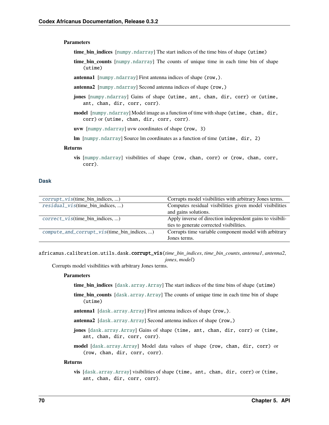### **Parameters**

- **time\_bin\_indices** [[numpy.ndarray](https://numpy.org/doc/stable/reference/generated/numpy.ndarray.html#numpy.ndarray)] The start indices of the time bins of shape (utime)
- **time\_bin\_counts** [[numpy.ndarray](https://numpy.org/doc/stable/reference/generated/numpy.ndarray.html#numpy.ndarray)] The counts of unique time in each time bin of shape (utime)
- **antenna1** [[numpy.ndarray](https://numpy.org/doc/stable/reference/generated/numpy.ndarray.html#numpy.ndarray)] First antenna indices of shape (row,).
- **antenna2** [[numpy.ndarray](https://numpy.org/doc/stable/reference/generated/numpy.ndarray.html#numpy.ndarray)] Second antenna indices of shape (row,)
- **jones** [[numpy.ndarray](https://numpy.org/doc/stable/reference/generated/numpy.ndarray.html#numpy.ndarray)] Gains of shape (utime, ant, chan, dir, corr) or (utime, ant, chan, dir, corr, corr).
- **model** [[numpy.ndarray](https://numpy.org/doc/stable/reference/generated/numpy.ndarray.html#numpy.ndarray)] Model image as a function of time with shape (utime, chan, dir, corr) or (utime, chan, dir, corr, corr).
- **uvw** [[numpy.ndarray](https://numpy.org/doc/stable/reference/generated/numpy.ndarray.html#numpy.ndarray)] uvw coordinates of shape (row, 3)
- **lm** [[numpy.ndarray](https://numpy.org/doc/stable/reference/generated/numpy.ndarray.html#numpy.ndarray)] Source lm coordinates as a function of time (utime, dir, 2)

### **Returns**

**vis** [[numpy.ndarray](https://numpy.org/doc/stable/reference/generated/numpy.ndarray.html#numpy.ndarray)] visibilities of shape (row, chan, corr) or (row, chan, corr, corr).

### **Dask**

| $corrupt\_vis$ (time_bin_indices, )         | Corrupts model visibilities with arbitrary Jones terms.   |
|---------------------------------------------|-----------------------------------------------------------|
| $residual\_vis$ (time_bin_indices, )        | Computes residual visibilities given model visibilities   |
|                                             | and gains solutions.                                      |
| $correct\_vis$ (time_bin_indices, )         | Apply inverse of direction independent gains to visibili- |
|                                             | ties to generate corrected visibilities.                  |
| compute_and_corrupt_vis(time_bin_indices, ) | Corrupts time variable component model with arbitrary     |
|                                             | Jones terms.                                              |

<span id="page-73-0"></span>africanus.calibration.utils.dask.corrupt\_vis(*time\_bin\_indices*, *time\_bin\_counts*, *antenna1*, *antenna2*, *jones*, *model*)

Corrupts model visibilities with arbitrary Jones terms.

#### **Parameters**

- **time\_bin\_indices** [[dask.array.Array](https://docs.dask.org/en/latest/generated/dask.array.Array.html#dask.array.Array)] The start indices of the time bins of shape (utime)
- **time\_bin\_counts** [[dask.array.Array](https://docs.dask.org/en/latest/generated/dask.array.Array.html#dask.array.Array)] The counts of unique time in each time bin of shape (utime)
- **antenna1** [[dask.array.Array](https://docs.dask.org/en/latest/generated/dask.array.Array.html#dask.array.Array)] First antenna indices of shape (row,).
- **antenna2** [[dask.array.Array](https://docs.dask.org/en/latest/generated/dask.array.Array.html#dask.array.Array)] Second antenna indices of shape (row,)
- **jones** [[dask.array.Array](https://docs.dask.org/en/latest/generated/dask.array.Array.html#dask.array.Array)] Gains of shape (time, ant, chan, dir, corr) or (time, ant, chan, dir, corr, corr).
- **model** [[dask.array.Array](https://docs.dask.org/en/latest/generated/dask.array.Array.html#dask.array.Array)] Model data values of shape (row, chan, dir, corr) or (row, chan, dir, corr, corr).

### <span id="page-73-1"></span>**Returns**

**vis** [[dask.array.Array](https://docs.dask.org/en/latest/generated/dask.array.Array.html#dask.array.Array)] visibilities of shape (time, ant, chan, dir, corr) or (time, ant, chan, dir, corr, corr).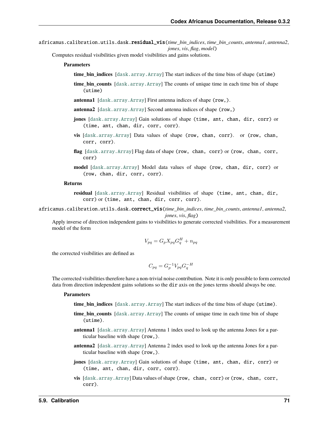africanus.calibration.utils.dask.residual\_vis(*time\_bin\_indices*, *time\_bin\_counts*, *antenna1*, *antenna2*, *jones*, *vis*, *flag*, *model*)

Computes residual visibilities given model visibilities and gains solutions.

- **Parameters**
	- **time bin indices** [[dask.array.Array](https://docs.dask.org/en/latest/generated/dask.array.Array.html#dask.array.Array)] The start indices of the time bins of shape (utime)
	- **time\_bin\_counts** [[dask.array.Array](https://docs.dask.org/en/latest/generated/dask.array.Array.html#dask.array.Array)] The counts of unique time in each time bin of shape (utime)
	- **antenna1** [[dask.array.Array](https://docs.dask.org/en/latest/generated/dask.array.Array.html#dask.array.Array)] First antenna indices of shape (row,).
	- **antenna2** [[dask.array.Array](https://docs.dask.org/en/latest/generated/dask.array.Array.html#dask.array.Array)] Second antenna indices of shape (row,)
	- **jones** [[dask.array.Array](https://docs.dask.org/en/latest/generated/dask.array.Array.html#dask.array.Array)] Gain solutions of shape (time, ant, chan, dir, corr) or (time, ant, chan, dir, corr, corr).
	- **vis** [[dask.array.Array](https://docs.dask.org/en/latest/generated/dask.array.Array.html#dask.array.Array)] Data values of shape (row, chan, corr). or (row, chan, corr, corr).
	- **flag** [[dask.array.Array](https://docs.dask.org/en/latest/generated/dask.array.Array.html#dask.array.Array)] Flag data of shape (row, chan, corr) or (row, chan, corr, corr)
	- **model** [[dask.array.Array](https://docs.dask.org/en/latest/generated/dask.array.Array.html#dask.array.Array)] Model data values of shape (row, chan, dir, corr) or (row, chan, dir, corr, corr).

#### **Returns**

**residual** [[dask.array.Array](https://docs.dask.org/en/latest/generated/dask.array.Array.html#dask.array.Array)] Residual visibilities of shape (time, ant, chan, dir, corr) or (time, ant, chan, dir, corr, corr).

<span id="page-74-0"></span>africanus.calibration.utils.dask.correct\_vis(*time\_bin\_indices*, *time\_bin\_counts*, *antenna1*, *antenna2*,

*jones*, *vis*, *flag*)

Apply inverse of direction independent gains to visibilities to generate corrected visibilities. For a measurement model of the form

$$
V_{pq} = G_p X_{pq} G_q^H + n_{pq}
$$

the corrected visibilities are defined as

$$
C_{pq} = G_p^{-1} V_{pq} G_q^{-H}
$$

The corrected visibilities therefore have a non-trivial noise contribution. Note it is only possible to form corrected data from direction independent gains solutions so the dir axis on the jones terms should always be one.

#### **Parameters**

- **time\_bin\_indices** [[dask.array.Array](https://docs.dask.org/en/latest/generated/dask.array.Array.html#dask.array.Array)] The start indices of the time bins of shape (utime).
- **time bin counts** [[dask.array.Array](https://docs.dask.org/en/latest/generated/dask.array.Array.html#dask.array.Array)] The counts of unique time in each time bin of shape (utime).
- **antenna1** [[dask.array.Array](https://docs.dask.org/en/latest/generated/dask.array.Array.html#dask.array.Array)] Antenna 1 index used to look up the antenna Jones for a particular baseline with shape (row,).
- **antenna2** [[dask.array.Array](https://docs.dask.org/en/latest/generated/dask.array.Array.html#dask.array.Array)] Antenna 2 index used to look up the antenna Jones for a particular baseline with shape (row,).
- **jones** [[dask.array.Array](https://docs.dask.org/en/latest/generated/dask.array.Array.html#dask.array.Array)] Gain solutions of shape (time, ant, chan, dir, corr) or (time, ant, chan, dir, corr, corr).
- **vis** [[dask.array.Array](https://docs.dask.org/en/latest/generated/dask.array.Array.html#dask.array.Array)] Data values of shape (row, chan, corr) or (row, chan, corr, corr).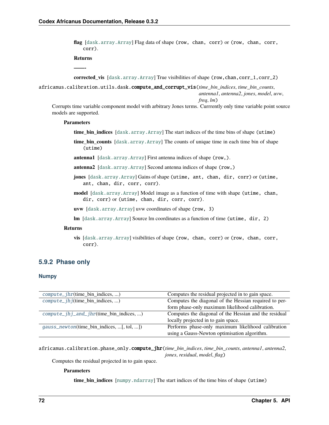**flag** [[dask.array.Array](https://docs.dask.org/en/latest/generated/dask.array.Array.html#dask.array.Array)] Flag data of shape (row, chan, corr) or (row, chan, corr, corr).

**Returns**

**——-**

**corrected vis** [[dask.array.Array](https://docs.dask.org/en/latest/generated/dask.array.Array.html#dask.array.Array)] True visibilities of shape (row, chan, corr\_1, corr\_2)

<span id="page-75-0"></span>africanus.calibration.utils.dask.compute\_and\_corrupt\_vis(*time\_bin\_indices*, *time\_bin\_counts*, *antenna1*, *antenna2*, *jones*, *model*, *uvw*, *freq*, *lm*)

Corrupts time variable component model with arbitrary Jones terms. Currrently only time variable point source models are supported.

#### **Parameters**

time bin indices [[dask.array.Array](https://docs.dask.org/en/latest/generated/dask.array.Array.html#dask.array.Array)] The start indices of the time bins of shape (utime)

- **time\_bin\_counts** [[dask.array.Array](https://docs.dask.org/en/latest/generated/dask.array.Array.html#dask.array.Array)] The counts of unique time in each time bin of shape (utime)
- **antenna1** [[dask.array.Array](https://docs.dask.org/en/latest/generated/dask.array.Array.html#dask.array.Array)] First antenna indices of shape (row,).
- **antenna2** [[dask.array.Array](https://docs.dask.org/en/latest/generated/dask.array.Array.html#dask.array.Array)] Second antenna indices of shape (row,)
- **jones** [[dask.array.Array](https://docs.dask.org/en/latest/generated/dask.array.Array.html#dask.array.Array)] Gains of shape (utime, ant, chan, dir, corr) or (utime, ant, chan, dir, corr, corr).
- **model** [[dask.array.Array](https://docs.dask.org/en/latest/generated/dask.array.Array.html#dask.array.Array)] Model image as a function of time with shape (utime, chan, dir, corr) or (utime, chan, dir, corr, corr).

**uvw** [[dask.array.Array](https://docs.dask.org/en/latest/generated/dask.array.Array.html#dask.array.Array)] uvw coordinates of shape (row, 3)

**lm** [[dask.array.Array](https://docs.dask.org/en/latest/generated/dask.array.Array.html#dask.array.Array)] Source lm coordinates as a function of time (utime, dir, 2)

#### **Returns**

**vis** [[dask.array.Array](https://docs.dask.org/en/latest/generated/dask.array.Array.html#dask.array.Array)] visibilities of shape (row, chan, corr) or (row, chan, corr, corr).

## **5.9.2 Phase only**

## **Numpy**

| $compute\_jhr$ (time_bin_indices, )           | Computes the residual projected in to gain space.     |
|-----------------------------------------------|-------------------------------------------------------|
| $compute\_jhj(time\_bin\_indices, )$          | Computes the diagonal of the Hessian required to per- |
|                                               | form phase-only maximum likelihood calibration.       |
| $compute\_jhj\_and\_jhr$ (time_bin_indices, ) | Computes the diagonal of the Hessian and the residual |
|                                               | locally projected in to gain space.                   |
| $gauss\_newton$ (time_bin_indices, [, tol, ]) | Performs phase-only maximum likelihood calibration    |
|                                               | using a Gauss-Newton optimisation algorithm.          |

<span id="page-75-1"></span>africanus.calibration.phase\_only.compute\_jhr(*time\_bin\_indices*, *time\_bin\_counts*, *antenna1*, *antenna2*, *jones*, *residual*, *model*, *flag*)

Computes the residual projected in to gain space.

### **Parameters**

**time\_bin\_indices** [[numpy.ndarray](https://numpy.org/doc/stable/reference/generated/numpy.ndarray.html#numpy.ndarray)] The start indices of the time bins of shape (utime)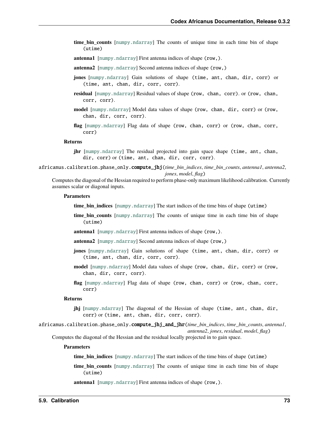- **time bin counts** [[numpy.ndarray](https://numpy.org/doc/stable/reference/generated/numpy.ndarray.html#numpy.ndarray)] The counts of unique time in each time bin of shape (utime)
- **antenna1** [[numpy.ndarray](https://numpy.org/doc/stable/reference/generated/numpy.ndarray.html#numpy.ndarray)] First antenna indices of shape (row,).
- **antenna2** [[numpy.ndarray](https://numpy.org/doc/stable/reference/generated/numpy.ndarray.html#numpy.ndarray)] Second antenna indices of shape (row,)
- **jones** [[numpy.ndarray](https://numpy.org/doc/stable/reference/generated/numpy.ndarray.html#numpy.ndarray)] Gain solutions of shape (time, ant, chan, dir, corr) or (time, ant, chan, dir, corr, corr).
- **residual** [[numpy.ndarray](https://numpy.org/doc/stable/reference/generated/numpy.ndarray.html#numpy.ndarray)] Residual values of shape (row, chan, corr). or (row, chan, corr, corr).
- **model** [[numpy.ndarray](https://numpy.org/doc/stable/reference/generated/numpy.ndarray.html#numpy.ndarray)] Model data values of shape (row, chan, dir, corr) or (row, chan, dir, corr, corr).
- **flag** [[numpy.ndarray](https://numpy.org/doc/stable/reference/generated/numpy.ndarray.html#numpy.ndarray)] Flag data of shape (row, chan, corr) or (row, chan, corr, corr)

### **Returns**

- **jhr** [[numpy.ndarray](https://numpy.org/doc/stable/reference/generated/numpy.ndarray.html#numpy.ndarray)] The residual projected into gain space shape (time, ant, chan, dir, corr) or (time, ant, chan, dir, corr, corr).
- <span id="page-76-0"></span>africanus.calibration.phase\_only.compute\_jhj(*time\_bin\_indices*, *time\_bin\_counts*, *antenna1*, *antenna2*, *jones*, *model*, *flag*)

Computes the diagonal of the Hessian required to perform phase-only maximum likelihood calibration. Currently assumes scalar or diagonal inputs.

#### **Parameters**

- **time\_bin\_indices** [[numpy.ndarray](https://numpy.org/doc/stable/reference/generated/numpy.ndarray.html#numpy.ndarray)] The start indices of the time bins of shape (utime)
- **time\_bin\_counts** [[numpy.ndarray](https://numpy.org/doc/stable/reference/generated/numpy.ndarray.html#numpy.ndarray)] The counts of unique time in each time bin of shape (utime)
- **antenna1** [[numpy.ndarray](https://numpy.org/doc/stable/reference/generated/numpy.ndarray.html#numpy.ndarray)] First antenna indices of shape (row,).
- **antenna2** [[numpy.ndarray](https://numpy.org/doc/stable/reference/generated/numpy.ndarray.html#numpy.ndarray)] Second antenna indices of shape (row,)
- **jones** [[numpy.ndarray](https://numpy.org/doc/stable/reference/generated/numpy.ndarray.html#numpy.ndarray)] Gain solutions of shape (time, ant, chan, dir, corr) or (time, ant, chan, dir, corr, corr).
- **model** [[numpy.ndarray](https://numpy.org/doc/stable/reference/generated/numpy.ndarray.html#numpy.ndarray)] Model data values of shape (row, chan, dir, corr) or (row, chan, dir, corr, corr).
- **flag** [[numpy.ndarray](https://numpy.org/doc/stable/reference/generated/numpy.ndarray.html#numpy.ndarray)] Flag data of shape (row, chan, corr) or (row, chan, corr, corr)

#### **Returns**

- **jhj** [[numpy.ndarray](https://numpy.org/doc/stable/reference/generated/numpy.ndarray.html#numpy.ndarray)] The diagonal of the Hessian of shape (time, ant, chan, dir, corr) or (time, ant, chan, dir, corr, corr).
- <span id="page-76-1"></span>africanus.calibration.phase\_only.compute\_jhj\_and\_jhr(*time\_bin\_indices*, *time\_bin\_counts*, *antenna1*, *antenna2*, *jones*, *residual*, *model*, *flag*)

Computes the diagonal of the Hessian and the residual locally projected in to gain space.

#### **Parameters**

**time\_bin\_indices** [[numpy.ndarray](https://numpy.org/doc/stable/reference/generated/numpy.ndarray.html#numpy.ndarray)] The start indices of the time bins of shape (utime)

- **time\_bin\_counts** [[numpy.ndarray](https://numpy.org/doc/stable/reference/generated/numpy.ndarray.html#numpy.ndarray)] The counts of unique time in each time bin of shape (utime)
- **antenna1** [[numpy.ndarray](https://numpy.org/doc/stable/reference/generated/numpy.ndarray.html#numpy.ndarray)] First antenna indices of shape (row,).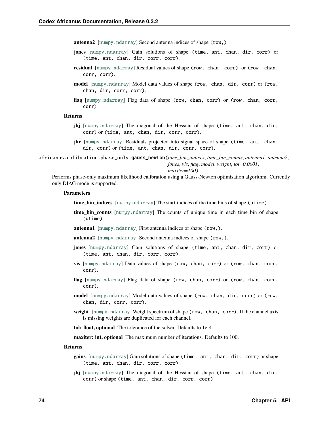**antenna2** [[numpy.ndarray](https://numpy.org/doc/stable/reference/generated/numpy.ndarray.html#numpy.ndarray)] Second antenna indices of shape (row,)

- **jones** [[numpy.ndarray](https://numpy.org/doc/stable/reference/generated/numpy.ndarray.html#numpy.ndarray)] Gain solutions of shape (time, ant, chan, dir, corr) or (time, ant, chan, dir, corr, corr).
- **residual** [[numpy.ndarray](https://numpy.org/doc/stable/reference/generated/numpy.ndarray.html#numpy.ndarray)] Residual values of shape (row, chan, corr). or (row, chan, corr, corr).
- **model** [[numpy.ndarray](https://numpy.org/doc/stable/reference/generated/numpy.ndarray.html#numpy.ndarray)] Model data values of shape (row, chan, dir, corr) or (row, chan, dir, corr, corr).
- **flag** [[numpy.ndarray](https://numpy.org/doc/stable/reference/generated/numpy.ndarray.html#numpy.ndarray)] Flag data of shape (row, chan, corr) or (row, chan, corr, corr)

### **Returns**

- **jhj** [[numpy.ndarray](https://numpy.org/doc/stable/reference/generated/numpy.ndarray.html#numpy.ndarray)] The diagonal of the Hessian of shape (time, ant, chan, dir, corr) or (time, ant, chan, dir, corr, corr).
- **jhr** [[numpy.ndarray](https://numpy.org/doc/stable/reference/generated/numpy.ndarray.html#numpy.ndarray)] Residuals projected into signal space of shape (time, ant, chan, dir, corr) or (time, ant, chan, dir, corr, corr).

<span id="page-77-0"></span>africanus.calibration.phase\_only.gauss\_newton(*time\_bin\_indices*, *time\_bin\_counts*, *antenna1*, *antenna2*, *jones*, *vis*, *flag*, *model*, *weight*, *tol=0.0001*,

#### *maxiter=100*)

Performs phase-only maximum likelihood calibration using a Gauss-Newton optimisation algorithm. Currently only DIAG mode is supported.

#### **Parameters**

**time bin indices** [[numpy.ndarray](https://numpy.org/doc/stable/reference/generated/numpy.ndarray.html#numpy.ndarray)] The start indices of the time bins of shape (utime)

- **time\_bin\_counts** [[numpy.ndarray](https://numpy.org/doc/stable/reference/generated/numpy.ndarray.html#numpy.ndarray)] The counts of unique time in each time bin of shape (utime)
- **antenna1** [[numpy.ndarray](https://numpy.org/doc/stable/reference/generated/numpy.ndarray.html#numpy.ndarray)] First antenna indices of shape (row,).
- **antenna2** [[numpy.ndarray](https://numpy.org/doc/stable/reference/generated/numpy.ndarray.html#numpy.ndarray)] Second antenna indices of shape (row,).
- **jones** [[numpy.ndarray](https://numpy.org/doc/stable/reference/generated/numpy.ndarray.html#numpy.ndarray)] Gain solutions of shape (time, ant, chan, dir, corr) or (time, ant, chan, dir, corr, corr).
- **vis** [[numpy.ndarray](https://numpy.org/doc/stable/reference/generated/numpy.ndarray.html#numpy.ndarray)] Data values of shape (row, chan, corr) or (row, chan, corr, corr).
- **flag** [[numpy.ndarray](https://numpy.org/doc/stable/reference/generated/numpy.ndarray.html#numpy.ndarray)] Flag data of shape (row, chan, corr) or (row, chan, corr, corr).
- **model** [[numpy.ndarray](https://numpy.org/doc/stable/reference/generated/numpy.ndarray.html#numpy.ndarray)] Model data values of shape (row, chan, dir, corr) or (row, chan, dir, corr, corr).
- **weight** [[numpy.ndarray](https://numpy.org/doc/stable/reference/generated/numpy.ndarray.html#numpy.ndarray)] Weight spectrum of shape (row, chan, corr). If the channel axis is missing weights are duplicated for each channel.

**tol: float, optional** The tolerance of the solver. Defaults to 1e-4.

**maxiter: int, optional** The maximum number of iterations. Defaults to 100.

#### **Returns**

- **gains** [[numpy.ndarray](https://numpy.org/doc/stable/reference/generated/numpy.ndarray.html#numpy.ndarray)] Gain solutions of shape (time, ant, chan, dir, corr) or shape (time, ant, chan, dir, corr, corr)
- **jhj** [[numpy.ndarray](https://numpy.org/doc/stable/reference/generated/numpy.ndarray.html#numpy.ndarray)] The diagonal of the Hessian of shape (time, ant, chan, dir, corr) or shape (time, ant, chan, dir, corr, corr)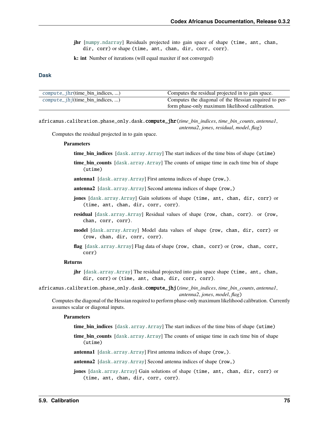**jhr** [[numpy.ndarray](https://numpy.org/doc/stable/reference/generated/numpy.ndarray.html#numpy.ndarray)] Residuals projected into gain space of shape (time, ant, chan, dir, corr) or shape (time, ant, chan, dir, corr, corr).

**k: int** Number of iterations (will equal maxiter if not converged)

## **Dask**

| $compute\_jhr$ (time_bin_indices, )  | Computes the residual projected in to gain space.     |
|--------------------------------------|-------------------------------------------------------|
| $compute\_jhj(time\_bin\_indices, )$ | Computes the diagonal of the Hessian required to per- |
|                                      | form phase-only maximum likelihood calibration.       |

<span id="page-78-0"></span>africanus.calibration.phase\_only.dask.compute\_jhr(*time\_bin\_indices*, *time\_bin\_counts*, *antenna1*, *antenna2*, *jones*, *residual*, *model*, *flag*)

Computes the residual projected in to gain space.

#### **Parameters**

- **time\_bin\_indices** [[dask.array.Array](https://docs.dask.org/en/latest/generated/dask.array.Array.html#dask.array.Array)] The start indices of the time bins of shape (utime)
- **time bin counts** [[dask.array.Array](https://docs.dask.org/en/latest/generated/dask.array.Array.html#dask.array.Array)] The counts of unique time in each time bin of shape (utime)
- **antenna1** [[dask.array.Array](https://docs.dask.org/en/latest/generated/dask.array.Array.html#dask.array.Array)] First antenna indices of shape (row,).
- **antenna2** [[dask.array.Array](https://docs.dask.org/en/latest/generated/dask.array.Array.html#dask.array.Array)] Second antenna indices of shape (row,)
- **jones** [[dask.array.Array](https://docs.dask.org/en/latest/generated/dask.array.Array.html#dask.array.Array)] Gain solutions of shape (time, ant, chan, dir, corr) or (time, ant, chan, dir, corr, corr).
- **residual** [[dask.array.Array](https://docs.dask.org/en/latest/generated/dask.array.Array.html#dask.array.Array)] Residual values of shape (row, chan, corr). or (row, chan, corr, corr).
- **model** [[dask.array.Array](https://docs.dask.org/en/latest/generated/dask.array.Array.html#dask.array.Array)] Model data values of shape (row, chan, dir, corr) or (row, chan, dir, corr, corr).
- **flag** [[dask.array.Array](https://docs.dask.org/en/latest/generated/dask.array.Array.html#dask.array.Array)] Flag data of shape (row, chan, corr) or (row, chan, corr, corr)

### **Returns**

**jhr** [[dask.array.Array](https://docs.dask.org/en/latest/generated/dask.array.Array.html#dask.array.Array)] The residual projected into gain space shape (time, ant, chan, dir, corr) or (time, ant, chan, dir, corr, corr).

<span id="page-78-1"></span>africanus.calibration.phase\_only.dask.compute\_jhj(*time\_bin\_indices*, *time\_bin\_counts*, *antenna1*, *antenna2*, *jones*, *model*, *flag*)

Computes the diagonal of the Hessian required to perform phase-only maximum likelihood calibration. Currently assumes scalar or diagonal inputs.

### **Parameters**

**time\_bin\_indices** [[dask.array.Array](https://docs.dask.org/en/latest/generated/dask.array.Array.html#dask.array.Array)] The start indices of the time bins of shape (utime)

- **time\_bin\_counts** [[dask.array.Array](https://docs.dask.org/en/latest/generated/dask.array.Array.html#dask.array.Array)] The counts of unique time in each time bin of shape (utime)
- **antenna1** [[dask.array.Array](https://docs.dask.org/en/latest/generated/dask.array.Array.html#dask.array.Array)] First antenna indices of shape (row,).
- **antenna2** [[dask.array.Array](https://docs.dask.org/en/latest/generated/dask.array.Array.html#dask.array.Array)] Second antenna indices of shape (row,)
- **jones** [[dask.array.Array](https://docs.dask.org/en/latest/generated/dask.array.Array.html#dask.array.Array)] Gain solutions of shape (time, ant, chan, dir, corr) or (time, ant, chan, dir, corr, corr).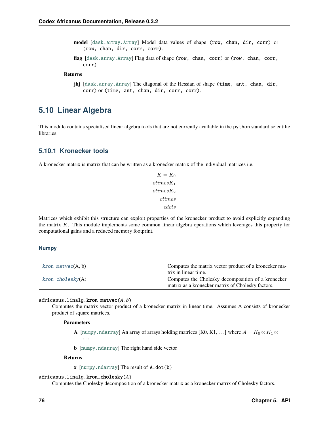- **model** [[dask.array.Array](https://docs.dask.org/en/latest/generated/dask.array.Array.html#dask.array.Array)] Model data values of shape (row, chan, dir, corr) or (row, chan, dir, corr, corr).
- **flag** [[dask.array.Array](https://docs.dask.org/en/latest/generated/dask.array.Array.html#dask.array.Array)] Flag data of shape (row, chan, corr) or (row, chan, corr, corr)

## **Returns**

**jhj** [[dask.array.Array](https://docs.dask.org/en/latest/generated/dask.array.Array.html#dask.array.Array)] The diagonal of the Hessian of shape (time, ant, chan, dir, corr) or (time, ant, chan, dir, corr, corr).

## **5.10 Linear Algebra**

This module contains specialised linear algebra tools that are not currently available in the python standard scientific libraries.

## **5.10.1 Kronecker tools**

A kronecker matrix is matrix that can be written as a kronecker matrix of the individual matrices i.e.

 $K = K_0$  $otimes K_1$  $otimes K_2$ otimes  $cdots$ 

Matrices which exhibit this structure can exploit properties of the kronecker product to avoid explicitly expanding the matrix  $K$ . This module implements some common linear algebra operations which leverages this property for computational gains and a reduced memory footprint.

## **Numpy**

| $kron\_matvec(A, b)$ | Computes the matrix vector product of a kronecker ma- |
|----------------------|-------------------------------------------------------|
|                      | trix in linear time.                                  |
| $kron\_cholesky(A)$  | Computes the Cholesky decomposition of a kronecker    |
|                      | matrix as a kronecker matrix of Cholesky factors.     |

<span id="page-79-0"></span>africanus.linalg.kron\_matvec(*A*, *b*)

Computes the matrix vector product of a kronecker matrix in linear time. Assumes A consists of kronecker product of square matrices.

### **Parameters**

- **A** [[numpy.ndarray](https://numpy.org/doc/stable/reference/generated/numpy.ndarray.html#numpy.ndarray)] An array of arrays holding matrices [K0, K1, ...] where  $A = K_0 \otimes K_1 \otimes K_2$ · · ·
- **b** [[numpy.ndarray](https://numpy.org/doc/stable/reference/generated/numpy.ndarray.html#numpy.ndarray)] The right hand side vector

### **Returns**

**x** [[numpy.ndarray](https://numpy.org/doc/stable/reference/generated/numpy.ndarray.html#numpy.ndarray)] The result of A.dot(b)

### <span id="page-79-1"></span>africanus.linalg.kron\_cholesky(*A*)

Computes the Cholesky decomposition of a kronecker matrix as a kronecker matrix of Cholesky factors.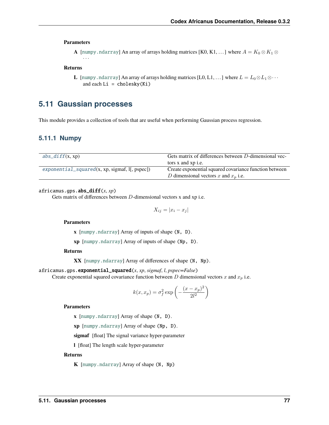### **Parameters**

**A** [[numpy.ndarray](https://numpy.org/doc/stable/reference/generated/numpy.ndarray.html#numpy.ndarray)] An array of arrays holding matrices [K0, K1, ...] where  $A = K_0 \otimes K_1 \otimes K_2$ · · ·

#### **Returns**

**L** [[numpy.ndarray](https://numpy.org/doc/stable/reference/generated/numpy.ndarray.html#numpy.ndarray)] An array of arrays holding matrices [L0, L1, . . . ] where  $L = L_0 \otimes L_1 \otimes \cdots$ and each  $Li = cholesky(Ki)$ 

## **5.11 Gaussian processes**

This module provides a collection of tools that are useful when performing Gaussian process regression.

## **5.11.1 Numpy**

| $abs\_diff(x, xp)$                                | Gets matrix of differences between D-dimensional vec-  |
|---------------------------------------------------|--------------------------------------------------------|
|                                                   | tors x and xp i.e.                                     |
| $exponential\_squared(x, xp, sigmaf, I[, pspec])$ | Create exponential squared covariance function between |
|                                                   | D dimensional vectors x and $x_p$ i.e.                 |

### <span id="page-80-0"></span>africanus.gps.abs\_diff(*x*, *xp*)

Gets matrix of differences between  $D$ -dimensional vectors x and xp i.e.

$$
X_{ij} = |x_i - x_j|
$$

**Parameters**

**x** [[numpy.ndarray](https://numpy.org/doc/stable/reference/generated/numpy.ndarray.html#numpy.ndarray)] Array of inputs of shape (N, D).

**xp** [[numpy.ndarray](https://numpy.org/doc/stable/reference/generated/numpy.ndarray.html#numpy.ndarray)] Array of inputs of shape (Np, D).

### **Returns**

**XX** [[numpy.ndarray](https://numpy.org/doc/stable/reference/generated/numpy.ndarray.html#numpy.ndarray)] Array of differences of shape (N, Np).

<span id="page-80-1"></span>africanus.gps.exponential\_squared(*x*, *xp*, *sigmaf*, *l*, *pspec=False*)

Create exponential squared covariance function between  $D$  dimensional vectors  $x$  and  $x_p$  i.e.

$$
k(x, x_p) = \sigma_f^2 \exp\left(-\frac{(x - x_p)^2}{2l^2}\right)
$$

## **Parameters**

**x** [[numpy.ndarray](https://numpy.org/doc/stable/reference/generated/numpy.ndarray.html#numpy.ndarray)] Array of shape (N, D).

**xp** [[numpy.ndarray](https://numpy.org/doc/stable/reference/generated/numpy.ndarray.html#numpy.ndarray)] Array of shape (Np, D).

**sigmaf** [float] The signal variance hyper-parameter

**l** [float] The length scale hyper-parameter

## **Returns**

**K** [[numpy.ndarray](https://numpy.org/doc/stable/reference/generated/numpy.ndarray.html#numpy.ndarray)] Array of shape (N, Np)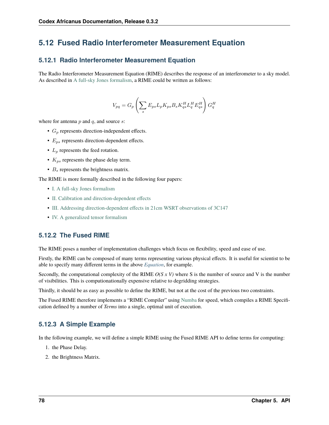## <span id="page-81-1"></span>**5.12 Fused Radio Interferometer Measurement Equation**

## **5.12.1 Radio Interferometer Measurement Equation**

<span id="page-81-0"></span>The Radio Interferometer Measurement Equation (RIME) describes the response of an interferometer to a sky model. As described in [A full-sky Jones formalism,](https://arxiv.org/abs/1101.1764) a RIME could be written as follows:

$$
V_{pq}=G_p\left(\sum_s E_{ps}L_pK_{ps}B_sK^H_{qs}L^H_qE^H_{qs}\right)G^H_q
$$

where for antenna  $p$  and  $q$ , and source  $s$ :

- $G_p$  represents direction-independent effects.
- $E_{ps}$  represents direction-dependent effects.
- $L_p$  represents the feed rotation.
- $K_{ns}$  represents the phase delay term.
- $B_s$  represents the brightness matrix.

The RIME is more formally described in the following four papers:

- [I. A full-sky Jones formalism](https://arxiv.org/abs/1101.1764)
- [II. Calibration and direction-dependent effects](https://arxiv.org/abs/1101.1765)
- [III. Addressing direction-dependent effects in 21cm WSRT observations of 3C147](https://arxiv.org/abs/1101.1768)
- [IV. A generalized tensor formalism](https://arxiv.org/abs/1106.0579)

## **5.12.2 The Fused RIME**

The RIME poses a number of implementation challenges which focus on flexibility, speed and ease of use.

Firstly, the RIME can be composed of many terms representing various physical effects. It is useful for scientist to be able to specify many different terms in the above *[Equation](#page-81-0)*, for example.

Secondly, the computational complexity of the RIME *O(S x V)* where S is the number of source and V is the number of visibilities. This is computionationally expensive relative to degridding strategies.

Thirdly, it should be as easy as possible to define the RIME, but not at the cost of the previous two constraints.

The Fused RIME therefore implements a "RIME Compiler" using [Numba](https://numba.pydata.org/_) for speed, which compiles a RIME Specification defined by a number of *Terms* into a single, optimal unit of execution.

## <span id="page-81-2"></span>**5.12.3 A Simple Example**

In the following example, we will define a simple RIME using the Fused RIME API to define terms for computing:

- 1. the Phase Delay.
- 2. the Brightness Matrix.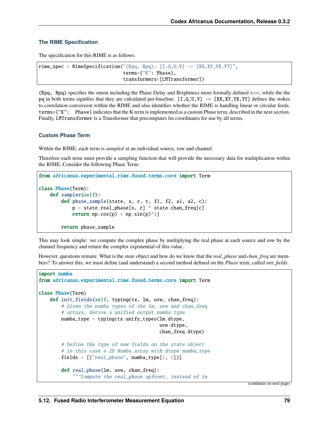## **The RIME Specification**

The specification for this RIME is as follows:

```
rime_spec = RimeSpecification("(Kpq, Bpq): [I, 0, U, V] -> [XX, XY, YX, YY]",
                                terms={"K": Phase},
                                transformers=[LMTransformer])
```
(Kpq, Bpq) specifies the onion including the Phase Delay and Brightness more formally defined *[here](#page-81-1)*, while the the pq in both terms signifies that they are calculated per-baseline.  $[I, Q, U, V] \rightarrow [XX, XY, YX, YY]$  defines the stokes to correlation conversion within the RIME and also identifies whether the RIME is handling linear or circular feeds. terms={"K": Phase} indicates that the K term is implemented as a custom Phase term, described in the next section. Finally, LMTransformer is a Transformer that precomputes lm coordinates for use by all terms.

## **Custom Phase Term**

Within the RIME, each term is *sampled* at an individual source, row and channel.

Therefore each term must provide a sampling function that will provide the necessary data for multiplication within the RIME. Consider the following Phase Term:

```
from africanus.experimental.rime.fused.terms.core import Term
class Phase(Term):
    def sampler(self):
        def phase_sample(state, s, r, t, f1, f2, a1, a2, c):
            p = state.read\_phase[s, r] * state.charAt\_freq[c]return np.cos(p) + np.sin(p)*1jreturn phase_sample
```
This may look simple: we compute the complex phase by multiplying the real phase at each source and row by the channel frequency and return the complex exponential of this value.

However, questions remain: What is the *state* object and how do we know that the *real\_phase* and *chan\_freq* are members? To answer this, we must define (and understand) a second method defined on the *Phase* term, called *init\_fields*.

```
import numba
from africanus.experimental.rime.fused.terms.core import Term
class Phase(Term)
   def init_fields(self, typingctx, lm, uvw, chan_freq):
        # Given the numba types of the lm, uvw and chan_freq
        # arrays, derive a unified output numba type
        numba_type = typingctx.unify_types(lm.dtype,
                                           uvw.dtype,
                                           chan_freq.dtype)
        # Define the type of new fields on the state object
        # in this case a 2D Numba array with dtype numba_type
        fields = [("real_phase", numba_type[:, :])]
        def real_phase(lm, uvw, chan_freq):
            """Compute the real_phase upfront, instead of in
```
(continues on next page)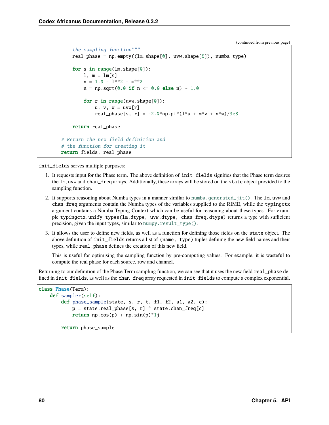(continued from previous page)

```
the sampling function"""
    real_phase = np.empty((lm.shape[0], uvw.shape[0]), numba_type)
    for s in range(lm.shape[0]):
        l, m = lm[s]n = 1.0 - 1**2 - m**2n = np.sqrt(0.0 if n \le 0.0 else n) - 1.0for r in range(uvw.shape[0]):
            u, v, w = uvw[r]real_phase[s, r] = -2.0*np.pi*(1*u + m*v + n*w)/3e8return real_phase
# Return the new field definition and
# the function for creating it
return fields, real_phase
```
init\_fields serves multiple purposes:

- 1. It requests input for the Phase term. The above definition of init\_fields signifies that the Phase term desires the lm, uvw and chan\_freq arrays. Additionally, these arrays will be stored on the state object provided to the sampling function.
- 2. It supports reasoning about Numba types in a manner similar to [numba.generated\\_jit\(\)](https://numba.pydata.org/numba-doc/dev/reference/jit-compilation.html#numba.generated_jit). The lm, uvw and chan\_freq arguments contain the Numba types of the variables supplied to the RIME, while the typingctx argument contains a Numba Typing Context which can be useful for reasoning about these types. For example typingctx.unify\_types(lm.dtype, uvw.dtype, chan\_freq.dtype) returns a type with sufficient precision, given the input types, similar to [numpy.result\\_type\(\)](https://numpy.org/doc/stable/reference/generated/numpy.result_type.html#numpy.result_type).
- 3. It allows the user to define new fields, as well as a function for defining those fields on the state object. The above definition of init\_fields returns a list of (name, type) tuples defining the new field names and their types, while real\_phase defines the creation of this new field.

This is useful for optimising the sampling function by pre-computing values. For example, it is wasteful to compute the real phase for each source, row and channel.

Returning to our definition of the Phase Term sampling function, we can see that it uses the new field real\_phase defined in init\_fields, as well as the chan\_freq array requested in init\_fields to compute a complex exponential.

```
class Phase(Term):
   def sampler(self):
        def phase_sample(state, s, r, t, f1, f2, a1, a2, c):
            p = state.read\_phase[s, r] * state.charAt\_freq[c]return np.cos(p) + np.sin(p)*1jreturn phase_sample
```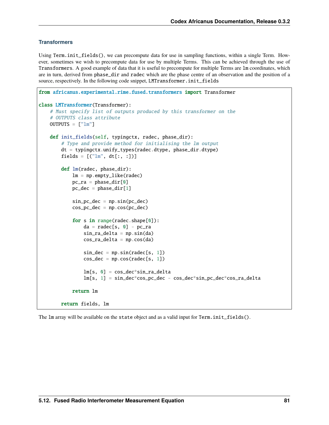## **Transformers**

Using Term.init\_fields(), we can precompute data for use in sampling functions, within a single Term. However, sometimes we wish to precompute data for use by multiple Terms. This can be achieved through the use of Transformers. A good example of data that it is useful to precompute for multiple Terms are lm coordinates, which are in turn, derived from phase\_dir and radec which are the phase centre of an observation and the position of a source, respectively. In the following code snippet, LMTransformer.init\_fields

```
from africanus.experimental.rime.fused.transformers import Transformer
class LMTransformer(Transformer):
    # Must specify list of outputs produced by this transformer on the
    # OUTPUTS class attribute
    OUTPUTS = ['lm"]def init_fields(self, typingctx, radec, phase_dir):
        # Type and provide method for initialising the lm output
        dt = typingctx.unify_types(radec.dtype, phase_dir.dtype)
        fields = [('lm", dt[:, :]])]def lm(radec, phase_dir):
            lm = np. emptylike(radec)
            pc\_ra = phase\_dir[0]pc\_dec = phase\_dir[1]sin_pc_dec = np.sin(pc_dec)cos_p c_d = np \cdot cos(p c_d e)for s in range(radec.shape[0]):
                da = radec[s, 0] - pc-rasin\_ra\_delta = np.sin(da)cos\_ra\_delta = np.cos(da)sin\_dec = np.size(radec[s, 1])cos\_dec = np.cos(radec[s, 1])lm[s, 0] = cos\_dec*sin\_ra\_deltalm[s, 1] = sin\_dec * cos\_pc\_dec - cos\_dec * sin\_pc\_dec * cos\_ra\_deltareturn lm
        return fields, lm
```
The lm array will be available on the state object and as a valid input for Term.init\_fields().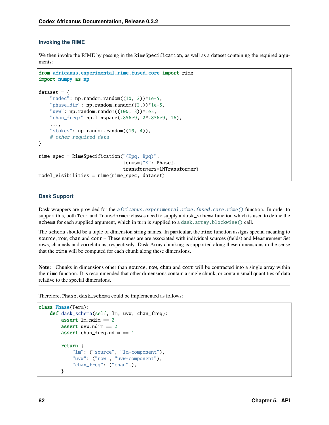## **Invoking the RIME**

We then invoke the RIME by passing in the RimeSpecification, as well as a dataset containing the required arguments:

```
from africanus.experimental.rime.fused.core import rime
import numpy as np
dataset = \{"radec": np.random.random((10, 2))*1e-5,
    "phase_dir": np.random.random((2,))^*1e-5,
    "uvw": np.random.random((100, 3))*1e5,
    "chan_freq:" np.linspace(.856e9, 2*.856e9, 16),
    ...,
    "stokes": np.random.random((10, 4)),# other required data
}
rime_spec = RimeSpecification("(Kpq, Bpq)",
                              terms={"K": Phase},
                              transformers=LMTransformer)
model_visibilities = rime(rime_spec, dataset)
```
## **Dask Support**

Dask wrappers are provided for the *africanus.experimental.rime.fused.core.rime*() function. In order to support this, both Term and Transformer classes need to supply a dask\_schema function which is used to define the schema for each supplied argument, which in turn is supplied to a [dask.array.blockwise\(\)](https://docs.dask.org/en/latest/generated/dask.array.blockwise.html#dask.array.blockwise) call.

The schema should be a tuple of dimension string names. In particular, the rime function assigns special meaning to source, row, chan and corr – These names are are associated with individual sources (fields) and Measurement Set rows, channels and correlations, respectively. Dask Array chunking is supported along these dimensions in the sense that the rime will be computed for each chunk along these dimensions.

**Note:** Chunks in dimensions other than source, row, chan and corr will be contracted into a single array within the rime function. It is recommended that other dimensions contain a single chunk, or contain small quantities of data relative to the special dimensions.

Therefore, Phase.dask\_schema could be implemented as follows:

```
class Phase(Term):
   def dask_schema(self, lm, uvw, chan_freq):
        assert lm.ndim == 2assert uvw.ndim == 2assert chan_freq.ndim == 1return {
            "lm": ("source", "lm-component"),
            "uvw": ("row", "uvw-component"),
            "chan_freq": ("chan",),
        }
```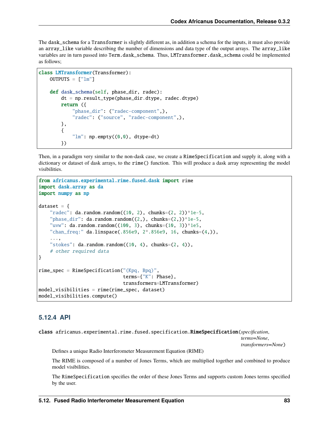The dask\_schema for a Transformer is slightly different as, in addition a schema for the inputs, it must also provide an array\_like variable describing the number of dimensions and data type of the output arrays. The array\_like variables are in turn passed into Term.dask\_schema. Thus, LMTransformer.dask\_schema could be implemented as follows;

```
class LMTransformer(Transformer):
   OUTPUTS = ['lm"]def dask_schema(self, phase_dir, radec):
       dt = np.result_type(phase_dir.dtype, radec.dtype)
       return ({
            "phase_dir": ("radec-component",),
            "radec": ("source", "radec-component",),
        },
        {
            "lm": np.empty((0,0), dtype=dt)
        })
```
Then, in a paradigm very similar to the non-dask case, we create a RimeSpecification and supply it, along with a dictionary or dataset of dask arrays, to the rime() function. This will produce a dask array representing the model visibilities.

```
from africanus.experimental.rime.fused.dask import rime
import dask.array as da
import numpy as np
dataset = \{"radec": da.random.random((10, 2), chunks=(2, 2))*1e-5,"phase_dir": da.random.random((2,), chunks=(2,))*1e-5,
    "uvw": da.random.random((100, 3), chunks=(10, 3))*1e5,
    "chan_freq:" da.linspace(.856e9, 2^*.856e9, 16, chunks=(4,)),
    ...,
    "stokes": da.random.random((10, 4), chunks=(2, 4)),
    # other required data
}
rime\_spec = RimeSpecification("Kpq, Bpq)",
                              terms={"K": Phase},
                              transformers=LMTransformer)
model_visibilities = rime(rime_spec, dataset)
model_visibilities.compute()
```
## **5.12.4 API**

class africanus.experimental.rime.fused.specification.RimeSpecification(*specification*,

*terms=None*, *transformers=None*)

Defines a unique Radio Interferometer Measurement Equation (RIME)

The RIME is composed of a number of Jones Terms, which are multiplied together and combined to produce model visibilities.

The RimeSpecification specifies the order of these Jones Terms and supports custom Jones terms specified by the user.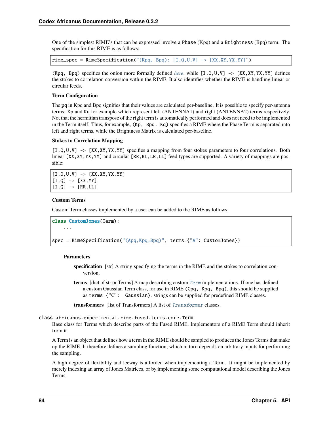One of the simplest RIME's that can be expressed involve a Phase (Kpq) and a Brightness (Bpq) term. The specification for this RIME is as follows:

 $\mathbf{rime\_spec} = \mathbf{RimeSpecification("Kpq, Bpq): [I, Q, U, V] \rightarrow [XX, XY, YX, YY]")}$ 

(Kpq, Bpq) specifies the onion more formally defined *[here](#page-81-1)*, while  $[I, Q, U, V] \rightarrow [XX, XY, YX, YY]$  defines the stokes to correlation conversion within the RIME. It also identifies whether the RIME is handling linear or circular feeds.

## **Term Configuration**

The pq in Kpq and Bpq signifies that their values are calculated per-baseline. It is possible to specify per-antenna terms: Kp and Kq for example which represent left (ANTENNA1) and right (ANTENNA2) terms respectively. Not that the hermitian transpose of the right term is automatically performed and does not need to be implemented in the Term itself. Thus, for example, (Kp, Bpq, Kq) specifies a RIME where the Phase Term is separated into left and right terms, while the Brightness Matrix is calculated per-baseline.

## **Stokes to Correlation Mapping**

 $[I, Q, U, V]$  ->  $[XX, XY, YX, YY]$  specifies a mapping from four stokes parameters to four correlations. Both linear [XX,XY,YX,YY] and circular [RR,RL,LR,LL] feed types are supported. A variety of mappings are possible:

 $[I, Q, U, V]$  ->  $[XX, XY, YX, YY]$  $[I, Q] \rightarrow [XX, YY]$  $[I, Q]$  ->  $[RR, LL]$ 

## **Custom Terms**

Custom Term classes implemented by a user can be added to the RIME as follows:

```
class CustomJones(Term):
    ...
```
spec = RimeSpecification("(Apq,Kpq,Bpq)", terms={"A": CustomJones})

## **Parameters**

**specification** [str] A string specifying the terms in the RIME and the stokes to correlation conversion.

**terms** [dict of str or Terms] A map describing custom [Term](#page-87-0) implementations. If one has defined a custom Gaussian Term class, for use in RIME (Cpq, Kpq, Bpq), this should be supplied as terms={"C": Gaussian}. strings can be supplied for predefined RIME classes.

**transformers** [list of Transformers] A list of [Transformer](#page-89-0) classes.

## <span id="page-87-0"></span>class africanus.experimental.rime.fused.terms.core.Term

Base class for Terms which describe parts of the Fused RIME. Implementors of a RIME Term should inherit from it.

A Term is an object that defines how a term in the RIME should be sampled to produces the Jones Terms that make up the RIME. It therefore defines a sampling function, which in turn depends on arbitrary inputs for performing the sampling.

A high degree of flexibility and leeway is afforded when implementing a Term. It might be implemented by merely indexing an array of Jones Matrices, or by implementing some computational model describing the Jones Terms.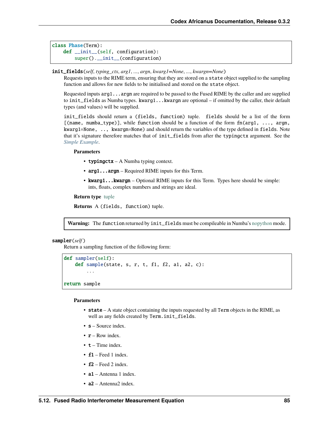```
class Phase(Term):
   def __init__(self, configuration):
        super().__init__(configuration)
```
## <span id="page-88-0"></span>init\_fields(*self*, *typing\_ctx*, *arg1*, *...*, *argn*, *kwarg1=None*, *...*, *kwargn=None*)

Requests inputs to the RIME term, ensuring that they are stored on a state object supplied to the sampling function and allows for new fields to be initialised and stored on the state object.

Requested inputs arg1...argn are required to be passed to the Fused RIME by the caller and are supplied to init\_fields as Numba types. kwarg1...kwargn are optional – if omitted by the caller, their default types (and values) will be supplied.

init\_fields should return a (fields, function) tuple. fields should be a list of the form [(name, numba\_type)], while function should be a function of the form  $fn(arg1, \ldots, argn)$ , kwarg1=None, .., kwargn=None) and should return the variables of the type defined in fields. Note that it's signature therefore matches that of init\_fields from after the typingctx argument. See the *[Simple Example](#page-81-2)*.

### **Parameters**

- typingctx A Numba typing context.
- arg1...argn Required RIME inputs for this Term.
- kwarg1...kwargn Optional RIME inputs for this Term. Types here should be simple: ints, floats, complex numbers and strings are ideal.

### **Return type** [tuple](https://docs.python.org/3/library/stdtypes.html#tuple)

**Returns** A (fields, function) tuple.

**Warning:** The function returned by init\_fields must be compileable in Numba's [nopython](https://numba.pydata.org/numba-doc/latest/user/jit.html#nopython_) mode.

### sampler(*self* )

Return a sampling function of the following form:

```
def sampler(self):
    def sample(state, s, r, t, f1, f2, a1, a2, c):
        ...
return sample
```
## **Parameters**

- state A state object containing the inputs requested by all Term objects in the RIME, as well as any fields created by Term.init\_fields.
- $s -$  Source index.
- $\mathbf{r}$  Row index.
- $\cdot$  **t** Time index.
- $f1 \text{Feed 1 index}$ .
- $f2 \text{Head } 2$  index.
- $a1$  Antenna 1 index.
- **a2** Antenna2 index.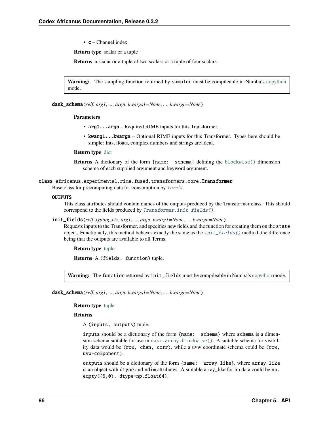• c – Channel index.

**Return type** scalar or a tuple

**Returns** a scalar or a tuple of two scalars or a tuple of four scalars.

**Warning:** The sampling function returned by sampler must be compileable in Numba's [nopython](https://numba.pydata.org/numba-doc/latest/user/jit.html#nopython_) mode.

dask\_schema(*self*, *arg1*, *...*, *argn*, *kwargs1=None*, *...*, *kwargn=None*)

#### **Parameters**

- arg1...argn Required RIME inputs for this Transformer.
- kwarg1...kwargn Optional RIME inputs for this Transformer. Types here should be simple: ints, floats, complex numbers and strings are ideal.

#### **Return type** [dict](https://docs.python.org/3/library/stdtypes.html#dict)

**Returns** A dictionary of the form {name: schema} defining the [blockwise\(\)](https://docs.dask.org/en/latest/generated/dask.array.blockwise.html#dask.array.blockwise) dimension schema of each supplied argument and keyword argument.

## <span id="page-89-0"></span>class africanus.experimental.rime.fused.transformers.core.Transformer

Base class for precomputing data for consumption by [Term](#page-87-0)'s.

### **OUTPUTS**

This class attributes should contain names of the outputs produced by the Transformer class. This should correspond to the fields produced by [Transformer.init\\_fields\(\)](#page-89-1).

<span id="page-89-1"></span>init\_fields(*self*, *typing\_ctx*, *arg1*, *...*, *argn*, *kwarg1=None*, *...*, *kwargn=None*)

Requests inputs to the Transformer, and specifies new fields and the function for creating them on the state object. Functionally, this method behaves exactly the same as the [init\\_fields\(\)](#page-88-0) method, the difference being that the outputs are available to all Terms.

**Return type** [tuple](https://docs.python.org/3/library/stdtypes.html#tuple)

**Returns** A (fields, function) tuple.

**Warning:** The function returned by init\_fields must be compileable in Numba's [nopython](https://numba.pydata.org/numba-doc/latest/user/jit.html#nopython_) mode.

dask\_schema(*self*, *arg1*, *...*, *argn*, *kwargs1=None*, *...*, *kwargn=None*)

**Return type** [tuple](https://docs.python.org/3/library/stdtypes.html#tuple)

**Returns**

A (inputs, outputs) tuple.

inputs should be a dictionary of the form {name: schema} where schema is a dimension schema suitable for use in [dask.array.blockwise\(\)](https://docs.dask.org/en/latest/generated/dask.array.blockwise.html#dask.array.blockwise). A suitable schema for visibility data would be (row, chan, corr), while a uvw coordinate schema could be (row, uvw-component).

outputs should be a dictionary of the form {name: array\_like}, where array\_like is an object with dtype and ndim attributes. A suitable array\_like for lm data could be np. empty((0,0), dtype=np.float64).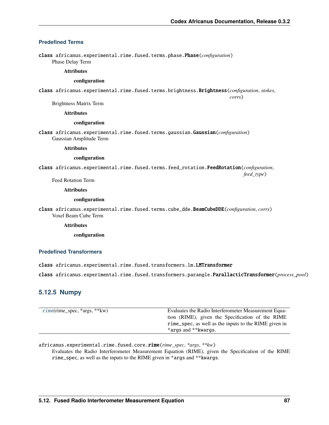*corrs*)

## **Predefined Terms**

class africanus.experimental.rime.fused.terms.phase.Phase(*configuration*) Phase Delay Term

### **Attributes**

### **configuration**

class africanus.experimental.rime.fused.terms.brightness.Brightness(*configuration*, *stokes*,

Brightness Matrix Term

#### **Attributes**

#### **configuration**

class africanus.experimental.rime.fused.terms.gaussian.Gaussian(*configuration*) Gaussian Amplitude Term

#### **Attributes**

### **configuration**

class africanus.experimental.rime.fused.terms.feed\_rotation.FeedRotation(*configuration*, *feed\_type*)

Feed Rotation Term

**Attributes**

### **configuration**

class africanus.experimental.rime.fused.terms.cube\_dde.BeamCubeDDE(*configuration*, *corrs*) Voxel Beam Cube Term

**Attributes**

**configuration**

## **Predefined Transformers**

class africanus.experimental.rime.fused.transformers.lm.LMTransformer

class africanus.experimental.rime.fused.transformers.parangle.ParallacticTransformer(*process\_pool*)

## **5.12.5 Numpy**

| $rime(rime\_spec, *args, **kw)$ | Evaluates the Radio Interferometer Measurement Equa-  |
|---------------------------------|-------------------------------------------------------|
|                                 | tion (RIME), given the Specification of the RIME      |
|                                 | rime_spec, as well as the inputs to the RIME given in |
|                                 | *args and ** kwargs.                                  |

<span id="page-90-0"></span>africanus.experimental.rime.fused.core.rime(*rime\_spec*, *\*args*, *\*\*kw*)

Evaluates the Radio Interferometer Measurement Equation (RIME), given the Specification of the RIME rime\_spec, as well as the inputs to the RIME given in \*args and \*\*kwargs.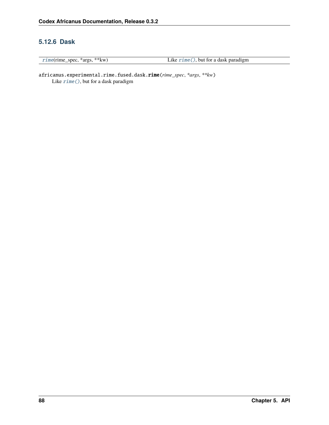## **5.12.6 Dask**

| $rime(rime\_spec, *args, **kw)$ |
|---------------------------------|
|---------------------------------|

Like  $rime()$  $rime()$ , but for a dask paradigm

<span id="page-91-0"></span>africanus.experimental.rime.fused.dask.rime(*rime\_spec*, *\*args*, *\*\*kw*) Like [rime\(\)](#page-90-0), but for a dask paradigm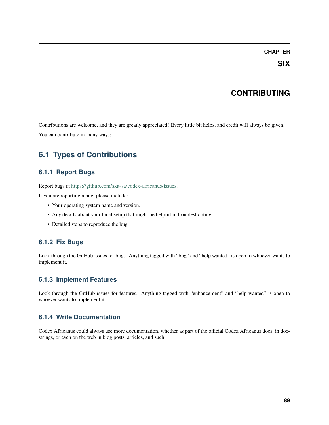## **CHAPTER**

## **CONTRIBUTING**

Contributions are welcome, and they are greatly appreciated! Every little bit helps, and credit will always be given. You can contribute in many ways:

# **6.1 Types of Contributions**

## **6.1.1 Report Bugs**

Report bugs at [https://github.com/ska-sa/codex-africanus/issues.](https://github.com/ska-sa/codex-africanus/issues)

If you are reporting a bug, please include:

- Your operating system name and version.
- Any details about your local setup that might be helpful in troubleshooting.
- Detailed steps to reproduce the bug.

## **6.1.2 Fix Bugs**

Look through the GitHub issues for bugs. Anything tagged with "bug" and "help wanted" is open to whoever wants to implement it.

## **6.1.3 Implement Features**

Look through the GitHub issues for features. Anything tagged with "enhancement" and "help wanted" is open to whoever wants to implement it.

## **6.1.4 Write Documentation**

Codex Africanus could always use more documentation, whether as part of the official Codex Africanus docs, in docstrings, or even on the web in blog posts, articles, and such.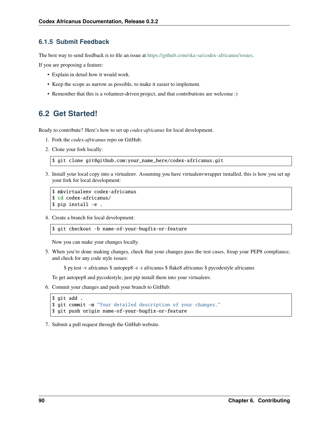## **6.1.5 Submit Feedback**

The best way to send feedback is to file an issue at [https://github.com/ska-sa/codex-africanus/issues.](https://github.com/ska-sa/codex-africanus/issues)

If you are proposing a feature:

- Explain in detail how it would work.
- Keep the scope as narrow as possible, to make it easier to implement.
- Remember that this is a volunteer-driven project, and that contributions are welcome :)

## **6.2 Get Started!**

Ready to contribute? Here's how to set up *codex-africanus* for local development.

- 1. Fork the *codex-africanus* repo on GitHub.
- 2. Clone your fork locally:

\$ git clone git@github.com:your\_name\_here/codex-africanus.git

3. Install your local copy into a virtualenv. Assuming you have virtualenvwrapper installed, this is how you set up your fork for local development:

```
$ mkvirtualenv codex-africanus
$ cd codex-africanus/
$ pip install -e .
```
4. Create a branch for local development:

```
$ git checkout -b name-of-your-bugfix-or-feature
```
Now you can make your changes locally.

5. When you're done making changes, check that your changes pass the test cases, fixup your PEP8 compliance, and check for any code style issues:

\$ py.test -v africanus \$ autopep8 -r -i africanus \$ flake8 africanus \$ pycodestyle africanus

To get autopep8 and pycodestyle, just pip install them into your virtualenv.

6. Commit your changes and push your branch to GitHub:

```
$ git add .
$ git commit -m "Your detailed description of your changes."
$ git push origin name-of-your-bugfix-or-feature
```
7. Submit a pull request through the GitHub website.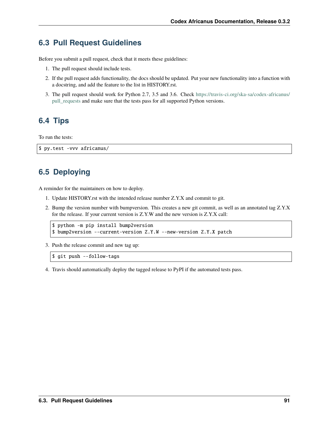## **6.3 Pull Request Guidelines**

Before you submit a pull request, check that it meets these guidelines:

- 1. The pull request should include tests.
- 2. If the pull request adds functionality, the docs should be updated. Put your new functionality into a function with a docstring, and add the feature to the list in HISTORY.rst.
- 3. The pull request should work for Python 2.7, 3.5 and 3.6. Check [https://travis-ci.org/ska-sa/codex-africanus/](https://travis-ci.org/ska-sa/codex-africanus/pull_requests) [pull\\_requests](https://travis-ci.org/ska-sa/codex-africanus/pull_requests) and make sure that the tests pass for all supported Python versions.

# **6.4 Tips**

To run the tests:

```
$ py.test -vvv africanus/
```
# **6.5 Deploying**

A reminder for the maintainers on how to deploy.

- 1. Update HISTORY.rst with the intended release number Z.Y.X and commit to git.
- 2. Bump the version number with bumpversion. This creates a new git commit, as well as an annotated tag Z.Y.X for the release. If your current version is Z.Y.W and the new version is Z.Y.X call:

```
$ python -m pip install bump2version
$ bump2version --current-version Z.Y.W --new-version Z.Y.X patch
```
3. Push the release commit and new tag up:

```
$ git push --follow-tags
```
4. Travis should automatically deploy the tagged release to PyPI if the automated tests pass.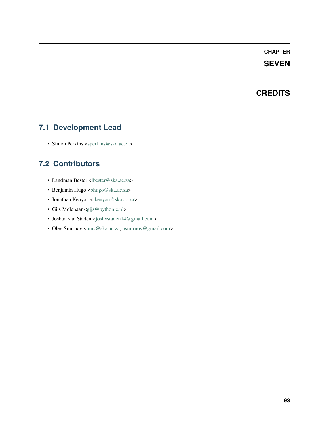## **CHAPTER**

## **SEVEN**

## **CREDITS**

## **7.1 Development Lead**

• Simon Perkins [<sperkins@ska.ac.za>](mailto:sperkins@ska.ac.za)

# **7.2 Contributors**

- Landman Bester [<lbester@ska.ac.za>](mailto:lbester@ska.ac.za)
- Benjamin Hugo <br/> <br/>bhugo@ska.ac.za>
- Jonathan Kenyon [<jkenyon@ska.ac.za>](mailto:jkenyon@ska.ac.za)
- Gijs Molenaar [<gijs@pythonic.nl>](mailto:gijs@pythonic.nl)
- Joshua van Staden [<joshvstaden14@gmail.com>](mailto:joshvstaden14@gmail.com)
- Oleg Smirnov [<oms@ska.ac.za,](mailto:oms@ska.ac.za) [osmirnov@gmail.com>](mailto:osmirnov@gmail.com)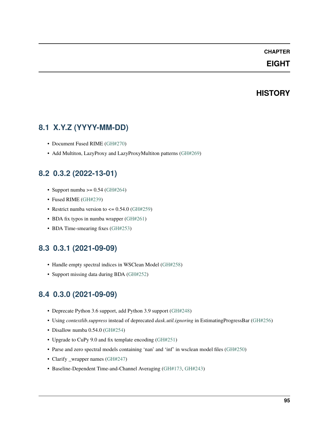## **CHAPTER**

## **EIGHT**

## **HISTORY**

## **8.1 X.Y.Z (YYYY-MM-DD)**

- Document Fused RIME [\(GH#270\)](https://github.com/ska-sa/codex-africanus/pull/270)
- Add Multiton, LazyProxy and LazyProxyMultiton patterns [\(GH#269\)](https://github.com/ska-sa/codex-africanus/pull/269)

## **8.2 0.3.2 (2022-13-01)**

- Support numba  $\geq$  = 0.54 [\(GH#264\)](https://github.com/ska-sa/codex-africanus/pull/264)
- Fused RIME [\(GH#239\)](https://github.com/ska-sa/codex-africanus/pull/239)
- Restrict numba version to  $\leq$  0.54.0 [\(GH#259\)](https://github.com/ska-sa/codex-africanus/pull/259)
- BDA fix typos in numba wrapper [\(GH#261\)](https://github.com/ska-sa/codex-africanus/pull/261)
- BDA Time-smearing fixes [\(GH#253\)](https://github.com/ska-sa/codex-africanus/pull/253)

## **8.3 0.3.1 (2021-09-09)**

- Handle empty spectral indices in WSClean Model [\(GH#258\)](https://github.com/ska-sa/codex-africanus/pull/258)
- Support missing data during BDA [\(GH#252\)](https://github.com/ska-sa/codex-africanus/pull/252)

## **8.4 0.3.0 (2021-09-09)**

- Deprecate Python 3.6 support, add Python 3.9 support [\(GH#248\)](https://github.com/ska-sa/codex-africanus/pull/248)
- Using *contextlib.suppress* instead of deprecated *dask.util.ignoring* in EstimatingProgressBar [\(GH#256\)](https://github.com/ska-sa/codex-africanus/pull/256)
- Disallow numba 0.54.0 [\(GH#254\)](https://github.com/ska-sa/codex-africanus/pull/254)
- Upgrade to CuPy 9.0 and fix template encoding [\(GH#251\)](https://github.com/ska-sa/codex-africanus/pull/251)
- Parse and zero spectral models containing 'nan' and 'inf' in wsclean model files [\(GH#250\)](https://github.com/ska-sa/codex-africanus/pull/250)
- Clarify \_wrapper names [\(GH#247\)](https://github.com/ska-sa/codex-africanus/pull/247)
- Baseline-Dependent Time-and-Channel Averaging [\(GH#173,](https://github.com/ska-sa/codex-africanus/pull/173) [GH#243\)](https://github.com/ska-sa/codex-africanus/pull/243)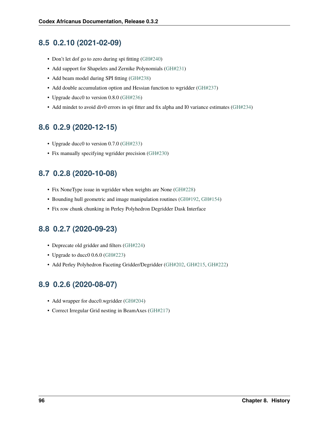## **8.5 0.2.10 (2021-02-09)**

- Don't let dof go to zero during spi fitting [\(GH#240\)](https://github.com/ska-sa/codex-africanus/pull/240)
- Add support for Shapelets and Zernike Polynomials [\(GH#231\)](https://github.com/ska-sa/codex-africanus/pull/231)
- Add beam model during SPI fitting [\(GH#238\)](https://github.com/ska-sa/codex-africanus/pull/238)
- Add double accumulation option and Hessian function to wgridder [\(GH#237\)](https://github.com/ska-sa/codex-africanus/pull/237)
- Upgrade ducc0 to version 0.8.0 [\(GH#236\)](https://github.com/ska-sa/codex-africanus/pull/236)
- Add mindet to avoid div0 errors in spi fitter and fix alpha and I0 variance estimates [\(GH#234\)](https://github.com/ska-sa/codex-africanus/pull/234)

## **8.6 0.2.9 (2020-12-15)**

- Upgrade ducc0 to version 0.7.0 [\(GH#233\)](https://github.com/ska-sa/codex-africanus/pull/233)
- Fix manually specifying wgridder precision [\(GH#230\)](https://github.com/ska-sa/codex-africanus/pull/230)

# **8.7 0.2.8 (2020-10-08)**

- Fix NoneType issue in wgridder when weights are None [\(GH#228\)](https://github.com/ska-sa/codex-africanus/pull/228)
- Bounding hull geometric and image manipulation routines [\(GH#192,](https://github.com/ska-sa/codex-africanus/pull/192) [GH#154\)](https://github.com/ska-sa/codex-africanus/pull/154)
- Fix row chunk chunking in Perley Polyhedron Degridder Dask Interface

# **8.8 0.2.7 (2020-09-23)**

- Deprecate old gridder and filters [\(GH#224\)](https://github.com/ska-sa/codex-africanus/pull/224)
- Upgrade to ducc0 0.6.0 [\(GH#223\)](https://github.com/ska-sa/codex-africanus/pull/223)
- Add Perley Polyhedron Faceting Gridder/Degridder [\(GH#202,](https://github.com/ska-sa/codex-africanus/pull/202) [GH#215,](https://github.com/ska-sa/codex-africanus/pull/215) [GH#222\)](https://github.com/ska-sa/codex-africanus/pull/222)

# **8.9 0.2.6 (2020-08-07)**

- Add wrapper for ducc0.wgridder [\(GH#204\)](https://github.com/ska-sa/codex-africanus/pull/204)
- Correct Irregular Grid nesting in BeamAxes [\(GH#217\)](https://github.com/ska-sa/codex-africanus/pull/217)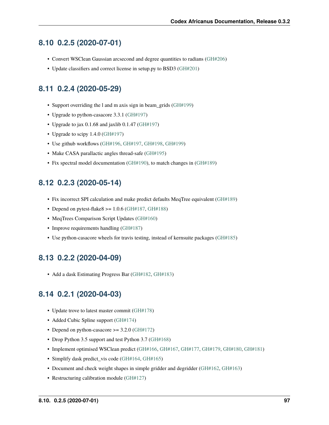## **8.10 0.2.5 (2020-07-01)**

- Convert WSClean Gaussian arcsecond and degree quantities to radians [\(GH#206\)](https://github.com/ska-sa/codex-africanus/pull/206)
- Update classifiers and correct license in setup.py to BSD3 [\(GH#201\)](https://github.com/ska-sa/codex-africanus/pull/201)

# **8.11 0.2.4 (2020-05-29)**

- Support overriding the l and m axis sign in beam\_grids [\(GH#199\)](https://github.com/ska-sa/codex-africanus/pull/199)
- Upgrade to python-casacore 3.3.1 [\(GH#197\)](https://github.com/ska-sa/codex-africanus/pull/197)
- Upgrade to jax 0.1.68 and jaxlib 0.1.47 [\(GH#197\)](https://github.com/ska-sa/codex-africanus/pull/197)
- Upgrade to scipy 1.4.0 [\(GH#197\)](https://github.com/ska-sa/codex-africanus/pull/197)
- Use github workflows [\(GH#196,](https://github.com/ska-sa/codex-africanus/pull/196) [GH#197,](https://github.com/ska-sa/codex-africanus/pull/197) [GH#198,](https://github.com/ska-sa/codex-africanus/pull/198) [GH#199\)](https://github.com/ska-sa/codex-africanus/pull/199)
- Make CASA parallactic angles thread-safe [\(GH#195\)](https://github.com/ska-sa/codex-africanus/pull/195)
- Fix spectral model documentation [\(GH#190\)](https://github.com/ska-sa/codex-africanus/pull/190), to match changes in [\(GH#189\)](https://github.com/ska-sa/codex-africanus/pull/189)

## **8.12 0.2.3 (2020-05-14)**

- Fix incorrect SPI calculation and make predict defaults MeqTree equivalent [\(GH#189\)](https://github.com/ska-sa/codex-africanus/pull/189)
- Depend on pytest-flake  $8 \ge 1.0.6$  [\(GH#187,](https://github.com/ska-sa/codex-africanus/pull/187) [GH#188\)](https://github.com/ska-sa/codex-africanus/pull/188)
- MeqTrees Comparison Script Updates [\(GH#160\)](https://github.com/ska-sa/codex-africanus/pull/160)
- Improve requirements handling [\(GH#187\)](https://github.com/ska-sa/codex-africanus/pull/187)
- Use python-casacore wheels for travis testing, instead of kernsuite packages [\(GH#185\)](https://github.com/ska-sa/codex-africanus/pull/185)

## **8.13 0.2.2 (2020-04-09)**

• Add a dask Estimating Progress Bar [\(GH#182,](https://github.com/ska-sa/codex-africanus/pull/182) [GH#183\)](https://github.com/ska-sa/codex-africanus/pull/183)

## **8.14 0.2.1 (2020-04-03)**

- Update trove to latest master commit [\(GH#178\)](https://github.com/ska-sa/codex-africanus/pull/178)
- Added Cubic Spline support [\(GH#174\)](https://github.com/ska-sa/codex-africanus/pull/174)
- Depend on python-casacore >= 3.2.0 [\(GH#172\)](https://github.com/ska-sa/codex-africanus/pull/172)
- Drop Python 3.5 support and test Python 3.7 [\(GH#168\)](https://github.com/ska-sa/codex-africanus/pull/168)
- Implement optimised WSClean predict [\(GH#166,](https://github.com/ska-sa/codex-africanus/pull/166) [GH#167,](https://github.com/ska-sa/codex-africanus/pull/167) [GH#177,](https://github.com/ska-sa/codex-africanus/pull/177) [GH#179,](https://github.com/ska-sa/codex-africanus/pull/179) [GH#180,](https://github.com/ska-sa/codex-africanus/pull/180) [GH#181\)](https://github.com/ska-sa/codex-africanus/pull/181)
- Simplify dask predict\_vis code [\(GH#164,](https://github.com/ska-sa/codex-africanus/pull/164) [GH#165\)](https://github.com/ska-sa/codex-africanus/pull/165)
- Document and check weight shapes in simple gridder and degridder [\(GH#162,](https://github.com/ska-sa/codex-africanus/pull/162) [GH#163\)](https://github.com/ska-sa/codex-africanus/pull/163)
- Restructuring calibration module [\(GH#127\)](https://github.com/ska-sa/codex-africanus/pull/127)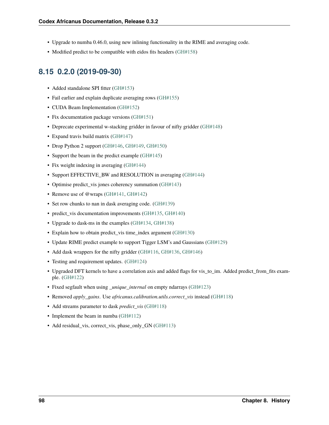- Upgrade to numba 0.46.0, using new inlining functionality in the RIME and averaging code.
- Modified predict to be compatible with eidos fits headers [\(GH#158\)](https://github.com/ska-sa/codex-africanus/pull/158)

## **8.15 0.2.0 (2019-09-30)**

- Added standalone SPI fitter [\(GH#153\)](https://github.com/ska-sa/codex-africanus/pull/153)
- Fail earlier and explain duplicate averaging rows [\(GH#155\)](https://github.com/ska-sa/codex-africanus/pull/155)
- CUDA Beam Implementation [\(GH#152\)](https://github.com/ska-sa/codex-africanus/pull/152)
- Fix documentation package versions [\(GH#151\)](https://github.com/ska-sa/codex-africanus/pull/151)
- Deprecate experimental w-stacking gridder in favour of nifty gridder [\(GH#148\)](https://github.com/ska-sa/codex-africanus/pull/148)
- Expand travis build matrix [\(GH#147\)](https://github.com/ska-sa/codex-africanus/pull/147)
- Drop Python 2 support [\(GH#146,](https://github.com/ska-sa/codex-africanus/pull/146) [GH#149,](https://github.com/ska-sa/codex-africanus/pull/149) [GH#150\)](https://github.com/ska-sa/codex-africanus/pull/150)
- Support the beam in the predict example [\(GH#145\)](https://github.com/ska-sa/codex-africanus/pull/145)
- Fix weight indexing in averaging [\(GH#144\)](https://github.com/ska-sa/codex-africanus/pull/144)
- Support EFFECTIVE BW and RESOLUTION in averaging [\(GH#144\)](https://github.com/ska-sa/codex-africanus/pull/144)
- Optimise predict\_vis jones coherency summation [\(GH#143\)](https://github.com/ska-sa/codex-africanus/pull/143)
- Remove use of @wraps [\(GH#141,](https://github.com/ska-sa/codex-africanus/pull/141) [GH#142\)](https://github.com/ska-sa/codex-africanus/pull/142)
- Set row chunks to nan in dask averaging code. [\(GH#139\)](https://github.com/ska-sa/codex-africanus/pull/139)
- predict\_vis documentation improvements [\(GH#135,](https://github.com/ska-sa/codex-africanus/pull/135) [GH#140\)](https://github.com/ska-sa/codex-africanus/pull/140)
- Upgrade to dask-ms in the examples [\(GH#134,](https://github.com/ska-sa/codex-africanus/pull/134) [GH#138\)](https://github.com/ska-sa/codex-africanus/pull/138)
- Explain how to obtain predict\_vis time\_index argument [\(GH#130\)](https://github.com/ska-sa/codex-africanus/pull/130)
- Update RIME predict example to support Tigger LSM's and Gaussians [\(GH#129\)](https://github.com/ska-sa/codex-africanus/pull/129)
- Add dask wrappers for the nifty gridder [\(GH#116,](https://github.com/ska-sa/codex-africanus/pull/116) [GH#136,](https://github.com/ska-sa/codex-africanus/pull/136) [GH#146\)](https://github.com/ska-sa/codex-africanus/pull/146)
- Testing and requirement updates. [\(GH#124\)](https://github.com/ska-sa/codex-africanus/pull/124)
- Upgraded DFT kernels to have a correlation axis and added flags for vis\_to\_im. Added predict\_from\_fits example. [\(GH#122\)](https://github.com/ska-sa/codex-africanus/pull/122)
- Fixed segfault when using *unique internal* on empty ndarrays [\(GH#123\)](https://github.com/ska-sa/codex-africanus/pull/123)
- Removed *apply\_gains*. Use *africanus.calibration.utils.correct\_vis* instead [\(GH#118\)](https://github.com/ska-sa/codex-africanus/pull/118)
- Add streams parameter to dask *predict\_vis* [\(GH#118\)](https://github.com/ska-sa/codex-africanus/pull/118)
- Implement the beam in numba [\(GH#112\)](https://github.com/ska-sa/codex-africanus/pull/112)
- Add residual vis, correct vis, phase only GN [\(GH#113\)](https://github.com/ska-sa/codex-africanus/pull/113)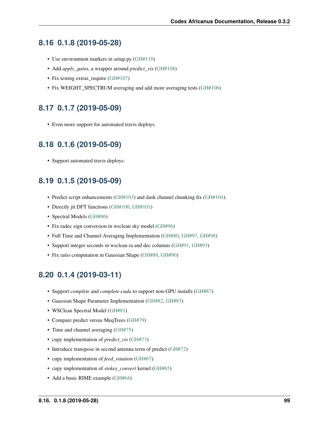## **8.16 0.1.8 (2019-05-28)**

- Use environment markers in setup.py [\(GH#110\)](https://github.com/ska-sa/codex-africanus/pull/110)
- Add *apply\_gains*, a wrapper around *predict\_vis* [\(GH#108\)](https://github.com/ska-sa/codex-africanus/pull/108)
- Fix testing extras\_require [\(GH#107\)](https://github.com/ska-sa/codex-africanus/pull/107)
- Fix WEIGHT\_SPECTRUM averaging and add more averaging tests [\(GH#106\)](https://github.com/ska-sa/codex-africanus/pull/106)

# **8.17 0.1.7 (2019-05-09)**

• Even more support for automated travis deploys.

## **8.18 0.1.6 (2019-05-09)**

• Support automated travis deploys.

## **8.19 0.1.5 (2019-05-09)**

- Predict script enhancements [\(GH#103\)](https://github.com/ska-sa/codex-africanus/pull/103) and dask channel chunking fix [\(GH#104\)](https://github.com/ska-sa/codex-africanus/issues/104).
- Directly jit DFT functions [\(GH#100,](https://github.com/ska-sa/codex-africanus/pull/100) [GH#101\)](https://github.com/ska-sa/codex-africanus/pull/101)
- Spectral Models [\(GH#86\)](https://github.com/ska-sa/codex-africanus/pull/86)
- Fix radec sign conversion in wsclean sky model [\(GH#96\)](https://github.com/ska-sa/codex-africanus/pull/96)
- Full Time and Channel Averaging Implementation [\(GH#80,](https://github.com/ska-sa/codex-africanus/pull/80) [GH#97,](https://github.com/ska-sa/codex-africanus/pull/97) [GH#98\)](https://github.com/ska-sa/codex-africanus/pull/98)
- Support integer seconds in wsclean ra and dec columns [\(GH#91,](https://github.com/ska-sa/codex-africanus/pull/91) [GH#93\)](https://github.com/ska-sa/codex-africanus/pull/93)
- Fix ratio computation in Gaussian Shape [\(GH#89,](https://github.com/ska-sa/codex-africanus/pull/89) [GH#90\)](https://github.com/ska-sa/codex-africanus/pull/90)

## **8.20 0.1.4 (2019-03-11)**

- Support *complete* and *complete-cuda* to support non-GPU installs [\(GH#87\)](https://github.com/ska-sa/codex-africanus/pull/87)
- Gaussian Shape Parameter Implementation [\(GH#82,](https://github.com/ska-sa/codex-africanus/pull/82) [GH#83\)](https://github.com/ska-sa/codex-africanus/pull/83)
- WSClean Spectral Model [\(GH#81\)](https://github.com/ska-sa/codex-africanus/pull/81)
- Compare predict versus MeqTrees [\(GH#79\)](https://github.com/ska-sa/codex-africanus/pull/79)
- Time and channel averaging [\(GH#75\)](https://github.com/ska-sa/codex-africanus/pull/75)
- cupy implementation of *predict\_vis* [\(GH#73\)](https://github.com/ska-sa/codex-africanus/pull/73)
- Introduce transpose in second antenna term of predict [\(GH#72\)](https://github.com/ska-sa/codex-africanus/pull/72)
- cupy implementation of *feed\_rotation* [\(GH#67\)](https://github.com/ska-sa/codex-africanus/pull/67)
- cupy implementation of *stokes\_convert* kernel [\(GH#65\)](https://github.com/ska-sa/codex-africanus/pull/65)
- Add a basic RIME example [\(GH#64\)](https://github.com/ska-sa/codex-africanus/pull/64)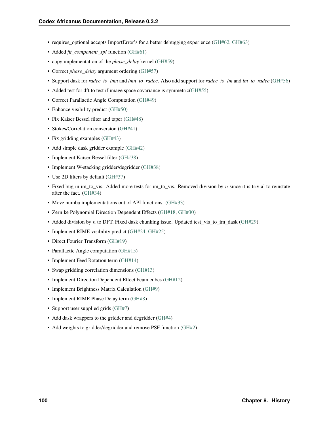- requires optional accepts ImportError's for a better debugging experience [\(GH#62,](https://github.com/ska-sa/codex-africanus/pull/62) [GH#63\)](https://github.com/ska-sa/codex-africanus/pull/63)
- Added *fit\_component\_spi* function [\(GH#61\)](https://github.com/ska-sa/codex-africanus/pull/61)
- cupy implementation of the *phase\_delay* kernel [\(GH#59\)](https://github.com/ska-sa/codex-africanus/pull/59)
- Correct *phase\_delay* argument ordering [\(GH#57\)](https://github.com/ska-sa/codex-africanus/pull/57)
- Support dask for *radec\_to\_lmn* and *lmn\_to\_radec*. Also add support for *radec\_to\_lm* and *lm\_to\_radec* [\(GH#56\)](https://github.com/ska-sa/codex-africanus/pull/56)
- Added test for dft to test if image space covariance is symmetric [\(GH#55\)](https://github.com/ska-sa/codex-africanus/pull/55)
- Correct Parallactic Angle Computation [\(GH#49\)](https://github.com/ska-sa/codex-africanus/pull/49)
- Enhance visibility predict [\(GH#50\)](https://github.com/ska-sa/codex-africanus/pull/50)
- Fix Kaiser Bessel filter and taper [\(GH#48\)](https://github.com/ska-sa/codex-africanus/pull/48)
- Stokes/Correlation conversion [\(GH#41\)](https://github.com/ska-sa/codex-africanus/pull/41)
- Fix gridding examples [\(GH#43\)](https://github.com/ska-sa/codex-africanus/pull/43)
- Add simple dask gridder example [\(GH#42\)](https://github.com/ska-sa/codex-africanus/pull/42)
- Implement Kaiser Bessel filter [\(GH#38\)](https://github.com/ska-sa/codex-africanus/pull/38)
- Implement W-stacking gridder/degridder [\(GH#38\)](https://github.com/ska-sa/codex-africanus/pull/38)
- Use 2D filters by default [\(GH#37\)](https://github.com/ska-sa/codex-africanus/pull/37)
- Fixed bug in im to vis. Added more tests for im to vis. Removed division by  $n$  since it is trivial to reinstate after the fact. [\(GH#34\)](https://github.com/ska-sa/codex-africanus/pull/34)
- Move numba implementations out of API functions. [\(GH#33\)](https://github.com/ska-sa/codex-africanus/pull/33)
- Zernike Polynomial Direction Dependent Effects [\(GH#18,](https://github.com/ska-sa/codex-africanus/pull/18) [GH#30\)](https://github.com/ska-sa/codex-africanus/pull/30)
- Added division by  $n$  to DFT. Fixed dask chunking issue. Updated test\_vis\_to\_im\_dask [\(GH#29\)](https://github.com/ska-sa/codex-africanus/pull/29).
- Implement RIME visibility predict [\(GH#24,](https://github.com/ska-sa/codex-africanus/pull/24) [GH#25\)](https://github.com/ska-sa/codex-africanus/pull/25)
- Direct Fourier Transform [\(GH#19\)](https://github.com/ska-sa/codex-africanus/pull/19)
- Parallactic Angle computation [\(GH#15\)](https://github.com/ska-sa/codex-africanus/pull/15)
- Implement Feed Rotation term [\(GH#14\)](https://github.com/ska-sa/codex-africanus/pull/14)
- Swap gridding correlation dimensions [\(GH#13\)](https://github.com/ska-sa/codex-africanus/pull/13)
- Implement Direction Dependent Effect beam cubes [\(GH#12\)](https://github.com/ska-sa/codex-africanus/pull/12)
- Implement Brightness Matrix Calculation [\(GH#9\)](https://github.com/ska-sa/codex-africanus/pull/9)
- Implement RIME Phase Delay term [\(GH#8\)](https://github.com/ska-sa/codex-africanus/pull/8)
- Support user supplied grids [\(GH#7\)](https://github.com/ska-sa/codex-africanus/pull/7)
- Add dask wrappers to the gridder and degridder [\(GH#4\)](https://github.com/ska-sa/codex-africanus/pull/4)
- Add weights to gridder/degridder and remove PSF function [\(GH#2\)](https://github.com/ska-sa/codex-africanus/pull/2)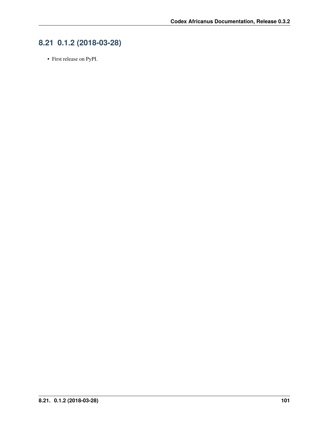# **8.21 0.1.2 (2018-03-28)**

• First release on PyPI.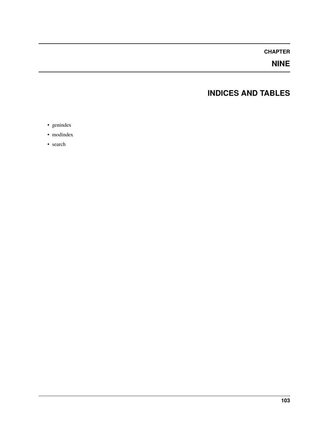## **CHAPTER**

# **NINE**

# **INDICES AND TABLES**

- genindex
- modindex
- search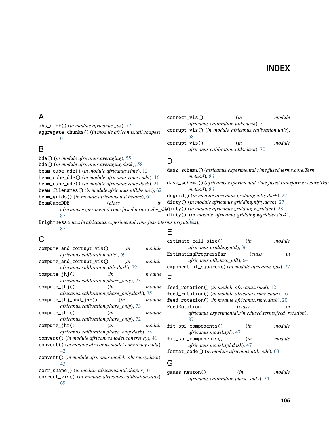### **INDEX**

### A

abs\_diff() (*in module africanus.gps*), [77](#page-80-0)

aggregate\_chunks() (*in module africanus.util.shapes*), [61](#page-64-0)

### B

bda() (*in module africanus.averaging*), [55](#page-58-0) bda() (*in module africanus.averaging.dask*), [58](#page-61-0) beam\_cube\_dde() (*in module africanus.rime*), [12](#page-15-0) beam\_cube\_dde() (*in module africanus.rime.cuda*), [16](#page-19-0) beam\_cube\_dde() (*in module africanus.rime.dask*), [21](#page-24-0) beam\_filenames() (*in module africanus.util.beams*), [62](#page-65-0) beam\_grids() (*in module africanus.util.beams*), [62](#page-65-0) BeamCubeDDE (*class in* africanus.experimental.rime.fused.terms.cube\_dd**&**);**rty()** (in module africanus.gridding.wgridder), [28](#page-31-0) [87](#page-90-0) Brightness (*class in africanus.experimental.rime.fused.terms.brightness*), [32](#page-35-0) D dask\_schema() (*africanus.experimental.rime.fused.terms.core.Term method*), [86](#page-89-0) dask\_schema() (*africanus.experimental.rime.fused.transformers.core.Transformer method*), [86](#page-89-0) degrid() (*in module africanus.gridding.nifty.dask*), [27](#page-30-0) dirty() (*in module africanus.gridding.nifty.dask*), [27](#page-30-0) dirty() (*in module africanus.gridding.wgridder.dask*),

# C

[87](#page-90-0)

compute\_and\_corrupt\_vis() (*in module africanus.calibration.utils*), [69](#page-72-0) compute\_and\_corrupt\_vis() (*in module africanus.calibration.utils.dask*), [72](#page-75-0) compute\_jhj() (*in module africanus.calibration.phase\_only*), [73](#page-76-0) compute\_jhj() (*in module africanus.calibration.phase\_only.dask*), [75](#page-78-0) compute\_jhj\_and\_jhr() (*in module africanus.calibration.phase\_only*), [73](#page-76-0) compute\_jhr() (*in module africanus.calibration.phase\_only*), [72](#page-75-0) compute\_jhr() (*in module africanus.calibration.phase\_only.dask*), [75](#page-78-0) convert() (*in module africanus.model.coherency*), [41](#page-44-0) convert() (*in module africanus.model.coherency.cuda*), [42](#page-45-0) convert() (*in module africanus.model.coherency.dask*), [43](#page-46-0) corr\_shape() (*in module africanus.util.shapes*), [61](#page-64-0) correct\_vis() (*in module africanus.calibration.utils*), [69](#page-72-0)

# E

[68](#page-71-0)

estimate\_cell\_size() (*in module africanus.gridding.util*), [36](#page-39-0) EstimatingProgressBar (*class in africanus.util.dask\_util*), [64](#page-67-0) exponential\_squared() (*in module africanus.gps*), [77](#page-80-0)

correct\_vis() (*in module africanus.calibration.utils.dask*), [71](#page-74-0) corrupt\_vis() (*in module africanus.calibration.utils*),

corrupt\_vis() (*in module africanus.calibration.utils.dask*), [70](#page-73-0)

### F

feed\_rotation() (*in module africanus.rime*), [12](#page-15-0) feed\_rotation() (*in module africanus.rime.cuda*), [16](#page-19-0) feed\_rotation() (*in module africanus.rime.dask*), [20](#page-23-0) FeedRotation (*class in africanus.experimental.rime.fused.terms.feed\_rotation*), [87](#page-90-0) fit\_spi\_components() (*in module africanus.model.spi*), [47](#page-50-0) fit\_spi\_components() (*in module africanus.model.spi.dask*), [47](#page-50-0)

format\_code() (*in module africanus.util.code*), [63](#page-66-0)

#### G

gauss\_newton() (*in module africanus.calibration.phase\_only*), [74](#page-77-0)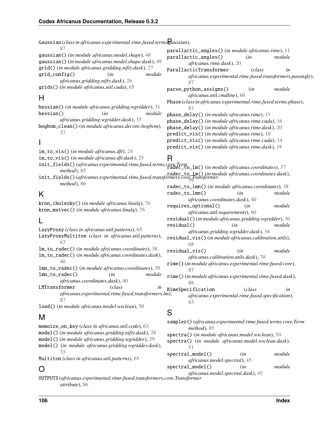| Gaussian (class in africanus.experimental.rime.fused.terms gaussian),                                                                  |                                                                                                        |  |
|----------------------------------------------------------------------------------------------------------------------------------------|--------------------------------------------------------------------------------------------------------|--|
| 87                                                                                                                                     | parallactic_angles() (in module africanus.rime), 11                                                    |  |
| gaussian() (in module africanus.model.shape), 48<br>gaussian() (in module africanus.model.shape.dask), 49                              | parallactic_angles()<br>module<br>(in                                                                  |  |
| grid() (in module africanus.gridding.nifty.dask), 27                                                                                   | africanus.rime.dask), 20<br>ParallacticTransformer<br>(class<br>in                                     |  |
| grid_config()<br>module<br>(in                                                                                                         | africanus.experimental.rime.fused.transformers.parangle),                                              |  |
| africanus.gridding.nifty.dask), 26                                                                                                     | 87                                                                                                     |  |
| grids() (in module africanus.util.cuda), 65                                                                                            | parse_python_assigns()<br>module<br>(in                                                                |  |
| Н                                                                                                                                      | africanus.util.cmdline), 60                                                                            |  |
|                                                                                                                                        | Phase (class in africanus.experimental.rime.fused.terms.phase),                                        |  |
| hessian() (in module africanus.gridding.wgridder), 31<br>hessian()<br>module<br>(in                                                    | 87                                                                                                     |  |
| africanus.gridding.wgridder.dask), 35                                                                                                  | phase_delay() (in module africanus.rime), 11                                                           |  |
| hogbom_clean() (in module africanus.deconv.hogbom),                                                                                    | phase_delay() (in module africanus.rime.cuda), 16<br>phase_delay() (in module africanus.rime.dask), 20 |  |
| 37                                                                                                                                     | predict_vis() (in module africanus.rime), 10                                                           |  |
|                                                                                                                                        | predict_vis() (in module africanus.rime.cuda), 14                                                      |  |
|                                                                                                                                        | predict_vis() (in module africanus.rime.dask), 18                                                      |  |
| im_to_vis() (in module africanus.dft), 24                                                                                              |                                                                                                        |  |
| im_to_vis() (in module africanus.dft.dask), 25                                                                                         | R                                                                                                      |  |
| init_fields() (africanus.experimental.rime.fused.terms.core.Term<br>radec_to_lm() (in module africanus.coordinates), 37<br>method), 85 |                                                                                                        |  |
| memou), 65<br>init_fields() (africanus.experimental.rime.fused.transformers.core,dransformer                                           |                                                                                                        |  |
| method), 86                                                                                                                            | radec_to_1mn() (in module africanus.coordinates), 38                                                   |  |
| K                                                                                                                                      | radec_to_lmn()<br>(in<br>module                                                                        |  |
|                                                                                                                                        | africanus.coordinates.dask), 40                                                                        |  |
| kron_cholesky() (in module africanus.linalg), 76                                                                                       | requires_optional()<br>(in<br>module                                                                   |  |
| kron_matvec() (in module africanus.linalg), 76                                                                                         | africanus.util.requirements), 60                                                                       |  |
|                                                                                                                                        | residual() (in module africanus.gridding.wgridder), 30                                                 |  |
| LazyProxy (class in africanus.util.patterns), 65                                                                                       | residual()<br>module<br>(in                                                                            |  |
| LazyProxyMultiton (class in africanus.util.patterns),                                                                                  | africanus.gridding.wgridder.dask), 34<br>residual_vis() (in module africanus.calibration.utils),       |  |
| 67                                                                                                                                     | 68                                                                                                     |  |
| 1m_to_radec() (in module africanus.coordinates), 38                                                                                    | residual_vis()<br>module<br>(in                                                                        |  |
| 1m_to_radec() (in module africanus.coordinates.dask),                                                                                  | africanus.calibration.utils.dask), 70                                                                  |  |
| 40<br>1mn_to_radec() (in module africanus.coordinates), 39                                                                             | rime() (in module africanus.experimental.rime.fused.core),                                             |  |
| lmn_to_radec()<br>(in<br>module                                                                                                        | 87                                                                                                     |  |
| africanus.coordinates.dask), 40                                                                                                        | rime() (in module africanus.experimental.rime.fused.dask),<br>88                                       |  |
| LMTransformer<br>(class<br>in                                                                                                          | RimeSpecification<br>(class<br>in                                                                      |  |
| africanus.experimental.rime.fused.transformers.lm),                                                                                    | africanus.experimental.rime.fused.specification),                                                      |  |
| 87                                                                                                                                     | 83                                                                                                     |  |
| load() (in module africanus.model.wsclean), 50                                                                                         | S                                                                                                      |  |
| M                                                                                                                                      |                                                                                                        |  |
| memoize_on_key (class in africanus.util.code), 63                                                                                      | sampler()(africanus.experimental.rime.fused.terms.core.Term                                            |  |
| model () (in module africanus.gridding.nifty.dask), 28                                                                                 | method), 85<br>spectra() (in module africanus.model.wsclean), 50                                       |  |
| model() (in module africanus.gridding.wgridder), 29                                                                                    | spectra() (in module africanus.model.wsclean.dask),                                                    |  |
| model() (in module africanus.gridding.wgridder.dask),                                                                                  | 51                                                                                                     |  |
| 33                                                                                                                                     | spectral_model()<br>(in<br>module                                                                      |  |
| Multiton (class in africanus.util.patterns), 65                                                                                        | africanus.model.spectral), 45                                                                          |  |
|                                                                                                                                        | spectral_model()<br>module<br>(in                                                                      |  |

### O

OUTPUTS (*africanus.experimental.rime.fused.transformers.core.Transformer attribute*), [86](#page-89-0) *africanus.model.spectral.dask*), [45](#page-48-0)